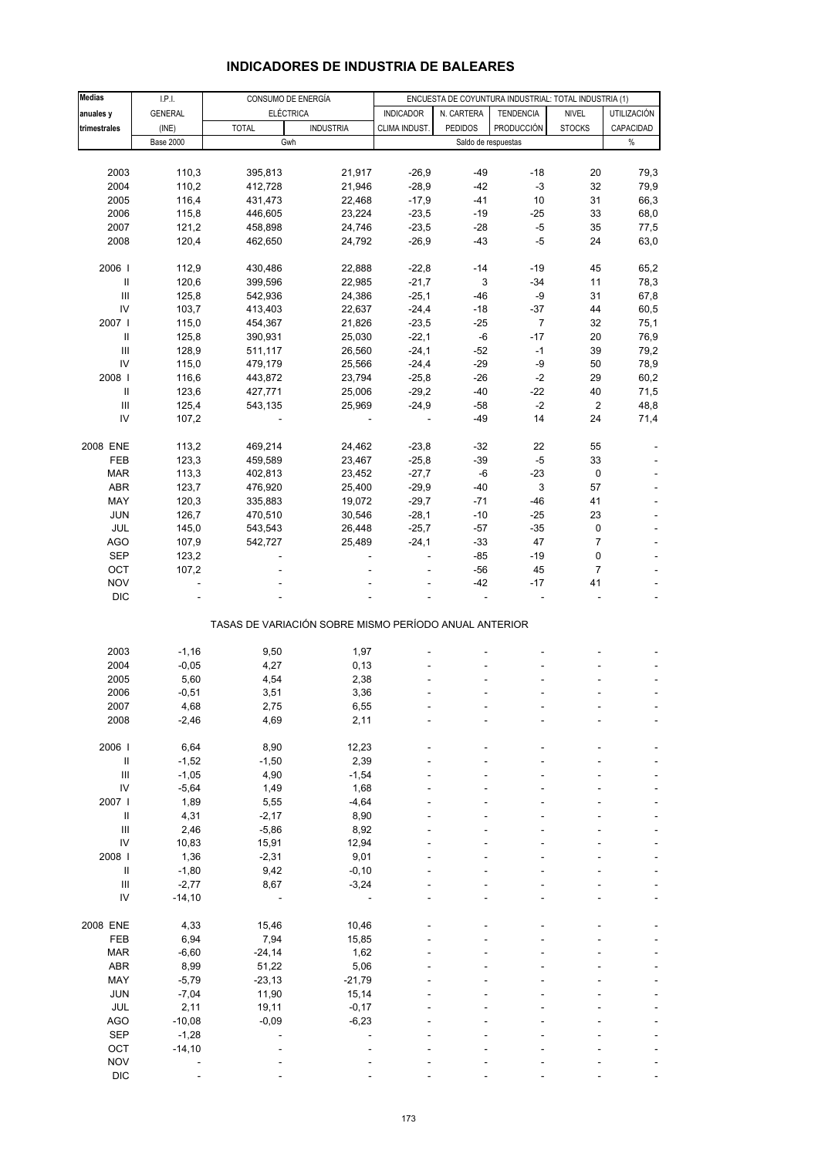| <b>INDICADORES DE INDUSTRIA DE BALEARES</b> |  |
|---------------------------------------------|--|
|---------------------------------------------|--|

| <b>Medias</b>                      | LPL              |              | CONSUMO DE ENERGÍA                                    | ENCUESTA DE COYUNTURA INDUSTRIAL: TOTAL INDUSTRIA (1) |                     |                  |                |                          |
|------------------------------------|------------------|--------------|-------------------------------------------------------|-------------------------------------------------------|---------------------|------------------|----------------|--------------------------|
| anuales y                          | <b>GENERAL</b>   |              | <b>ELÉCTRICA</b>                                      | <b>INDICADOR</b>                                      | N. CARTERA          | <b>TENDENCIA</b> | <b>NIVEL</b>   | UTILIZACIÓN              |
| trimestrales                       | (INE)            | <b>TOTAL</b> | <b>INDUSTRIA</b>                                      | CLIMA INDUST.                                         | <b>PEDIDOS</b>      | PRODUCCIÓN       | <b>STOCKS</b>  | CAPACIDAD                |
|                                    |                  |              |                                                       |                                                       |                     |                  |                | $\%$                     |
|                                    | <b>Base 2000</b> |              | Gwh                                                   |                                                       | Saldo de respuestas |                  |                |                          |
|                                    |                  |              |                                                       |                                                       |                     |                  |                |                          |
| 2003                               | 110,3            | 395,813      | 21,917                                                | $-26,9$                                               | $-49$               | $-18$            | 20             | 79,3                     |
| 2004                               | 110,2            | 412,728      | 21,946                                                | $-28,9$                                               | $-42$               | $-3$             | 32             | 79,9                     |
| 2005                               | 116,4            | 431,473      | 22,468                                                | $-17,9$                                               | $-41$               | 10               | 31             | 66,3                     |
| 2006                               | 115,8            | 446,605      | 23,224                                                | $-23,5$                                               | $-19$               | $-25$            | 33             | 68,0                     |
| 2007                               | 121,2            | 458,898      | 24,746                                                | $-23,5$                                               | $-28$               | $-5$             | 35             | 77,5                     |
| 2008                               | 120,4            | 462,650      | 24,792                                                | $-26,9$                                               | $-43$               | $-5$             | 24             | 63,0                     |
|                                    |                  |              |                                                       |                                                       |                     |                  |                |                          |
| 2006                               | 112,9            | 430,486      | 22,888                                                | $-22,8$                                               | $-14$               | -19              | 45             | 65,2                     |
|                                    |                  |              |                                                       |                                                       |                     |                  |                |                          |
| $\ensuremath{\mathsf{II}}$         | 120,6            | 399,596      | 22,985                                                | $-21,7$                                               | $\mathsf 3$         | $-34$            | 11             | 78,3                     |
| $\ensuremath{\mathsf{III}}\xspace$ | 125,8            | 542,936      | 24,386                                                | $-25,1$                                               | $-46$               | -9               | 31             | 67,8                     |
| IV                                 | 103,7            | 413,403      | 22,637                                                | $-24,4$                                               | $-18$               | $-37$            | 44             | 60,5                     |
| 2007 l                             | 115,0            | 454,367      | 21,826                                                | $-23,5$                                               | $-25$               | $\overline{7}$   | 32             | 75,1                     |
| $\ensuremath{\mathsf{II}}$         | 125,8            | 390,931      | 25,030                                                | $-22,1$                                               | -6                  | $-17$            | 20             | 76,9                     |
| Ш                                  | 128,9            | 511,117      | 26,560                                                | $-24,1$                                               | $-52$               | $-1$             | 39             | 79,2                     |
| IV                                 | 115,0            | 479,179      | 25,566                                                | $-24,4$                                               | $-29$               | -9               | 50             | 78,9                     |
| 2008                               | 116,6            | 443,872      | 23,794                                                | $-25,8$                                               | $-26$               | $-2$             | 29             | 60,2                     |
| $\ensuremath{\mathsf{II}}$         | 123,6            | 427,771      | 25,006                                                | $-29,2$                                               | $-40$               | $-22$            | 40             | 71,5                     |
| $\ensuremath{\mathsf{III}}\xspace$ | 125,4            | 543,135      | 25,969                                                | $-24,9$                                               | $-58$               | $-2$             | $\overline{2}$ | 48,8                     |
|                                    |                  |              |                                                       |                                                       |                     |                  |                |                          |
| IV                                 | 107,2            |              |                                                       | $\overline{\phantom{a}}$                              | $-49$               | 14               | 24             | 71,4                     |
|                                    |                  |              |                                                       |                                                       |                     |                  |                |                          |
| 2008 ENE                           | 113,2            | 469,214      | 24,462                                                | $-23,8$                                               | $-32$               | 22               | 55             |                          |
| FEB                                | 123,3            | 459,589      | 23,467                                                | $-25,8$                                               | $-39$               | $-5$             | 33             |                          |
| <b>MAR</b>                         | 113,3            | 402,813      | 23,452                                                | $-27,7$                                               | $-6$                | $-23$            | $\pmb{0}$      |                          |
| <b>ABR</b>                         | 123,7            | 476,920      | 25,400                                                | $-29,9$                                               | $-40$               | 3                | 57             |                          |
| MAY                                | 120,3            | 335,883      | 19,072                                                | $-29,7$                                               | $-71$               | $-46$            | 41             |                          |
| <b>JUN</b>                         | 126,7            | 470,510      | 30,546                                                | $-28,1$                                               | $-10$               | $-25$            | 23             |                          |
| JUL                                | 145,0            | 543,543      | 26,448                                                | $-25,7$                                               | $-57$               | $-35$            | 0              |                          |
|                                    |                  |              |                                                       |                                                       |                     |                  |                |                          |
| <b>AGO</b>                         | 107,9            | 542,727      | 25,489                                                | $-24,1$                                               | $-33$               | 47               | $\overline{7}$ |                          |
| SEP                                | 123,2            |              |                                                       | ä,                                                    | $-85$               | $-19$            | 0              |                          |
| OCT                                | 107,2            |              |                                                       |                                                       | $-56$               | 45               | $\overline{7}$ |                          |
| <b>NOV</b>                         |                  |              |                                                       |                                                       | $-42$               | $-17$            | 41             |                          |
| <b>DIC</b>                         |                  |              |                                                       |                                                       |                     | ÷,               |                | $\overline{\phantom{a}}$ |
|                                    |                  |              | TASAS DE VARIACIÓN SOBRE MISMO PERÍODO ANUAL ANTERIOR |                                                       |                     |                  |                |                          |
|                                    |                  |              |                                                       |                                                       |                     |                  |                |                          |
| 2003                               | $-1,16$          | 9,50         | 1,97                                                  |                                                       |                     |                  |                |                          |
|                                    |                  |              |                                                       |                                                       |                     |                  |                |                          |
| 2004                               | $-0,05$          | 4,27         | 0, 13                                                 |                                                       |                     |                  |                |                          |
| 2005                               | 5,60             | 4,54         | 2,38                                                  |                                                       |                     |                  |                |                          |
| 2006                               | $-0,51$          | 3,51         | 3,36                                                  |                                                       |                     |                  |                |                          |
| 2007                               | 4,68             | 2,75         | 6,55                                                  |                                                       |                     |                  |                |                          |
| 2008                               | $-2,46$          | 4,69         | 2,11                                                  |                                                       |                     |                  |                |                          |
|                                    |                  |              |                                                       |                                                       |                     |                  |                |                          |
| 2006                               | 6,64             | 8,90         | 12,23                                                 |                                                       |                     |                  |                |                          |
| $\sf II$                           | $-1,52$          | $-1,50$      | 2,39                                                  |                                                       |                     |                  |                |                          |
| $\ensuremath{\mathsf{III}}\xspace$ | $-1,05$          | 4,90         | $-1,54$                                               |                                                       |                     |                  |                |                          |
| IV                                 | $-5,64$          | 1,49         | 1,68                                                  |                                                       |                     |                  |                |                          |
| 2007 l                             | 1,89             | 5,55         | $-4,64$                                               |                                                       |                     |                  |                |                          |
|                                    |                  |              |                                                       |                                                       |                     |                  |                |                          |
| $\sf II$                           | 4,31             | $-2,17$      | 8,90                                                  |                                                       |                     |                  |                |                          |
| $\ensuremath{\mathsf{III}}\xspace$ | 2,46             | $-5,86$      | 8,92                                                  |                                                       |                     |                  |                |                          |
| ${\sf IV}$                         | 10,83            | 15,91        | 12,94                                                 |                                                       |                     |                  |                |                          |
| 2008 l                             | 1,36             | $-2,31$      | 9,01                                                  |                                                       |                     |                  |                |                          |
| $\ensuremath{\mathsf{II}}$         | $-1,80$          | 9,42         | $-0, 10$                                              |                                                       |                     |                  |                |                          |
| $\ensuremath{\mathsf{III}}\xspace$ | $-2,77$          | 8,67         | $-3,24$                                               |                                                       |                     |                  |                |                          |
| IV                                 | $-14,10$         |              |                                                       |                                                       |                     |                  |                |                          |
|                                    |                  |              |                                                       |                                                       |                     |                  |                |                          |
| 2008 ENE                           | 4,33             | 15,46        | 10,46                                                 |                                                       |                     |                  |                |                          |
| FEB                                | 6,94             | 7,94         | 15,85                                                 |                                                       |                     |                  |                |                          |
| <b>MAR</b>                         | $-6,60$          | $-24,14$     | 1,62                                                  |                                                       |                     |                  |                |                          |
| <b>ABR</b>                         |                  |              |                                                       |                                                       |                     |                  |                |                          |
|                                    | 8,99             | 51,22        | 5,06                                                  |                                                       |                     |                  |                |                          |
| MAY                                | $-5,79$          | $-23, 13$    | $-21,79$                                              |                                                       |                     |                  |                |                          |
| <b>JUN</b>                         | $-7,04$          | 11,90        | 15,14                                                 |                                                       |                     |                  |                |                          |
| JUL                                | 2,11             | 19,11        | $-0,17$                                               |                                                       |                     |                  |                |                          |
| <b>AGO</b>                         | $-10,08$         | $-0,09$      | $-6,23$                                               |                                                       |                     |                  |                |                          |
| <b>SEP</b>                         | $-1,28$          |              |                                                       |                                                       |                     |                  |                |                          |
| OCT                                | $-14,10$         |              |                                                       |                                                       |                     |                  |                |                          |
| <b>NOV</b>                         |                  |              |                                                       |                                                       |                     |                  |                |                          |
| <b>DIC</b>                         |                  |              |                                                       |                                                       |                     |                  |                |                          |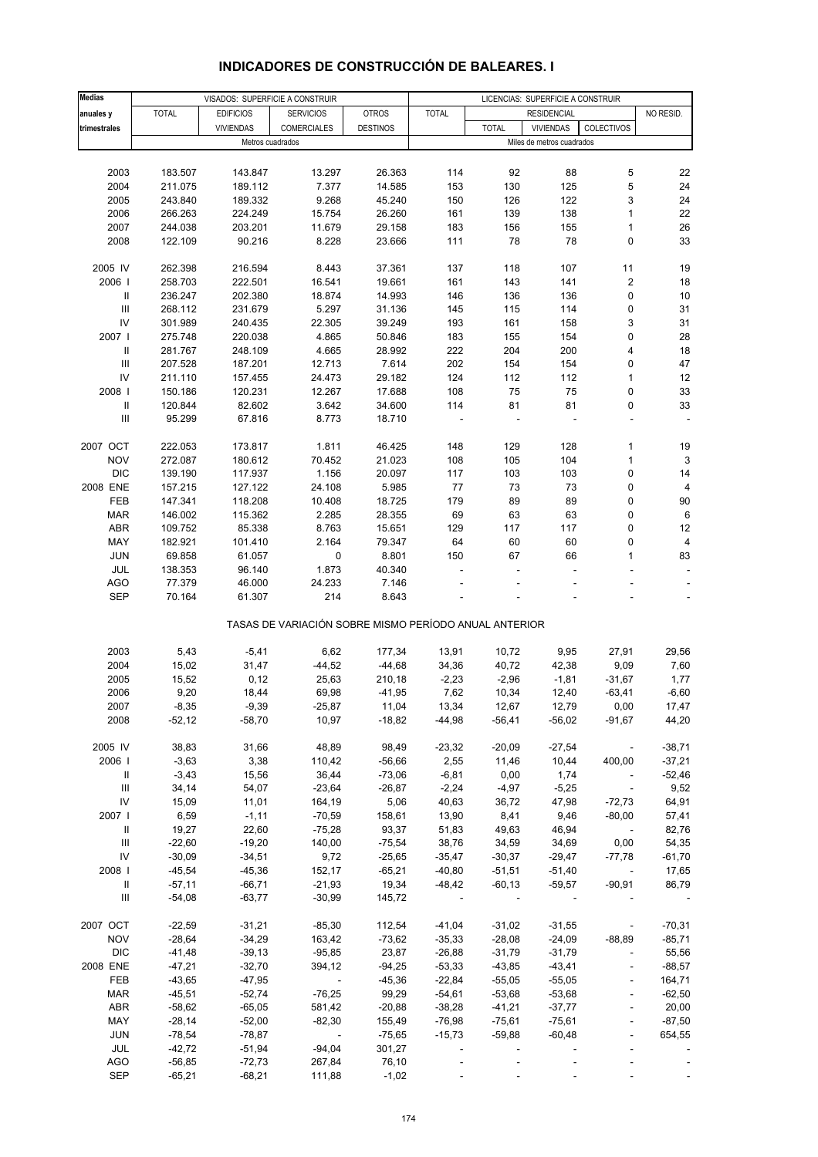#### **Medias anuales y |** TOTAL | EDIFICIOS | SERVICIOS | OTROS | TOTAL | RESIDENCIAL | NO RESID. **trimestrales** VIVIENDAS COMERCIALES DESTINOS TOTAL VIVIENDAS COLECTIVOS 2003 183.507 143.847 13.297 26.363 114 92 88 5 22 2004 211.075 189.112 7.377 14.585 153 130 125 5 24 2005 243.840 189.332 9.268 45.240 150 126 122 3 24 2006 266.263 224.249 15.754 26.260 161 139 138 1 22 2007 244.038 203.201 11.679 29.158 183 156 155 1 26 2008 122.109 90.216 8.228 23.666 111 78 78 0 33 2005 IV 262.398 216.594 8.443 37.361 137 118 107 11 19 2006 I 258.703 222.501 16.541 19.661 161 143 141 2 18 II 236.247 202.380 18.874 14.993 146 136 136 0 10 III 268.112 231.679 5.297 31.136 145 115 114 0 31 IV 301.989 240.435 22.305 39.249 193 161 158 3 31 2007 I 275.748 220.038 4.865 50.846 183 155 154 0 28 II 281.767 248.109 4.665 28.992 222 204 200 4 18 III 207.528 187.201 12.713 7.614 202 154 154 0 47 IV 211.110 157.455 24.473 29.182 124 112 112 1 12 2008 I 150.186 120.231 12.267 17.688 108 75 75 0 33 II 120.844 82.602 3.642 34.600 114 81 81 0 33 III 95.299 67.816 8.773 18.710 ----- 2007 OCT 222.053 173.817 1.811 46.425 148 129 128 1 19 NOV 272.087 180.612 70.452 21.023 108 105 104 1 3 DIC 139.190 117.937 1.156 20.097 117 103 103 0 14 2008 ENE 157.215 127.122 24.108 5.985 77 73 73 0 4 FEB 147.341 118.208 10.408 18.725 179 89 89 0 90 MAR 146.002 115.362 2.285 28.355 69 63 63 0 6 ABR 109.752 85.338 8.763 15.651 129 117 117 0 12 MAY 182.921 101.410 2.164 79.347 64 60 60 0 4 JUN 69.858 61.057 0 8.801 150 67 66 1 83 JUL 138.353 96.140 1.873 40.340 ----- AGO 77.379 46.000 24.233 7.146 ----- SEP 70.164 61.307 214 8.643 ----- TASAS DE VARIACIÓN SOBRE MISMO PERÍODO ANUAL ANTERIOR 2003 5,43 -5,41 6,62 177,34 13,91 10,72 9,95 27,91 29,56 2004 15,02 31,47 -44,52 -44,68 34,36 40,72 42,38 9,09 7,60 2005 15,52 0,12 25,63 210,18 -2,23 -2,96 -1,81 -31,67 1,77 2006 9,20 18,44 69,98 -41,95 7,62 10,34 12,40 -63,41 -6,60 2007 -8,35 -9,39 -25,87 11,04 13,34 12,67 12,79 0,00 17,47 2008 -52,12 -58,70 10,97 -18,82 -44,98 -56,41 -56,02 -91,67 44,20 2005 IV 38,83 31,66 48,89 98,49 -23,32 -20,09 -27,54 - -38,71 2006 I -3,63 3,38 110,42 -56,66 2,55 11,46 10,44 400,00 -37,21 II -3,43 15,56 36,44 -73,06 -6,81 0,00 1,74 - -52,46 III 34,14 54,07 -23,64 -26,87 -2,24 -4,97 -5,25 - 9,52 IV 15,09 11,01 164,19 5,06 40,63 36,72 47,98 -72,73 64,91 2007 I 6,59 -1,11 -70,59 158,61 13,90 8,41 9,46 -80,00 57,41 II 19,27 22,60 -75,28 93,37 51,83 49,63 46,94 - 82,76 III -22,60 -19,20 140,00 -75,54 38,76 34,59 34,69 0,00 54,35 IV -30,09 -34,51 9,72 -25,65 -35,47 -30,37 -29,47 -77,78 -61,70 2008 I -45,54 -45,36 152,17 -65,21 -40,80 -51,51 -51,40 - 17,65 II -57,11 -66,71 -21,93 19,34 -48,42 -60,13 -59,57 -90,91 86,79 III -54,08 -63,77 -30,99 145,72 ----- 2007 OCT -22,59 -31,21 -85,30 112,54 -41,04 -31,02 -31,55 - -70,31 NOV -28,64 -34,29 163,42 -73,62 -35,33 -28,08 -24,09 -88,89 -85,71 DIC -41,48 -39,13 -95,85 23,87 -26,88 -31,79 -31,79 - 55,56 2008 ENE -47,21 -32,70 394,12 -94,25 -53,33 -43,85 -43,41 - -88,57 FEB -43,65 -47,95 - -45,36 -22,84 -55,05 -55,05 - 164,71 MAR -45,51 -52,74 -76,25 99,29 -54,61 -53,68 -53,68 - -62,50 ABR -58,62 -65,05 581,42 -20,88 -38,28 -41,21 -37,77 - 20,00 MAY -28,14 -52,00 -82,30 155,49 -76,98 -75,61 -75,61 - -87,50 JUN -78,54 -78,87 - -75,65 -15,73 -59,88 -60,48 - 654,55 VISADOS: SUPERFICIE A CONSTRUIR LICENCIAS: SUPERFICIE A CONSTRUIR **RESIDENCIAL** Metros cuadrados **Miles de metros cuadrados**

## **INDICADORES DE CONSTRUCCIÓN DE BALEARES. I**

 JUL -42,72 -51,94 -94,04 301,27 ----- AGO -56,85 -72,73 267,84 76,10 ----- SEP -65,21 -68,21 111,88 -1,02 - - - - - - - -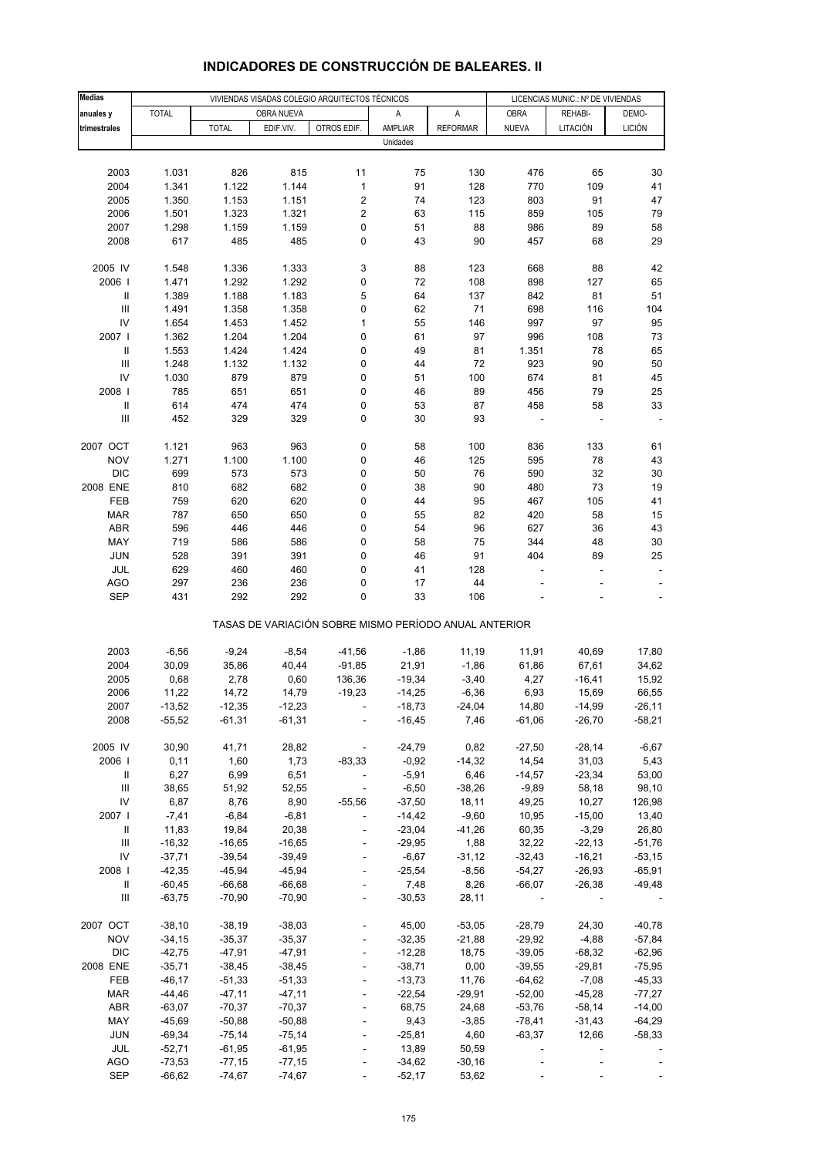| <b>Medias</b>                      |              |              |              | VIVIENDAS VISADAS COLEGIO ARQUITECTOS TÉCNICOS        |                    |                  |                   | LICENCIAS MUNIC.: Nº DE VIVIENDAS |               |
|------------------------------------|--------------|--------------|--------------|-------------------------------------------------------|--------------------|------------------|-------------------|-----------------------------------|---------------|
| anuales y                          | <b>TOTAL</b> |              | OBRA NUEVA   |                                                       | Α                  | A                | <b>OBRA</b>       | REHABI-                           | DEMO-         |
| trimestrales                       |              | <b>TOTAL</b> | EDIF.VIV.    | OTROS EDIF.                                           | AMPLIAR            | <b>REFORMAR</b>  | <b>NUEVA</b>      | LITACIÓN                          | <b>LICIÓN</b> |
|                                    |              |              |              |                                                       | Unidades           |                  |                   |                                   |               |
|                                    |              |              |              |                                                       |                    |                  |                   |                                   |               |
| 2003                               | 1.031        | 826          | 815          | 11                                                    | 75                 | 130              | 476               | 65                                | 30            |
| 2004                               | 1.341        | 1.122        | 1.144        | $\mathbf 1$                                           | 91                 | 128              | 770               | 109                               | 41            |
| 2005                               | 1.350        | 1.153        | 1.151        | 2                                                     | 74                 | 123              | 803               | 91                                | 47            |
| 2006                               | 1.501        | 1.323        | 1.321        | $\overline{\mathbf{c}}$                               | 63                 | 115              | 859               | 105                               | 79            |
| 2007                               | 1.298        | 1.159        | 1.159        | 0                                                     | 51                 | 88               | 986               | 89                                | 58            |
| 2008                               | 617          | 485          | 485          | 0                                                     | 43                 | 90               | 457               | 68                                | 29            |
|                                    |              |              |              |                                                       |                    |                  |                   |                                   |               |
| 2005 IV                            | 1.548        | 1.336        | 1.333        | 3                                                     | 88                 | 123              | 668               | 88                                | 42            |
| 2006                               | 1.471        | 1.292        | 1.292        | 0                                                     | 72                 | 108              | 898               | 127                               | 65            |
| $\ensuremath{\mathsf{II}}$         | 1.389        | 1.188        | 1.183        | 5                                                     | 64                 | 137              | 842               | 81                                | 51            |
| $\ensuremath{\mathsf{III}}\xspace$ | 1.491        | 1.358        | 1.358        | 0                                                     | 62                 | 71               | 698               | 116                               | 104           |
| IV                                 | 1.654        | 1.453        | 1.452        | $\mathbf 1$                                           | 55                 | 146              | 997               | 97                                | 95            |
| 2007 l                             | 1.362        | 1.204        | 1.204        | 0                                                     | 61                 | 97               | 996               | 108                               | 73            |
| $\ensuremath{\mathsf{II}}$         | 1.553        | 1.424        | 1.424        | 0                                                     | 49                 | 81               | 1.351             | 78                                | 65            |
| III                                | 1.248        | 1.132        | 1.132        | 0                                                     | 44                 | 72               | 923               | 90                                | 50            |
| IV                                 | 1.030        | 879          | 879          | 0                                                     | 51                 | 100              | 674               | 81                                | 45            |
| 2008                               | 785          | 651          | 651          | 0                                                     | 46                 | 89               | 456               | 79                                | 25            |
| $\sf II$                           | 614          | 474          | 474          | 0                                                     | 53                 | 87               | 458               | 58                                | 33            |
| Ш                                  | 452          | 329          | 329          | 0                                                     | 30                 | 93               |                   |                                   |               |
|                                    |              |              |              |                                                       |                    |                  |                   |                                   |               |
| 2007 OCT                           | 1.121        | 963          | 963          | 0                                                     | 58                 | 100              | 836               | 133                               | 61            |
| <b>NOV</b>                         | 1.271        | 1.100        | 1.100        | 0                                                     | 46                 | 125              | 595               | 78                                | 43            |
| <b>DIC</b>                         | 699          | 573          | 573          | 0                                                     | 50                 | 76               | 590               | 32                                | 30            |
| 2008 ENE                           | 810          | 682          | 682          | 0                                                     | 38                 | 90               | 480               | 73                                | 19            |
| FEB                                | 759          | 620          | 620          | 0                                                     | 44                 | 95               | 467               | 105                               | 41            |
| <b>MAR</b>                         | 787          | 650          | 650          | 0                                                     | 55                 | 82               | 420               | 58                                | 15            |
| ABR<br>MAY                         | 596<br>719   | 446          | 446          | 0                                                     | 54                 | 96<br>75         | 627<br>344        | 36<br>48                          | 43            |
| <b>JUN</b>                         | 528          | 586<br>391   | 586<br>391   | 0<br>0                                                | 58<br>46           | 91               | 404               | 89                                | 30<br>25      |
| <b>JUL</b>                         | 629          | 460          | 460          | 0                                                     | 41                 | 128              |                   | ÷,                                |               |
| <b>AGO</b>                         | 297          | 236          | 236          | 0                                                     | 17                 | 44               |                   |                                   |               |
| <b>SEP</b>                         | 431          | 292          | 292          | 0                                                     | 33                 | 106              |                   |                                   |               |
|                                    |              |              |              |                                                       |                    |                  |                   |                                   |               |
|                                    |              |              |              | TASAS DE VARIACIÓN SOBRE MISMO PERÍODO ANUAL ANTERIOR |                    |                  |                   |                                   |               |
|                                    |              |              |              |                                                       |                    |                  |                   |                                   |               |
| 2003                               | $-6,56$      | $-9,24$      | $-8,54$      | $-41,56$                                              | $-1,86$            | 11,19            | 11,91             | 40,69                             | 17,80         |
| 2004                               | 30,09        | 35,86        | 40,44        | $-91,85$                                              | 21,91              | $-1,86$          | 61,86             | 67,61                             | 34,62         |
| 2005                               | 0,68         | 2,78         | 0,60         | 136,36                                                | $-19,34$           | $-3,40$          | 4,27              | $-16,41$                          | 15,92         |
| 2006                               | 11,22        | 14,72        | 14,79        | $-19,23$                                              | $-14,25$           | $-6,36$          | 6,93              | 15,69                             | 66,55         |
| 2007                               | -13,52       | $-12,35$     | -12,23       |                                                       | $-18,73$           | $-24,04$         | 14,80             | $-14,99$                          | -26,11        |
| 2008                               | $-55,52$     | $-61,31$     | $-61,31$     |                                                       | $-16,45$           | 7,46             | $-61,06$          | $-26,70$                          | $-58,21$      |
|                                    |              |              |              |                                                       |                    |                  |                   |                                   |               |
| 2005 IV<br>2006                    | 30,90        | 41,71        | 28,82        |                                                       | $-24,79$           | 0,82             | $-27,50$          | $-28,14$                          | $-6,67$       |
| Ш                                  | 0,11<br>6,27 | 1,60<br>6,99 | 1,73<br>6,51 | $-83,33$<br>$\overline{\phantom{a}}$                  | $-0,92$<br>$-5,91$ | $-14,32$<br>6,46 | 14,54<br>$-14,57$ | 31,03<br>$-23,34$                 | 5,43<br>53,00 |
| $\ensuremath{\mathsf{III}}\xspace$ | 38,65        | 51,92        | 52,55        | $\overline{\phantom{a}}$                              | $-6,50$            | $-38,26$         | $-9,89$           | 58,18                             | 98,10         |
| ${\sf IV}$                         | 6,87         | 8,76         | 8,90         | $-55,56$                                              | $-37,50$           | 18,11            | 49,25             | 10,27                             | 126,98        |
| 2007 l                             | $-7,41$      | $-6,84$      | $-6,81$      | $\blacksquare$                                        | $-14,42$           | $-9,60$          | 10,95             | $-15,00$                          | 13,40         |
| Ш                                  | 11,83        | 19,84        | 20,38        |                                                       | $-23,04$           | -41,26           | 60,35             | $-3,29$                           | 26,80         |
| Ш                                  | $-16,32$     | $-16,65$     | $-16,65$     |                                                       | $-29,95$           | 1,88             | 32,22             | $-22,13$                          | $-51,76$      |
| ${\sf IV}$                         | $-37,71$     | $-39,54$     | $-39,49$     | $\blacksquare$                                        | $-6,67$            | $-31,12$         | $-32,43$          | $-16,21$                          | $-53,15$      |
| 2008 l                             | $-42,35$     | $-45,94$     | $-45,94$     | $\blacksquare$                                        | $-25,54$           | $-8,56$          | $-54,27$          | $-26,93$                          | $-65,91$      |
| $\ensuremath{\mathsf{II}}$         | $-60,45$     | $-66,68$     | $-66,68$     |                                                       | 7,48               | 8,26             | $-66,07$          | $-26,38$                          | $-49,48$      |
| Ш                                  | $-63,75$     | $-70,90$     | $-70,90$     | ÷,                                                    | $-30,53$           | 28,11            |                   |                                   |               |
|                                    |              |              |              |                                                       |                    |                  |                   |                                   |               |
| 2007 OCT                           | $-38,10$     | $-38,19$     | $-38,03$     |                                                       | 45,00              | $-53,05$         | $-28,79$          | 24,30                             | $-40,78$      |
| <b>NOV</b>                         | $-34,15$     | $-35,37$     | $-35,37$     | $\blacksquare$                                        | $-32,35$           | $-21,88$         | $-29,92$          | $-4,88$                           | $-57,84$      |
| <b>DIC</b>                         | $-42,75$     | $-47,91$     | $-47,91$     |                                                       | $-12,28$           | 18,75            | $-39,05$          | $-68,32$                          | $-62,96$      |
| 2008 ENE                           | $-35,71$     | $-38,45$     | $-38,45$     |                                                       | $-38,71$           | 0,00             | $-39,55$          | $-29,81$                          | $-75,95$      |
| FEB                                | $-46, 17$    | $-51,33$     | $-51,33$     | $\blacksquare$                                        | $-13,73$           | 11,76            | $-64,62$          | $-7,08$                           | $-45,33$      |
| <b>MAR</b>                         | -44,46       | $-47,11$     | $-47,11$     |                                                       | $-22,54$           | $-29,91$         | $-52,00$          | $-45,28$                          | $-77,27$      |
| ABR                                | $-63,07$     | $-70,37$     | $-70,37$     |                                                       | 68,75              | 24,68            | $-53,76$          | $-58,14$                          | $-14,00$      |
| MAY                                | $-45,69$     | $-50,88$     | $-50,88$     | $\blacksquare$                                        | 9,43               | $-3,85$          | $-78,41$          | $-31,43$                          | $-64,29$      |
| <b>JUN</b>                         | $-69,34$     | $-75,14$     | $-75,14$     |                                                       | $-25,81$           | 4,60             | $-63,37$          | 12,66                             | $-58,33$      |
| JUL                                | $-52,71$     | $-61,95$     | $-61,95$     | $\overline{\phantom{a}}$                              | 13,89              | 50,59            |                   |                                   |               |
| AGO                                | $-73,53$     | $-77,15$     | $-77,15$     |                                                       | $-34,62$           | $-30,16$         |                   |                                   |               |
| <b>SEP</b>                         | $-66,62$     | $-74,67$     | $-74,67$     |                                                       | $-52,17$           | 53,62            |                   |                                   |               |

# **INDICADORES DE CONSTRUCCIÓN DE BALEARES. II**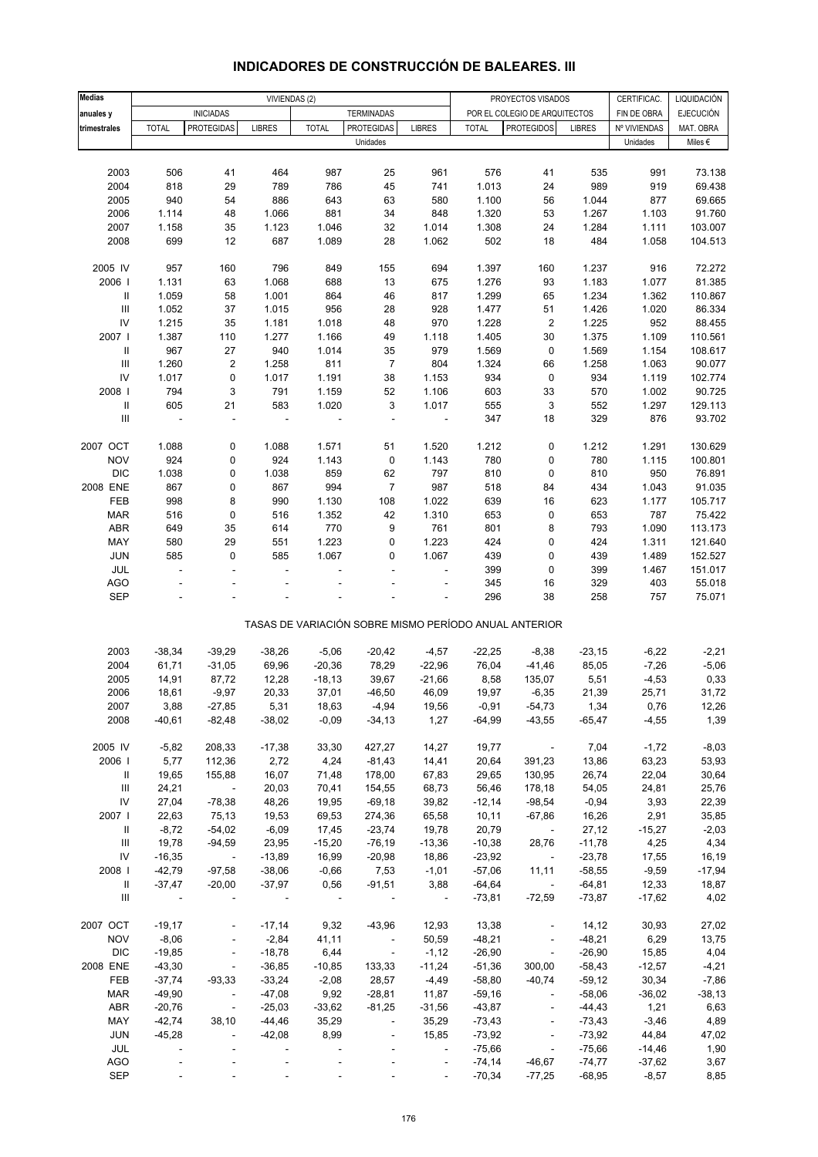| <b>Medias</b>                      |                          |                          | VIVIENDAS (2)  |              |                          |                          |              | PROYECTOS VISADOS                                     |               | CERTIFICAC.  | LIQUIDACIÓN      |
|------------------------------------|--------------------------|--------------------------|----------------|--------------|--------------------------|--------------------------|--------------|-------------------------------------------------------|---------------|--------------|------------------|
| anuales y                          |                          | <b>INICIADAS</b>         |                |              | <b>TERMINADAS</b>        |                          |              | POR EL COLEGIO DE ARQUITECTOS                         |               | FIN DE OBRA  | <b>EJECUCIÓN</b> |
| trimestrales                       | <b>TOTAL</b>             | <b>PROTEGIDAS</b>        | <b>LIBRES</b>  | <b>TOTAL</b> | <b>PROTEGIDAS</b>        | <b>LIBRES</b>            | <b>TOTAL</b> | <b>PROTEGIDOS</b>                                     | <b>LIBRES</b> | Nº VIVIENDAS | MAT. OBRA        |
|                                    |                          |                          |                |              | Unidades                 |                          |              |                                                       |               | Unidades     | Miles $\epsilon$ |
|                                    |                          |                          |                |              |                          |                          |              |                                                       |               |              |                  |
| 2003                               | 506                      | 41                       | 464            | 987          | 25                       | 961                      | 576          | 41                                                    | 535           | 991          | 73.138           |
| 2004                               | 818                      | 29                       | 789            | 786          | 45                       | 741                      | 1.013        | 24                                                    | 989           | 919          | 69.438           |
| 2005                               | 940                      | 54                       | 886            | 643          | 63                       | 580                      | 1.100        | 56                                                    | 1.044         | 877          | 69.665           |
| 2006                               | 1.114                    | 48                       | 1.066          | 881          | 34                       | 848                      | 1.320        | 53                                                    | 1.267         | 1.103        | 91.760           |
| 2007                               | 1.158                    | 35                       | 1.123          | 1.046        | 32                       | 1.014                    | 1.308        | 24                                                    | 1.284         | 1.111        | 103.007          |
| 2008                               | 699                      | 12                       | 687            | 1.089        | 28                       | 1.062                    | 502          | 18                                                    | 484           | 1.058        | 104.513          |
|                                    |                          |                          |                |              |                          |                          |              |                                                       |               |              |                  |
| 2005 IV                            | 957                      | 160                      | 796            | 849          | 155                      | 694                      | 1.397        | 160                                                   | 1.237         | 916          | 72.272           |
| 2006                               | 1.131                    | 63                       | 1.068          | 688          | 13                       | 675                      | 1.276        | 93                                                    | 1.183         | 1.077        | 81.385           |
| Ш                                  | 1.059                    | 58                       | 1.001          | 864          | 46                       | 817                      | 1.299        | 65                                                    | 1.234         | 1.362        | 110.867          |
| $\ensuremath{\mathsf{III}}\xspace$ | 1.052                    | 37                       | 1.015          | 956          | 28                       | 928                      | 1.477        | 51                                                    | 1.426         | 1.020        | 86.334           |
| ${\sf IV}$                         | 1.215                    | 35                       | 1.181          | 1.018        | 48                       | 970                      | 1.228        | $\overline{2}$                                        | 1.225         | 952          | 88.455           |
| 2007                               | 1.387                    | 110                      | 1.277          | 1.166        | 49                       | 1.118                    | 1.405        | 30                                                    | 1.375         | 1.109        | 110.561          |
| $\mathbf{II}$                      | 967                      | 27                       | 940            | 1.014        | 35                       | 979                      | 1.569        | 0                                                     | 1.569         | 1.154        | 108.617          |
| $\ensuremath{\mathsf{III}}\xspace$ | 1.260                    | 2                        | 1.258          | 811          | 7                        | 804                      | 1.324        | 66                                                    | 1.258         | 1.063        | 90.077           |
| ${\sf IV}$                         | 1.017                    | $\pmb{0}$                | 1.017          | 1.191        | 38                       | 1.153                    | 934          | $\pmb{0}$                                             | 934           | 1.119        | 102.774          |
| 2008                               | 794                      | 3                        | 791            | 1.159        | 52                       | 1.106                    | 603          | 33                                                    | 570           | 1.002        | 90.725           |
| $\ensuremath{\mathsf{II}}$         | 605                      | 21                       | 583            | 1.020        | 3                        | 1.017                    | 555          | 3                                                     | 552           | 1.297        | 129.113          |
| $\ensuremath{\mathsf{III}}\xspace$ | $\overline{\phantom{a}}$ | ÷,                       | ÷,             |              | ÷,                       | $\overline{\phantom{a}}$ | 347          | 18                                                    | 329           | 876          | 93.702           |
|                                    |                          |                          |                |              |                          |                          |              |                                                       |               |              |                  |
| 2007 OCT                           | 1.088                    | 0                        | 1.088          | 1.571        | 51                       | 1.520                    | 1.212        | 0                                                     | 1.212         | 1.291        | 130.629          |
| <b>NOV</b>                         | 924                      | 0                        | 924            | 1.143        | 0                        | 1.143                    | 780          | 0                                                     | 780           | 1.115        | 100.801          |
| <b>DIC</b>                         | 1.038                    | 0                        | 1.038          | 859          | 62                       | 797                      | 810          | 0                                                     | 810           | 950          | 76.891           |
| 2008 ENE                           | 867                      | 0                        | 867            | 994          | $\overline{7}$           | 987                      | 518          | 84                                                    | 434           | 1.043        | 91.035           |
| FEB                                | 998                      | 8                        | 990            | 1.130        | 108                      | 1.022                    | 639          | 16                                                    | 623           | 1.177        | 105.717          |
| <b>MAR</b>                         | 516                      | $\mathbf 0$              | 516            | 1.352        | 42                       | 1.310                    | 653          | 0                                                     | 653           | 787          | 75.422           |
| ABR                                | 649                      | 35                       | 614            | 770          | 9                        | 761                      | 801          | 8                                                     | 793           | 1.090        | 113.173          |
| MAY                                | 580                      | 29                       | 551            | 1.223        | 0                        | 1.223                    | 424          | 0                                                     | 424           | 1.311        | 121.640          |
| JUN                                | 585                      | 0                        | 585            | 1.067        | 0                        | 1.067                    | 439          | 0                                                     | 439           | 1.489        | 152.527          |
| JUL                                | ä,                       | ä,                       | ٠              |              | ٠                        | ÷.                       | 399          | 0                                                     | 399           | 1.467        | 151.017          |
| <b>AGO</b>                         |                          |                          |                |              |                          |                          | 345          | 16                                                    | 329           | 403          | 55.018           |
| <b>SEP</b>                         |                          |                          |                |              |                          |                          | 296          | 38                                                    | 258           | 757          | 75.071           |
|                                    |                          |                          |                |              |                          |                          |              | TASAS DE VARIACIÓN SOBRE MISMO PERÍODO ANUAL ANTERIOR |               |              |                  |
| 2003                               | $-38,34$                 | $-39,29$                 | $-38,26$       | $-5,06$      | $-20,42$                 | $-4,57$                  | $-22,25$     | $-8,38$                                               | $-23,15$      | $-6,22$      | $-2,21$          |
| 2004                               | 61,71                    | $-31,05$                 | 69,96          | $-20,36$     | 78,29                    | $-22,96$                 | 76,04        | $-41,46$                                              | 85,05         | $-7,26$      | $-5,06$          |
| 2005                               | 14,91                    | 87,72                    | 12,28          | $-18,13$     | 39,67                    | $-21,66$                 | 8,58         | 135,07                                                | 5,51          | $-4,53$      | 0,33             |
| 2006                               | 18,61                    | $-9,97$                  | 20,33          | 37,01        | $-46,50$                 | 46,09                    | 19,97        | $-6,35$                                               | 21,39         | 25,71        | 31,72            |
| 2007                               | 3,88                     | $-27,85$                 | 5,31           | 18,63        | $-4,94$                  | 19,56                    | $-0,91$      | -54,73                                                | 1,34          | 0,76         | 12,26            |
| 2008                               | $-40,61$                 | $-82,48$                 | $-38,02$       | $-0,09$      | $-34, 13$                | 1,27                     | $-64,99$     | $-43,55$                                              | $-65,47$      | $-4,55$      | 1,39             |
|                                    |                          |                          |                |              |                          |                          |              |                                                       |               |              |                  |
| 2005 IV                            | $-5,82$                  | 208,33                   | $-17,38$       | 33,30        | 427,27                   | 14,27                    | 19,77        | $\sim$ $-$                                            | 7,04          | $-1,72$      | $-8,03$          |
| 2006                               | 5,77                     | 112,36                   | 2,72           | 4,24         | $-81,43$                 | 14,41                    | 20,64        | 391,23                                                | 13,86         | 63,23        | 53,93            |
| Ш                                  | 19,65                    | 155,88                   | 16,07          | 71,48        | 178,00                   | 67,83                    | 29,65        | 130,95                                                | 26,74         | 22,04        | 30,64            |
| Ш                                  | 24,21                    | $\sim 100$ km s $^{-1}$  | 20,03          | 70,41        | 154,55                   | 68,73                    | 56,46        | 178,18                                                | 54,05         | 24,81        | 25,76            |
| ${\sf IV}$                         | 27,04                    | $-78,38$                 | 48,26          | 19,95        | $-69,18$                 | 39,82                    | $-12,14$     | $-98,54$                                              | $-0,94$       | 3,93         | 22,39            |
| 2007                               | 22,63                    | 75,13                    | 19,53          | 69,53        | 274,36                   | 65,58                    | 10, 11       | $-67,86$                                              | 16,26         | 2,91         | 35,85            |
| Ш                                  | $-8,72$                  | $-54,02$                 | $-6,09$        | 17,45        | $-23,74$                 | 19,78                    | 20,79        | $\sim$ $-$                                            | 27,12         | $-15,27$     | $-2,03$          |
| Ш                                  | 19,78                    | $-94,59$                 | 23,95          | $-15,20$     | $-76,19$                 | $-13,36$                 | $-10,38$     | 28,76                                                 | $-11,78$      | 4,25         | 4,34             |
| ${\sf IV}$                         | $-16,35$                 | $\sim 100$               | $-13,89$       | 16,99        | $-20,98$                 | 18,86                    | $-23,92$     | $\sim 100$ km s $^{-1}$                               | $-23,78$      | 17,55        | 16,19            |
| 2008                               | $-42,79$                 | $-97,58$                 | $-38,06$       | $-0,66$      | 7,53                     | $-1,01$                  | $-57,06$     | 11,11                                                 | $-58,55$      | $-9,59$      | $-17,94$         |
| Ш                                  | $-37,47$                 | $-20,00$                 | $-37,97$       | 0,56         | $-91,51$                 | 3,88                     | $-64,64$     | $\sim 100$ km s $^{-1}$                               | $-64,81$      | 12,33        | 18,87            |
| Ш                                  |                          |                          |                | $\sim$ $-$   |                          | $\sim$ $-$               | $-73,81$     | $-72,59$                                              | $-73,87$      | $-17,62$     | 4,02             |
| 2007 OCT                           | $-19,17$                 | ÷,                       | $-17,14$       | 9,32         | $-43,96$                 | 12,93                    | 13,38        | $\overline{\phantom{a}}$                              | 14,12         | 30,93        | 27,02            |
| <b>NOV</b>                         | $-8,06$                  | $\blacksquare$           | $-2,84$        | 41,11        | $\overline{\phantom{a}}$ | 50,59                    | $-48,21$     | $\blacksquare$                                        | $-48,21$      | 6,29         | 13,75            |
| <b>DIC</b>                         | $-19,85$                 | $\overline{\phantom{a}}$ | $-18,78$       | 6,44         | $\sim 100$ $\mu$         | $-1,12$                  | $-26,90$     | $\blacksquare$                                        | $-26,90$      | 15,85        | 4,04             |
| 2008 ENE                           | $-43,30$                 | $\overline{\phantom{a}}$ | $-36,85$       | $-10,85$     | 133,33                   | $-11,24$                 | $-51,36$     | 300,00                                                | $-58,43$      | $-12,57$     | $-4,21$          |
| FEB                                | $-37,74$                 | $-93,33$                 | $-33,24$       | $-2,08$      | 28,57                    | $-4,49$                  | $-58,80$     | $-40,74$                                              | $-59,12$      | 30,34        | $-7,86$          |
| <b>MAR</b>                         | $-49,90$                 | $\overline{\phantom{a}}$ | $-47,08$       | 9,92         | $-28,81$                 | 11,87                    | $-59,16$     | $\overline{\phantom{a}}$                              | $-58,06$      | $-36,02$     | $-38,13$         |
| ABR                                | $-20,76$                 | $\blacksquare$           | $-25,03$       | $-33,62$     | $-81,25$                 | $-31,56$                 | $-43,87$     | $\overline{\phantom{a}}$                              | $-44,43$      | 1,21         | 6,63             |
| MAY                                | $-42,74$                 | 38,10                    | $-44,46$       | 35,29        | $\overline{\phantom{a}}$ | 35,29                    | $-73,43$     | $\overline{\phantom{a}}$                              | $-73,43$      | $-3,46$      | 4,89             |
| <b>JUN</b>                         | $-45,28$                 | $\overline{\phantom{a}}$ | $-42,08$       | 8,99         | $\overline{\phantom{a}}$ | 15,85                    | $-73,92$     | $\blacksquare$                                        | $-73,92$      | 44,84        | 47,02            |
| JUL                                |                          |                          |                |              |                          | $\overline{\phantom{a}}$ | $-75,66$     | $\blacksquare$                                        | $-75,66$      | $-14,46$     | 1,90             |
| <b>AGO</b>                         |                          |                          |                |              |                          | $\Box$                   | $-74,14$     | $-46,67$                                              | $-74,77$      | $-37,62$     | 3,67             |
| SEP                                |                          |                          | $\blacksquare$ |              |                          | $\blacksquare$           | $-70,34$     | $-77,25$                                              | $-68,95$      | $-8,57$      | 8,85             |

# **INDICADORES DE CONSTRUCCIÓN DE BALEARES. III**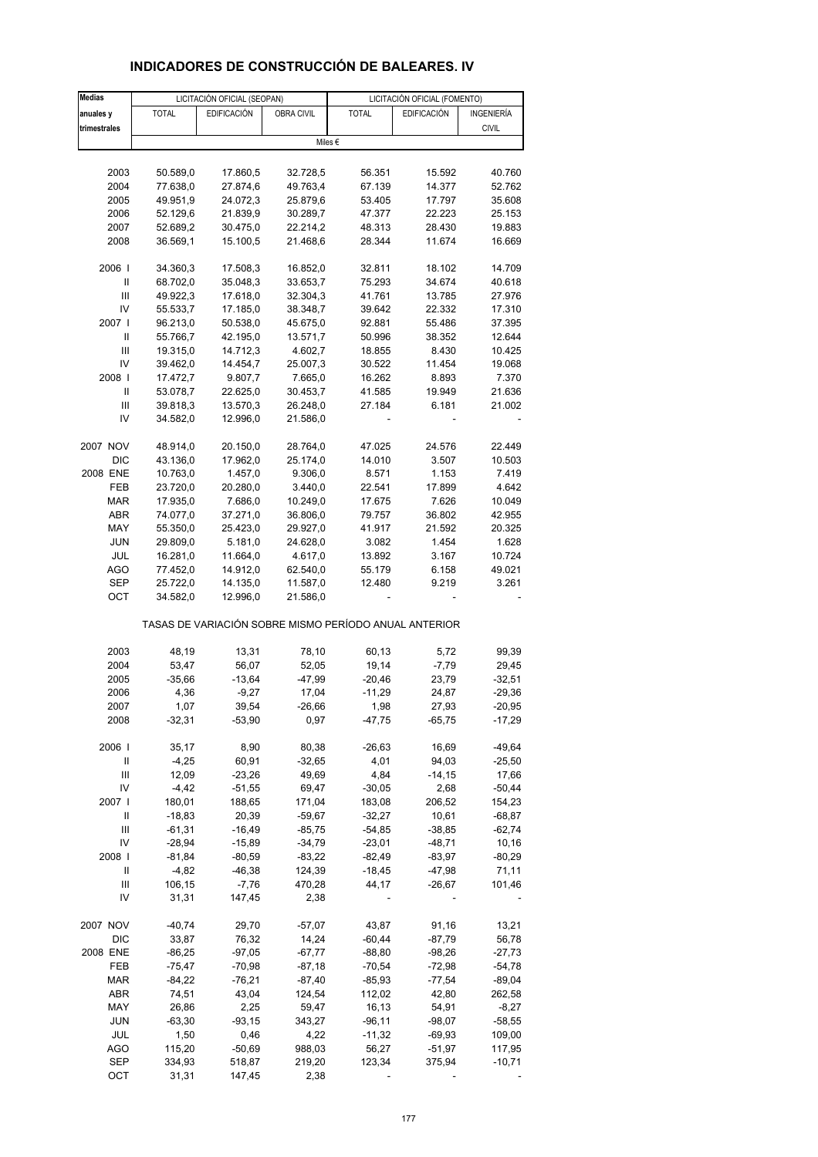| <b>Medias</b> |              | LICITACIÓN OFICIAL (SEOPAN) |                   |                                                       | LICITACIÓN OFICIAL (FOMENTO) |              |
|---------------|--------------|-----------------------------|-------------------|-------------------------------------------------------|------------------------------|--------------|
| anuales y     | <b>TOTAL</b> | <b>EDIFICACIÓN</b>          | <b>OBRA CIVIL</b> | <b>TOTAL</b>                                          | <b>EDIFICACIÓN</b>           | INGENIERÍA   |
| trimestrales  |              |                             |                   |                                                       |                              | <b>CIVIL</b> |
|               |              |                             |                   | Miles €                                               |                              |              |
|               |              |                             |                   |                                                       |                              |              |
| 2003          | 50.589,0     | 17.860,5                    | 32.728,5          | 56.351                                                | 15.592                       | 40.760       |
| 2004          | 77.638,0     | 27.874,6                    | 49.763,4          | 67.139                                                | 14.377                       | 52.762       |
|               |              |                             |                   |                                                       |                              |              |
| 2005          | 49.951,9     | 24.072,3                    | 25.879,6          | 53.405                                                | 17.797                       | 35.608       |
| 2006          | 52.129,6     | 21.839,9                    | 30.289,7          | 47.377                                                | 22.223                       | 25.153       |
| 2007          | 52.689,2     | 30.475,0                    | 22.214,2          | 48.313                                                | 28.430                       | 19.883       |
| 2008          | 36.569,1     | 15.100,5                    | 21.468,6          | 28.344                                                | 11.674                       | 16.669       |
|               |              |                             |                   |                                                       |                              |              |
| 2006          | 34.360,3     | 17.508,3                    | 16.852,0          | 32.811                                                | 18.102                       | 14.709       |
| Ш             | 68.702,0     | 35.048,3                    | 33.653,7          | 75.293                                                | 34.674                       | 40.618       |
| Ш             | 49.922,3     | 17.618,0                    | 32.304,3          | 41.761                                                | 13.785                       | 27.976       |
| IV            | 55.533,7     | 17.185,0                    | 38.348,7          | 39.642                                                | 22.332                       | 17.310       |
|               |              |                             |                   |                                                       |                              |              |
| 2007 l        | 96.213,0     | 50.538,0                    | 45.675,0          | 92.881                                                | 55.486                       | 37.395       |
| Ш             | 55.766,7     | 42.195,0                    | 13.571,7          | 50.996                                                | 38.352                       | 12.644       |
| Ш             | 19.315,0     | 14.712,3                    | 4.602,7           | 18.855                                                | 8.430                        | 10.425       |
| IV            | 39.462,0     | 14.454,7                    | 25.007,3          | 30.522                                                | 11.454                       | 19.068       |
| 2008          | 17.472,7     | 9.807,7                     | 7.665,0           | 16.262                                                | 8.893                        | 7.370        |
| Ш             | 53.078,7     |                             | 30.453,7          | 41.585                                                | 19.949                       | 21.636       |
|               |              | 22.625,0                    |                   |                                                       |                              |              |
| Ш             | 39.818,3     | 13.570,3                    | 26.248,0          | 27.184                                                | 6.181                        | 21.002       |
| IV            | 34.582,0     | 12.996,0                    | 21.586,0          |                                                       |                              |              |
|               |              |                             |                   |                                                       |                              |              |
| 2007 NOV      | 48.914,0     | 20.150,0                    | 28.764,0          | 47.025                                                | 24.576                       | 22.449       |
| <b>DIC</b>    | 43.136,0     | 17.962,0                    | 25.174,0          | 14.010                                                | 3.507                        | 10.503       |
| 2008 ENE      | 10.763,0     | 1.457,0                     | 9.306,0           | 8.571                                                 | 1.153                        | 7.419        |
| FEB           | 23.720,0     | 20.280,0                    | 3.440,0           | 22.541                                                | 17.899                       | 4.642        |
|               |              |                             |                   |                                                       |                              |              |
| <b>MAR</b>    | 17.935,0     | 7.686,0                     | 10.249,0          | 17.675                                                | 7.626                        | 10.049       |
| ABR           | 74.077,0     | 37.271,0                    | 36.806,0          | 79.757                                                | 36.802                       | 42.955       |
| MAY           | 55.350,0     | 25.423,0                    | 29.927,0          | 41.917                                                | 21.592                       | 20.325       |
| <b>JUN</b>    | 29.809,0     | 5.181,0                     | 24.628,0          | 3.082                                                 | 1.454                        | 1.628        |
| JUL           | 16.281,0     | 11.664,0                    | 4.617,0           | 13.892                                                | 3.167                        | 10.724       |
| AGO           | 77.452,0     | 14.912,0                    | 62.540,0          | 55.179                                                | 6.158                        | 49.021       |
|               |              |                             |                   |                                                       |                              |              |
| SEP           | 25.722,0     | 14.135,0                    | 11.587,0          | 12.480                                                | 9.219                        | 3.261        |
| OCT           | 34.582,0     | 12.996,0                    | 21.586,0          |                                                       |                              |              |
|               |              |                             |                   | TASAS DE VARIACIÓN SOBRE MISMO PERÍODO ANUAL ANTERIOR |                              |              |
|               |              |                             |                   |                                                       |                              |              |
| 2003          | 48,19        | 13,31                       | 78,10             | 60,13                                                 | 5,72                         | 99,39        |
| 2004          | 53,47        | 56,07                       | 52,05             | 19,14                                                 | $-7,79$                      | 29,45        |
| 2005          | $-35,66$     | $-13,64$                    | $-47,99$          | $-20,46$                                              | 23,79                        | $-32,51$     |
| 2006          | 4,36         | $-9,27$                     | 17,04             | $-11,29$                                              | 24,87                        | $-29,36$     |
| 2007          | 1,07         | 39,54                       | $-26,66$          | 1,98                                                  | 27,93                        | $-20,95$     |
| 2008          | $-32,31$     | $-53,90$                    | 0,97              | $-47,75$                                              | $-65,75$                     | $-17,29$     |
|               |              |                             |                   |                                                       |                              |              |
|               |              |                             | 80,38             |                                                       |                              |              |
| 2006          | 35,17        | 8,90                        |                   | $-26,63$                                              | 16,69                        | $-49,64$     |
| Ш             | $-4,25$      | 60,91                       | $-32,65$          | 4,01                                                  | 94,03                        | $-25,50$     |
| Ш             | 12,09        | $-23,26$                    | 49,69             | 4,84                                                  | $-14, 15$                    | 17,66        |
| IV            | $-4,42$      | $-51,55$                    | 69,47             | $-30,05$                                              | 2,68                         | $-50,44$     |
| 2007 l        | 180,01       | 188,65                      | 171,04            | 183,08                                                | 206,52                       | 154,23       |
| Ш             | $-18,83$     | 20,39                       | $-59,67$          | $-32,27$                                              | 10,61                        | $-68,87$     |
| Ш             |              | $-16,49$                    |                   |                                                       |                              |              |
|               | $-61,31$     |                             | $-85,75$          | $-54,85$                                              | $-38,85$                     | $-62,74$     |
| IV            | $-28,94$     | $-15,89$                    | $-34,79$          | $-23,01$                                              | $-48,71$                     | 10,16        |
| 2008          | $-81,84$     | $-80,59$                    | $-83,22$          | -82,49                                                | $-83,97$                     | $-80,29$     |
| Ш             | $-4,82$      | $-46,38$                    | 124,39            | $-18,45$                                              | $-47,98$                     | 71,11        |
| Ш             | 106,15       | $-7,76$                     | 470,28            | 44,17                                                 | $-26,67$                     | 101,46       |
| IV            | 31,31        | 147,45                      | 2,38              |                                                       |                              |              |
|               |              |                             |                   |                                                       |                              |              |
| 2007 NOV      | $-40,74$     | 29,70                       | $-57,07$          | 43,87                                                 | 91,16                        | 13,21        |
|               |              |                             |                   |                                                       |                              |              |
| <b>DIC</b>    | 33,87        | 76,32                       | 14,24             | $-60,44$                                              | $-87,79$                     | 56,78        |
| 2008 ENE      | $-86,25$     | $-97,05$                    | $-67,77$          | $-88,80$                                              | $-98,26$                     | $-27,73$     |
| FEB           | $-75,47$     | $-70,98$                    | $-87,18$          | $-70,54$                                              | $-72,98$                     | $-54,78$     |
| <b>MAR</b>    | $-84,22$     | $-76,21$                    | $-87,40$          | $-85,93$                                              | $-77,54$                     | $-89,04$     |
| <b>ABR</b>    | 74,51        | 43,04                       | 124,54            | 112,02                                                | 42,80                        | 262,58       |
| MAY           | 26,86        | 2,25                        |                   | 16,13                                                 | 54,91                        | $-8,27$      |
|               |              |                             | 59,47             |                                                       |                              |              |
| <b>JUN</b>    | $-63,30$     | $-93,15$                    | 343,27            | $-96, 11$                                             | $-98,07$                     | $-58,55$     |
| JUL           | 1,50         | 0,46                        | 4,22              | $-11,32$                                              | $-69,93$                     | 109,00       |
| <b>AGO</b>    | 115,20       | $-50,69$                    | 988,03            | 56,27                                                 | $-51,97$                     | 117,95       |
| <b>SEP</b>    | 334,93       | 518,87                      | 219,20            | 123,34                                                | 375,94                       | $-10,71$     |
| OCT           | 31,31        | 147,45                      | 2,38              |                                                       |                              |              |
|               |              |                             |                   |                                                       |                              |              |

# **INDICADORES DE CONSTRUCCIÓN DE BALEARES. IV**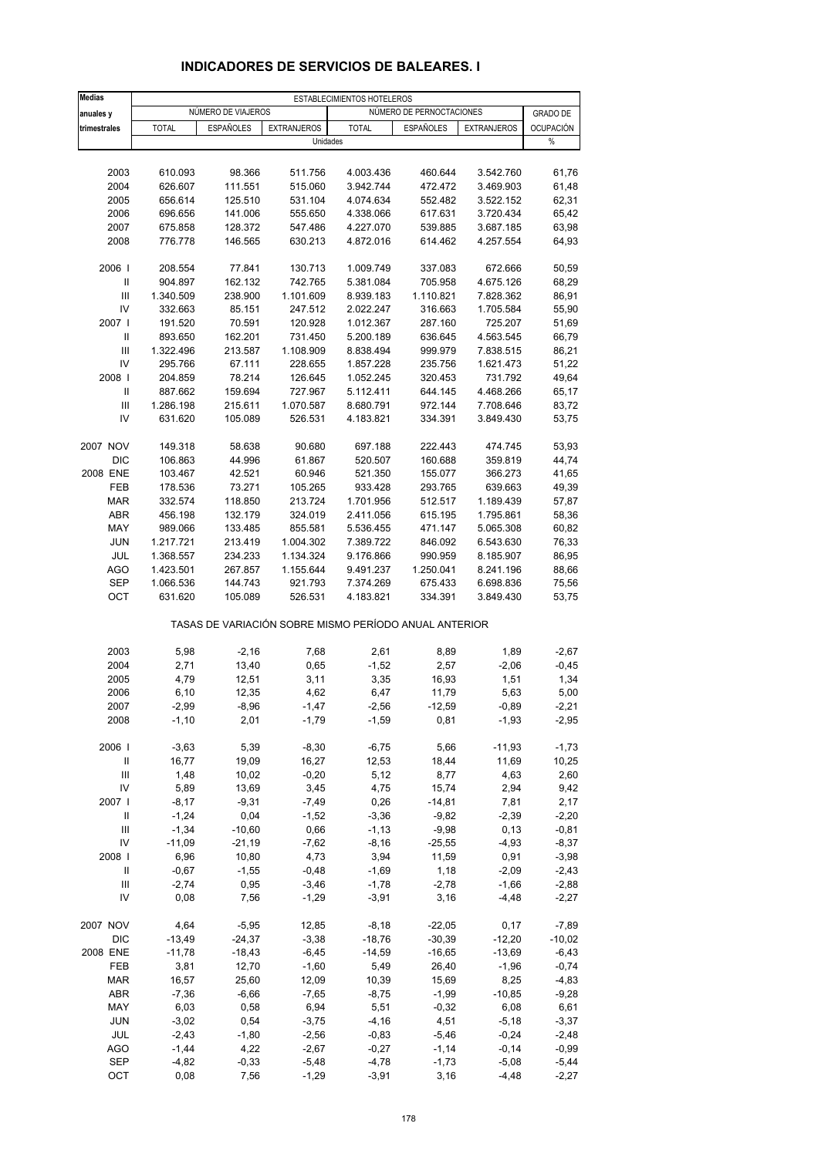| <b>Medias</b>                      |                      |                    |                      | ESTABLECIMIENTOS HOTELEROS                            |                          |                        |                  |
|------------------------------------|----------------------|--------------------|----------------------|-------------------------------------------------------|--------------------------|------------------------|------------------|
| anuales y                          |                      | NÚMERO DE VIAJEROS |                      |                                                       | NÚMERO DE PERNOCTACIONES |                        | <b>GRADO DE</b>  |
| trimestrales                       | <b>TOTAL</b>         | <b>ESPAÑOLES</b>   | <b>EXTRANJEROS</b>   | <b>TOTAL</b>                                          | <b>ESPAÑOLES</b>         | <b>EXTRANJEROS</b>     | <b>OCUPACIÓN</b> |
|                                    |                      |                    | Unidades             |                                                       |                          |                        | $\%$             |
|                                    |                      |                    |                      |                                                       |                          |                        |                  |
| 2003                               | 610.093              | 98.366             | 511.756              | 4.003.436                                             | 460.644                  | 3.542.760              | 61,76            |
| 2004                               | 626.607              | 111.551            | 515.060              | 3.942.744                                             | 472.472                  | 3.469.903              | 61,48            |
| 2005                               | 656.614              | 125.510            | 531.104              | 4.074.634                                             | 552.482                  | 3.522.152              | 62,31            |
| 2006                               | 696.656              | 141.006            | 555.650              | 4.338.066                                             | 617.631                  | 3.720.434              | 65,42            |
| 2007<br>2008                       | 675.858<br>776.778   | 128.372<br>146.565 | 547.486<br>630.213   | 4.227.070<br>4.872.016                                | 539.885<br>614.462       | 3.687.185<br>4.257.554 | 63,98<br>64,93   |
|                                    |                      |                    |                      |                                                       |                          |                        |                  |
| 2006                               | 208.554              | 77.841             | 130.713              | 1.009.749                                             | 337.083                  | 672.666                | 50,59            |
| Ш                                  | 904.897              | 162.132            | 742.765              | 5.381.084                                             | 705.958                  | 4.675.126              | 68,29            |
| Ш<br>IV                            | 1.340.509<br>332.663 | 238.900<br>85.151  | 1.101.609<br>247.512 | 8.939.183<br>2.022.247                                | 1.110.821<br>316.663     | 7.828.362<br>1.705.584 | 86,91<br>55,90   |
| 2007 l                             | 191.520              | 70.591             | 120.928              | 1.012.367                                             | 287.160                  | 725.207                | 51,69            |
| Ш                                  | 893.650              | 162.201            | 731.450              | 5.200.189                                             | 636.645                  | 4.563.545              | 66,79            |
| $\ensuremath{\mathsf{III}}\xspace$ | 1.322.496            | 213.587            | 1.108.909            | 8.838.494                                             | 999.979                  | 7.838.515              | 86,21            |
| IV                                 | 295.766              | 67.111             | 228.655              | 1.857.228                                             | 235.756                  | 1.621.473              | 51,22            |
| 2008                               | 204.859              | 78.214             | 126.645              | 1.052.245                                             | 320.453                  | 731.792                | 49,64            |
| Ш                                  | 887.662              | 159.694            | 727.967              | 5.112.411                                             | 644.145                  | 4.468.266              | 65,17            |
| Ш                                  | 1.286.198            | 215.611            | 1.070.587            | 8.680.791                                             | 972.144                  | 7.708.646              | 83,72            |
| IV                                 | 631.620              | 105.089            | 526.531              | 4.183.821                                             | 334.391                  | 3.849.430              | 53,75            |
| 2007 NOV                           | 149.318              | 58.638             | 90.680               | 697.188                                               | 222.443                  | 474.745                | 53,93            |
| <b>DIC</b>                         | 106.863              | 44.996             | 61.867               | 520.507                                               | 160.688                  | 359.819                | 44,74            |
| 2008 ENE                           | 103.467              | 42.521             | 60.946               | 521.350                                               | 155.077                  | 366.273                | 41,65            |
| FEB                                | 178.536              | 73.271             | 105.265              | 933.428                                               | 293.765                  | 639.663                | 49,39            |
| <b>MAR</b>                         | 332.574              | 118.850            | 213.724              | 1.701.956                                             | 512.517                  | 1.189.439              | 57,87            |
| ABR                                | 456.198              | 132.179            | 324.019              | 2.411.056                                             | 615.195                  | 1.795.861              | 58,36            |
| MAY                                | 989.066              | 133.485            | 855.581              | 5.536.455                                             | 471.147                  | 5.065.308              | 60,82            |
| <b>JUN</b>                         | 1.217.721            | 213.419            | 1.004.302            | 7.389.722                                             | 846.092                  | 6.543.630              | 76,33            |
| JUL                                | 1.368.557            | 234.233            | 1.134.324            | 9.176.866                                             | 990.959                  | 8.185.907              | 86,95            |
| <b>AGO</b>                         | 1.423.501            | 267.857            | 1.155.644            | 9.491.237                                             | 1.250.041                | 8.241.196              | 88,66            |
| SEP                                | 1.066.536            | 144.743            | 921.793              | 7.374.269                                             | 675.433                  | 6.698.836              | 75,56            |
| OCT                                | 631.620              | 105.089            | 526.531              | 4.183.821                                             | 334.391                  | 3.849.430              | 53,75            |
|                                    |                      |                    |                      | TASAS DE VARIACIÓN SOBRE MISMO PERÍODO ANUAL ANTERIOR |                          |                        |                  |
| 2003                               | 5,98                 | $-2,16$            | 7,68                 | 2,61                                                  | 8,89                     | 1,89                   | $-2,67$          |
| 2004                               | 2,71                 | 13,40              | 0,65                 | $-1,52$                                               | 2,57                     | $-2,06$                | $-0,45$          |
| 2005                               | 4,79                 | 12,51              | 3,11                 | 3,35                                                  | 16,93                    | 1,51                   | 1,34             |
| 2006                               | 6, 10                | 12,35              | 4,62                 | 6,47                                                  | 11,79                    | 5,63                   | 5,00             |
| 2007                               | $-2,99$              | -8,96              | -1,47                | $-2,56$                                               | $-12,59$                 | $-0,89$                | -2,21            |
| 2008                               | $-1,10$              | 2,01               | $-1,79$              | $-1,59$                                               | 0,81                     | $-1,93$                | $-2,95$          |
| 2006                               | $-3,63$              | 5,39               | $-8,30$              | $-6,75$                                               | 5,66                     | $-11,93$               | $-1,73$          |
| $\ensuremath{\mathsf{II}}$         | 16,77                | 19,09              | 16,27                | 12,53                                                 | 18,44                    | 11,69                  | 10,25            |
| $\ensuremath{\mathsf{III}}\xspace$ | 1,48                 | 10,02              | $-0,20$              | 5,12                                                  | 8,77                     | 4,63                   | 2,60             |
| IV                                 | 5,89                 | 13,69              | 3,45                 | 4,75                                                  | 15,74                    | 2,94                   | 9,42             |
| 2007                               | $-8,17$              | $-9,31$            | $-7,49$              | 0,26                                                  | $-14,81$                 | 7,81                   | 2,17             |
| Ш                                  | $-1,24$              | 0,04               | $-1,52$              | $-3,36$                                               | $-9,82$                  | $-2,39$                | $-2,20$          |
| Ш                                  | $-1,34$              | $-10,60$           | 0,66                 | $-1,13$                                               | $-9,98$                  | 0,13                   | $-0,81$          |
| IV                                 | $-11,09$             | $-21,19$           | $-7,62$              | $-8,16$                                               | $-25,55$                 | $-4,93$                | $-8,37$          |
| 2008                               | 6,96                 | 10,80              | 4,73                 | 3,94                                                  | 11,59                    | 0,91                   | $-3,98$          |
| Ш                                  | $-0,67$              | $-1,55$            | $-0,48$              | $-1,69$                                               | 1,18                     | $-2,09$                | $-2,43$          |
| Ш                                  | $-2,74$              | 0,95               | $-3,46$              | $-1,78$                                               | $-2,78$                  | $-1,66$                | $-2,88$          |
| IV                                 | 0,08                 | 7,56               | $-1,29$              | $-3,91$                                               | 3,16                     | $-4,48$                | $-2,27$          |
| 2007 NOV                           | 4,64                 | $-5,95$            | 12,85                | $-8,18$                                               | $-22,05$                 | 0,17                   | $-7,89$          |
| DIC                                | $-13,49$             | $-24,37$           | $-3,38$              | $-18,76$                                              | $-30,39$                 | $-12,20$               | $-10,02$         |
| 2008 ENE                           | $-11,78$             | $-18,43$           | $-6,45$              | $-14,59$                                              | $-16,65$                 | $-13,69$               | $-6,43$          |
| FEB                                | 3,81                 | 12,70              | $-1,60$              | 5,49                                                  | 26,40                    | $-1,96$                | $-0,74$          |
| MAR                                | 16,57                | 25,60              | 12,09                | 10,39                                                 | 15,69                    | 8,25                   | $-4,83$          |
| ABR                                | $-7,36$              | $-6,66$            | $-7,65$              | $-8,75$                                               | $-1,99$                  | $-10,85$               | $-9,28$          |
| MAY                                | 6,03                 | 0,58               | 6,94                 | 5,51                                                  | $-0,32$                  | 6,08                   | 6,61             |
| <b>JUN</b>                         | $-3,02$              | 0,54               | $-3,75$              | $-4,16$                                               | 4,51                     | $-5,18$                | $-3,37$          |
| JUL                                | $-2,43$              | $-1,80$            | $-2,56$              | $-0,83$                                               | $-5,46$                  | $-0,24$                | $-2,48$          |
| <b>AGO</b>                         | $-1,44$              | 4,22               | $-2,67$              | $-0,27$                                               | $-1,14$                  | $-0,14$                | $-0,99$          |
| <b>SEP</b><br>OCT                  | $-4,82$              | $-0,33$            | $-5,48$              | $-4,78$                                               | $-1,73$                  | $-5,08$                | $-5,44$          |
|                                    | 0,08                 | 7,56               | $-1,29$              | $-3,91$                                               | 3,16                     | $-4,48$                | $-2,27$          |

# **INDICADORES DE SERVICIOS DE BALEARES. I**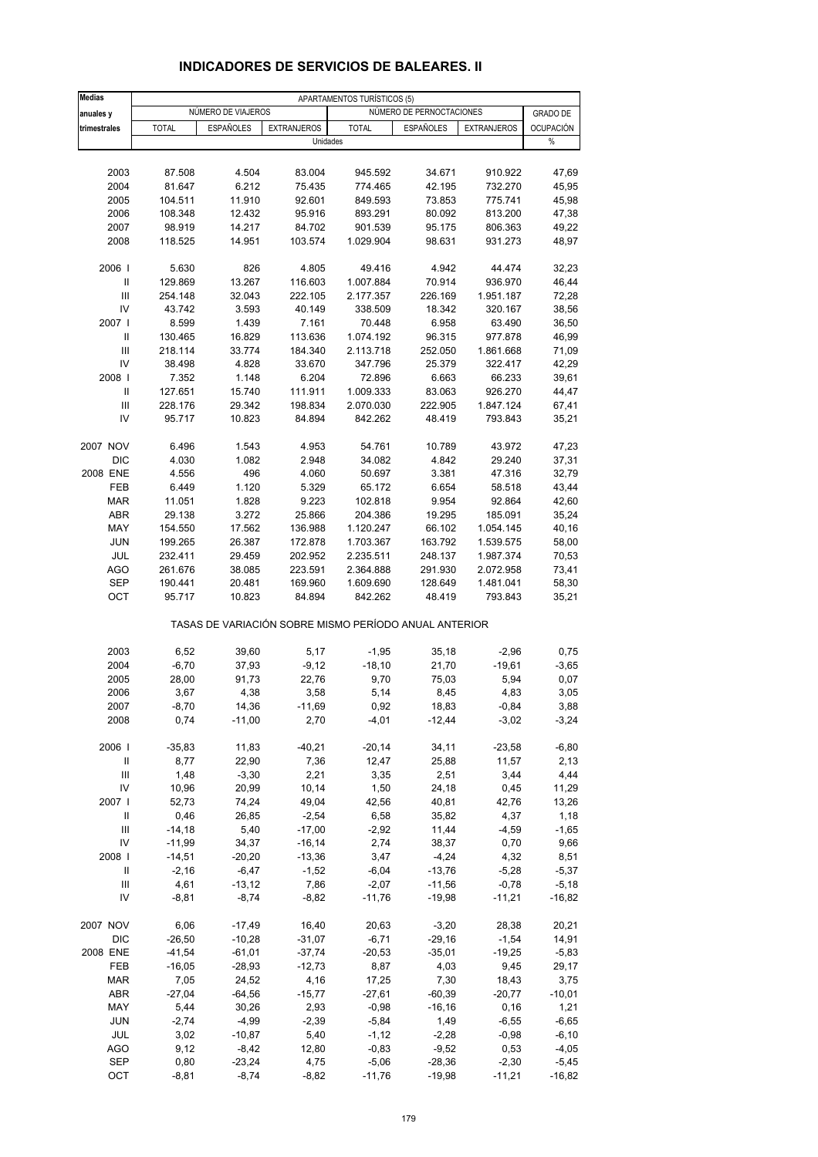| <b>Medias</b>              |              |                    |                                                       | APARTAMENTOS TURÍSTICOS (5) |                          |                    |                  |
|----------------------------|--------------|--------------------|-------------------------------------------------------|-----------------------------|--------------------------|--------------------|------------------|
| anuales y                  |              | NÚMERO DE VIAJEROS |                                                       |                             | NÚMERO DE PERNOCTACIONES |                    | <b>GRADO DE</b>  |
| trimestrales               | <b>TOTAL</b> | <b>ESPAÑOLES</b>   | <b>EXTRANJEROS</b>                                    | <b>TOTAL</b>                | <b>ESPAÑOLES</b>         | <b>EXTRANJEROS</b> | <b>OCUPACIÓN</b> |
|                            |              |                    | Unidades                                              |                             |                          |                    | $\%$             |
|                            |              |                    |                                                       |                             |                          |                    |                  |
| 2003                       | 87.508       | 4.504              | 83.004                                                | 945.592                     | 34.671                   | 910.922            | 47,69            |
| 2004                       | 81.647       | 6.212              | 75.435                                                | 774.465                     | 42.195                   | 732.270            | 45,95            |
| 2005                       | 104.511      | 11.910             | 92.601                                                | 849.593                     | 73.853                   | 775.741            | 45,98            |
| 2006                       | 108.348      | 12.432             | 95.916                                                | 893.291                     | 80.092                   | 813.200            | 47,38            |
| 2007                       | 98.919       | 14.217             | 84.702                                                | 901.539                     | 95.175                   | 806.363            | 49,22            |
| 2008                       | 118.525      | 14.951             | 103.574                                               | 1.029.904                   | 98.631                   | 931.273            | 48,97            |
| 2006                       | 5.630        | 826                | 4.805                                                 | 49.416                      | 4.942                    | 44.474             | 32,23            |
| Ш                          | 129.869      | 13.267             | 116.603                                               | 1.007.884                   | 70.914                   | 936.970            | 46,44            |
| $\mathbf{III}$             | 254.148      | 32.043             | 222.105                                               | 2.177.357                   | 226.169                  | 1.951.187          | 72,28            |
| IV                         | 43.742       | 3.593              | 40.149                                                | 338.509                     | 18.342                   | 320.167            | 38,56            |
| 2007 l                     | 8.599        | 1.439              | 7.161                                                 | 70.448                      | 6.958                    | 63.490             | 36,50            |
| Ш                          | 130.465      | 16.829             | 113.636                                               | 1.074.192                   | 96.315                   | 977.878            | 46,99            |
| $\mathsf{III}$             | 218.114      | 33.774             | 184.340                                               | 2.113.718                   | 252.050                  | 1.861.668          | 71,09            |
| IV                         | 38.498       | 4.828              | 33.670                                                | 347.796                     | 25.379                   | 322.417            | 42,29            |
| 2008                       | 7.352        | 1.148              | 6.204                                                 | 72.896                      | 6.663                    | 66.233             | 39,61            |
| $\ensuremath{\mathsf{II}}$ | 127.651      | 15.740             | 111.911                                               | 1.009.333                   | 83.063                   | 926.270            | 44,47            |
| $\mathsf{III}$             | 228.176      | 29.342             | 198.834                                               | 2.070.030                   | 222.905                  | 1.847.124          | 67,41            |
| IV                         | 95.717       | 10.823             | 84.894                                                | 842.262                     | 48.419                   | 793.843            | 35,21            |
| 2007 NOV                   | 6.496        | 1.543              | 4.953                                                 | 54.761                      | 10.789                   | 43.972             | 47,23            |
| <b>DIC</b>                 | 4.030        | 1.082              | 2.948                                                 | 34.082                      | 4.842                    | 29.240             | 37,31            |
| 2008 ENE                   | 4.556        | 496                | 4.060                                                 | 50.697                      | 3.381                    | 47.316             | 32,79            |
| FEB                        | 6.449        | 1.120              | 5.329                                                 | 65.172                      | 6.654                    | 58.518             | 43,44            |
| <b>MAR</b>                 | 11.051       | 1.828              | 9.223                                                 | 102.818                     | 9.954                    | 92.864             | 42,60            |
| ABR                        | 29.138       | 3.272              | 25.866                                                | 204.386                     | 19.295                   | 185.091            | 35,24            |
| MAY                        | 154.550      | 17.562             | 136.988                                               | 1.120.247                   | 66.102                   | 1.054.145          | 40,16            |
| <b>JUN</b>                 | 199.265      | 26.387             | 172.878                                               | 1.703.367                   | 163.792                  | 1.539.575          | 58,00            |
| <b>JUL</b>                 | 232.411      | 29.459             | 202.952                                               | 2.235.511                   | 248.137                  | 1.987.374          | 70,53            |
| <b>AGO</b>                 | 261.676      | 38.085             | 223.591                                               | 2.364.888                   | 291.930                  | 2.072.958          | 73,41            |
| <b>SEP</b>                 | 190.441      | 20.481             | 169.960                                               | 1.609.690                   | 128.649                  | 1.481.041          | 58,30            |
| OCT                        | 95.717       | 10.823             | 84.894                                                | 842.262                     | 48.419                   | 793.843            | 35,21            |
|                            |              |                    | TASAS DE VARIACIÓN SOBRE MISMO PERÍODO ANUAL ANTERIOR |                             |                          |                    |                  |
| 2003                       | 6,52         | 39,60              | 5,17                                                  | $-1,95$                     | 35,18                    | $-2,96$            | 0,75             |
| 2004                       | $-6,70$      | 37,93              | $-9,12$                                               | $-18,10$                    | 21,70                    | $-19,61$           | $-3,65$          |
| 2005                       | 28,00        | 91,73              | 22,76                                                 | 9,70                        | 75,03                    | 5,94               | 0,07             |
| 2006                       | 3,67         | 4,38               | 3,58                                                  | 5,14                        | 8,45                     | 4,83               | 3,05             |
| 2007                       | $-8,70$      | 14,36              | -11,69                                                | 0,92                        | 18,83                    | $-0,84$            | 3,88             |
| 2008                       | 0,74         | $-11,00$           | 2,70                                                  | $-4,01$                     | $-12,44$                 | $-3,02$            | $-3,24$          |
| 2006                       | $-35,83$     | 11,83              | $-40,21$                                              | $-20,14$                    | 34,11                    | $-23,58$           | $-6,80$          |
| Ш                          | 8,77         | 22,90              | 7,36                                                  | 12,47                       | 25,88                    | 11,57              | 2,13             |
| $\mathsf{III}$             | 1,48         | $-3,30$            | 2,21                                                  | 3,35                        | 2,51                     | 3,44               | 4,44             |
| IV                         | 10,96        | 20,99              | 10,14                                                 | 1,50                        | 24,18                    | 0,45               | 11,29            |
| 2007 l                     | 52,73        | 74,24              | 49,04                                                 | 42,56                       | 40,81                    | 42,76              | 13,26            |
| Ш                          | 0,46         | 26,85              | $-2,54$                                               | 6,58                        | 35,82                    | 4,37               | 1,18             |
| Ш                          | $-14,18$     | 5,40               | $-17,00$                                              | $-2,92$                     | 11,44                    | $-4,59$            | $-1,65$          |
| IV                         | $-11,99$     | 34,37              | $-16,14$                                              | 2,74                        | 38,37                    | 0,70               | 9,66             |
| 2008                       | $-14,51$     | $-20,20$           | $-13,36$                                              | 3,47                        | $-4,24$                  | 4,32               | 8,51             |
| Ш                          | $-2,16$      | $-6,47$            | $-1,52$                                               | $-6,04$                     | $-13,76$                 | $-5,28$            | $-5,37$          |
| Ш                          | 4,61         | $-13,12$           | 7,86                                                  | $-2,07$                     | $-11,56$                 | $-0,78$            | $-5,18$          |
| IV                         | $-8,81$      | $-8,74$            | $-8,82$                                               | $-11,76$                    | $-19,98$                 | $-11,21$           | $-16,82$         |
| 2007 NOV                   | 6,06         | $-17,49$           | 16,40                                                 | 20,63                       | $-3,20$                  | 28,38              | 20,21            |
| DIC                        | $-26,50$     | $-10,28$           | $-31,07$                                              | $-6,71$                     | $-29,16$                 | $-1,54$            | 14,91            |
| 2008 ENE                   | $-41,54$     | $-61,01$           | $-37,74$                                              | $-20,53$                    | $-35,01$                 | $-19,25$           | $-5,83$          |
| FEB                        | $-16,05$     | $-28,93$           | $-12,73$                                              | 8,87                        | 4,03                     | 9,45               | 29,17            |
| MAR                        | 7,05         | 24,52              | 4,16                                                  | 17,25                       | 7,30                     | 18,43              | 3,75             |
| ABR                        | $-27,04$     | $-64,56$           | $-15,77$                                              | $-27,61$                    | $-60,39$                 | $-20,77$           | $-10,01$         |
| MAY                        | 5,44         | 30,26              | 2,93                                                  | $-0,98$                     | $-16, 16$                | 0, 16              | 1,21             |
| <b>JUN</b>                 | $-2,74$      | $-4,99$            | $-2,39$                                               | $-5,84$                     | 1,49                     | $-6,55$            | $-6,65$          |
| JUL                        | 3,02         | $-10,87$           | 5,40                                                  | $-1,12$                     | $-2,28$                  | $-0,98$            | -6,10            |
| <b>AGO</b>                 | 9,12         | $-8,42$            | 12,80                                                 | $-0,83$                     | $-9,52$                  | 0,53               | $-4,05$          |
| <b>SEP</b>                 | 0,80         | $-23,24$           | 4,75                                                  | $-5,06$                     | $-28,36$                 | $-2,30$            | $-5,45$          |
| OCT                        | $-8, 81$     | $-8,74$            | $-8,82$                                               | $-11,76$                    | $-19,98$                 | $-11,21$           | $-16,82$         |

# **INDICADORES DE SERVICIOS DE BALEARES. II**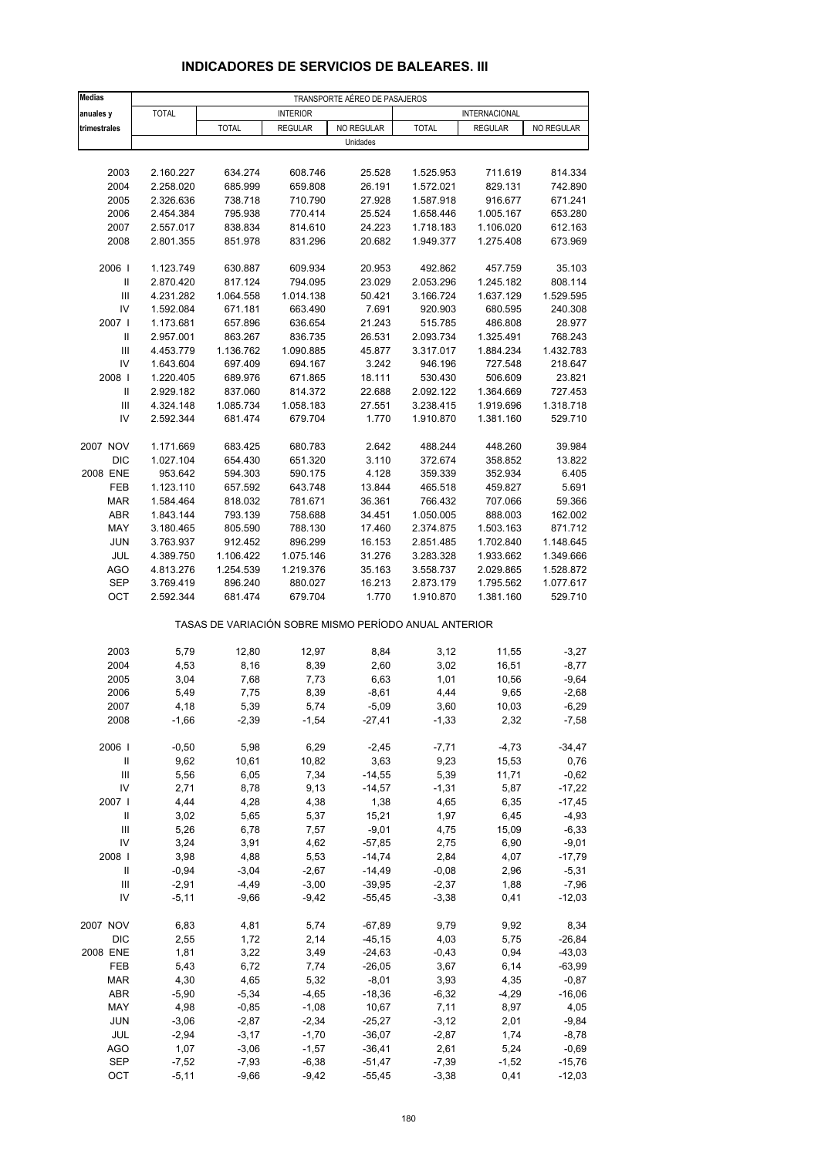| <b>Medias</b>                      | TRANSPORTE AÉREO DE PASAJEROS |                 |                                                       |                     |                        |                      |                  |  |  |
|------------------------------------|-------------------------------|-----------------|-------------------------------------------------------|---------------------|------------------------|----------------------|------------------|--|--|
| anuales y                          | <b>TOTAL</b>                  |                 | <b>INTERIOR</b>                                       |                     |                        | <b>INTERNACIONAL</b> |                  |  |  |
| trimestrales                       |                               | <b>TOTAL</b>    | <b>REGULAR</b>                                        | NO REGULAR          | <b>TOTAL</b>           | <b>REGULAR</b>       | NO REGULAR       |  |  |
|                                    |                               |                 |                                                       | Unidades            |                        |                      |                  |  |  |
|                                    |                               |                 |                                                       |                     |                        |                      |                  |  |  |
| 2003                               | 2.160.227                     | 634.274         | 608.746                                               | 25.528              | 1.525.953              | 711.619              | 814.334          |  |  |
| 2004                               | 2.258.020                     | 685.999         | 659.808                                               | 26.191              | 1.572.021              | 829.131              | 742.890          |  |  |
| 2005                               | 2.326.636                     | 738.718         | 710.790                                               | 27.928              | 1.587.918              | 916.677              | 671.241          |  |  |
| 2006                               | 2.454.384                     | 795.938         | 770.414                                               | 25.524              | 1.658.446              | 1.005.167            | 653.280          |  |  |
| 2007                               | 2.557.017                     |                 | 814.610                                               | 24.223              |                        | 1.106.020            | 612.163          |  |  |
|                                    |                               | 838.834         |                                                       |                     | 1.718.183<br>1.949.377 | 1.275.408            |                  |  |  |
| 2008                               | 2.801.355                     | 851.978         | 831.296                                               | 20.682              |                        |                      | 673.969          |  |  |
| 2006                               | 1.123.749                     | 630.887         | 609.934                                               | 20.953              | 492.862                | 457.759              | 35.103           |  |  |
| $\ensuremath{\mathsf{II}}$         | 2.870.420                     | 817.124         | 794.095                                               | 23.029              | 2.053.296              | 1.245.182            | 808.114          |  |  |
| Ш                                  | 4.231.282                     | 1.064.558       | 1.014.138                                             | 50.421              | 3.166.724              | 1.637.129            | 1.529.595        |  |  |
| IV                                 | 1.592.084                     | 671.181         | 663.490                                               | 7.691               | 920.903                | 680.595              | 240.308          |  |  |
| 2007 l                             | 1.173.681                     | 657.896         | 636.654                                               | 21.243              | 515.785                | 486.808              | 28.977           |  |  |
| Ш                                  | 2.957.001                     | 863.267         | 836.735                                               | 26.531              | 2.093.734              | 1.325.491            | 768.243          |  |  |
| $\ensuremath{\mathsf{III}}\xspace$ | 4.453.779                     | 1.136.762       | 1.090.885                                             | 45.877              | 3.317.017              | 1.884.234            | 1.432.783        |  |  |
| IV                                 | 1.643.604                     | 697.409         | 694.167                                               | 3.242               | 946.196                | 727.548              | 218.647          |  |  |
| 2008                               | 1.220.405                     | 689.976         | 671.865                                               | 18.111              | 530.430                | 506.609              | 23.821           |  |  |
| $\ensuremath{\mathsf{II}}$         | 2.929.182                     | 837.060         | 814.372                                               | 22.688              | 2.092.122              | 1.364.669            | 727.453          |  |  |
| $\ensuremath{\mathsf{III}}\xspace$ | 4.324.148                     | 1.085.734       | 1.058.183                                             | 27.551              | 3.238.415              | 1.919.696            | 1.318.718        |  |  |
| IV                                 | 2.592.344                     | 681.474         | 679.704                                               | 1.770               | 1.910.870              | 1.381.160            | 529.710          |  |  |
|                                    |                               |                 |                                                       |                     |                        |                      |                  |  |  |
| 2007 NOV                           | 1.171.669                     | 683.425         | 680.783                                               | 2.642               | 488.244                | 448.260              | 39.984           |  |  |
| <b>DIC</b>                         | 1.027.104                     | 654.430         | 651.320                                               | 3.110               | 372.674                | 358.852              | 13.822           |  |  |
| 2008 ENE                           | 953.642                       | 594.303         | 590.175                                               | 4.128               | 359.339                | 352.934              | 6.405            |  |  |
| FEB                                | 1.123.110                     | 657.592         | 643.748                                               | 13.844              | 465.518                | 459.827              | 5.691            |  |  |
| <b>MAR</b>                         | 1.584.464                     | 818.032         | 781.671                                               | 36.361              | 766.432                | 707.066              | 59.366           |  |  |
| ABR                                | 1.843.144                     | 793.139         | 758.688                                               | 34.451              | 1.050.005              | 888.003              | 162.002          |  |  |
| MAY                                | 3.180.465                     | 805.590         | 788.130                                               | 17.460              | 2.374.875              | 1.503.163            | 871.712          |  |  |
| <b>JUN</b>                         | 3.763.937                     | 912.452         | 896.299                                               | 16.153              | 2.851.485              | 1.702.840            | 1.148.645        |  |  |
| JUL                                | 4.389.750                     | 1.106.422       | 1.075.146                                             | 31.276              | 3.283.328              | 1.933.662            | 1.349.666        |  |  |
| <b>AGO</b>                         | 4.813.276                     | 1.254.539       | 1.219.376                                             | 35.163              | 3.558.737              | 2.029.865            | 1.528.872        |  |  |
| SEP                                | 3.769.419                     | 896.240         | 880.027                                               | 16.213              | 2.873.179              | 1.795.562            | 1.077.617        |  |  |
| OCT                                | 2.592.344                     | 681.474         | 679.704                                               | 1.770               | 1.910.870              | 1.381.160            | 529.710          |  |  |
|                                    |                               |                 | TASAS DE VARIACIÓN SOBRE MISMO PERÍODO ANUAL ANTERIOR |                     |                        |                      |                  |  |  |
| 2003                               | 5,79                          | 12,80           | 12,97                                                 | 8,84                | 3,12                   | 11,55                | $-3,27$          |  |  |
| 2004                               | 4,53                          | 8,16            | 8,39                                                  | 2,60                | 3,02                   | 16,51                | $-8,77$          |  |  |
| 2005                               | 3,04                          | 7,68            | 7,73                                                  | 6,63                | 1,01                   | 10,56                | $-9,64$          |  |  |
| 2006                               | 5,49                          | 7,75            | 8,39                                                  | $-8,61$             | 4,44                   | 9,65                 | $-2,68$          |  |  |
|                                    |                               |                 |                                                       |                     |                        |                      |                  |  |  |
| 2007<br>2008                       | 4,18<br>$-1,66$               | 5,39<br>$-2,39$ | 5,74<br>$-1,54$                                       | $-5,09$<br>$-27,41$ | 3,60<br>$-1,33$        | 10,03<br>2,32        | -6,29<br>$-7,58$ |  |  |
|                                    |                               |                 |                                                       |                     |                        |                      |                  |  |  |
| 2006                               | $-0,50$                       | 5,98            | 6,29                                                  | $-2,45$             | $-7,71$                | $-4,73$              | $-34,47$         |  |  |
| $\, \parallel$                     | 9,62                          | 10,61           | 10,82                                                 | 3,63                | 9,23                   | 15,53                | 0,76             |  |  |
| $\mathsf{III}$                     | 5,56                          | 6,05            | 7,34                                                  | $-14,55$            | 5,39                   | 11,71                | $-0,62$          |  |  |
| IV                                 | 2,71                          | 8,78            | 9,13                                                  | $-14,57$            | $-1,31$                | 5,87                 | $-17,22$         |  |  |
| 2007 l                             | 4,44                          | 4,28            | 4,38                                                  | 1,38                | 4,65                   | 6,35                 | $-17,45$         |  |  |
| Ш                                  | 3,02                          | 5,65            | 5,37                                                  | 15,21               | 1,97                   | 6,45                 | $-4,93$          |  |  |
| Ш                                  | 5,26                          | 6,78            | 7,57                                                  | $-9,01$             | 4,75                   | 15,09                | $-6,33$          |  |  |
| IV                                 | 3,24                          | 3,91            | 4,62                                                  | $-57,85$            | 2,75                   | 6,90                 | $-9,01$          |  |  |
| 2008                               | 3,98                          | 4,88            | 5,53                                                  | $-14,74$            | 2,84                   | 4,07                 | $-17,79$         |  |  |
| Ш                                  | $-0,94$                       | $-3,04$         | $-2,67$                                               | $-14,49$            | $-0,08$                | 2,96                 | $-5,31$          |  |  |
| $\ensuremath{\mathsf{III}}\xspace$ | $-2,91$                       | $-4,49$         | $-3,00$                                               | $-39,95$            | $-2,37$                | 1,88                 | $-7,96$          |  |  |
| IV                                 | $-5,11$                       | $-9,66$         | $-9,42$                                               | $-55,45$            | $-3,38$                | 0,41                 | $-12,03$         |  |  |
| 2007 NOV                           | 6,83                          | 4,81            | 5,74                                                  | $-67,89$            | 9,79                   | 9,92                 | 8,34             |  |  |
| <b>DIC</b>                         | 2,55                          | 1,72            | 2,14                                                  | $-45, 15$           | 4,03                   | 5,75                 | $-26, 84$        |  |  |
| 2008 ENE                           | 1,81                          | 3,22            | 3,49                                                  | $-24,63$            | $-0,43$                | 0,94                 | $-43,03$         |  |  |
| FEB                                | 5,43                          | 6,72            | 7,74                                                  | $-26,05$            | 3,67                   | 6,14                 | $-63,99$         |  |  |
| <b>MAR</b>                         | 4,30                          | 4,65            | 5,32                                                  | $-8,01$             | 3,93                   | 4,35                 | $-0,87$          |  |  |
| ABR                                | -5,90                         | $-5,34$         | $-4,65$                                               | $-18,36$            | $-6,32$                | $-4,29$              | $-16,06$         |  |  |
| MAY                                | 4,98                          | $-0,85$         | $-1,08$                                               | 10,67               | 7,11                   | 8,97                 | 4,05             |  |  |
| <b>JUN</b>                         | $-3,06$                       | $-2,87$         | $-2,34$                                               | $-25,27$            | $-3,12$                | 2,01                 | $-9,84$          |  |  |
| JUL                                | $-2,94$                       | $-3,17$         | $-1,70$                                               | $-36,07$            | $-2,87$                | 1,74                 | $-8,78$          |  |  |

#### **INDICADORES DE SERVICIOS DE BALEARES. III**

AGO 1,07 -3,06 -1,57 -36,41 2,61 5,24 -0,69 SEP -7,52 -7,93 -6,38 -51,47 -7,39 -1,52 -15,76 OCT -5,11 -9,66 -9,42 -55,45 -3,38 0,41 -12,03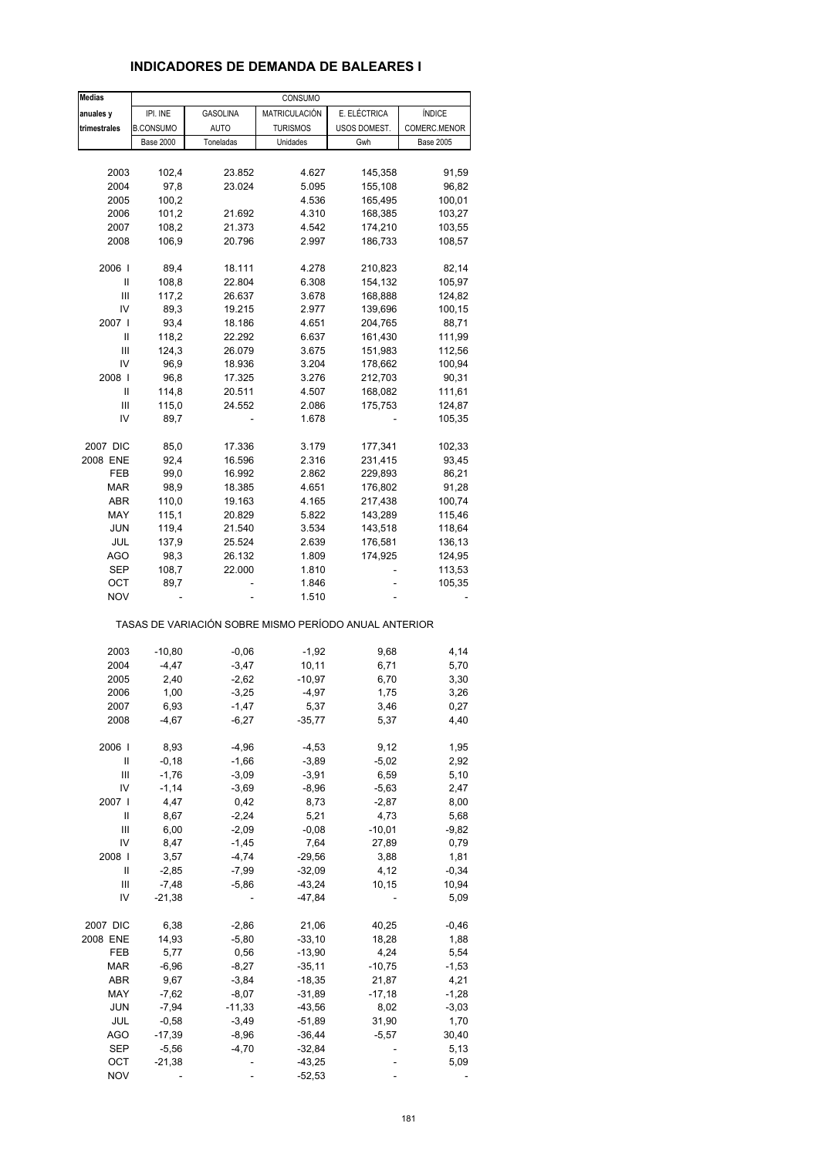| <b>Medias</b> |                  |                 | CONSUMO                                               |              |                  |
|---------------|------------------|-----------------|-------------------------------------------------------|--------------|------------------|
| anuales y     | IPI. INE         | <b>GASOLINA</b> | MATRICULACIÓN                                         | E. ELÉCTRICA | ÍNDICE           |
| trimestrales  | <b>B.CONSUMO</b> | <b>AUTO</b>     | <b>TURISMOS</b>                                       | USOS DOMEST. | COMERC.MENOR     |
|               | <b>Base 2000</b> | Toneladas       | Unidades                                              | Gwh          | <b>Base 2005</b> |
|               |                  |                 |                                                       |              |                  |
| 2003          | 102,4            | 23.852          | 4.627                                                 | 145,358      | 91,59            |
| 2004          | 97,8             | 23.024          | 5.095                                                 | 155,108      | 96,82            |
| 2005          | 100,2            |                 | 4.536                                                 | 165,495      | 100,01           |
|               |                  |                 |                                                       |              |                  |
| 2006          | 101,2            | 21.692          | 4.310                                                 | 168,385      | 103,27           |
| 2007          | 108,2            | 21.373          | 4.542                                                 | 174,210      | 103,55           |
| 2008          | 106,9            | 20.796          | 2.997                                                 | 186,733      | 108,57           |
| 2006          | 89,4             | 18.111          | 4.278                                                 | 210,823      | 82,14            |
| Ш             |                  |                 |                                                       |              |                  |
|               | 108,8            | 22.804          | 6.308                                                 | 154,132      | 105,97           |
| Ш             | 117,2            | 26.637          | 3.678                                                 | 168,888      | 124,82           |
| IV            | 89,3             | 19.215          | 2.977                                                 | 139,696      | 100,15           |
| 2007          | 93,4             | 18.186          | 4.651                                                 | 204,765      | 88,71            |
| Ш             | 118,2            | 22.292          | 6.637                                                 | 161,430      | 111,99           |
| Ш             | 124,3            | 26.079          | 3.675                                                 | 151,983      | 112,56           |
| IV            | 96,9             | 18.936          | 3.204                                                 | 178,662      | 100,94           |
| 2008          | 96,8             | 17.325          | 3.276                                                 | 212,703      | 90,31            |
| Ш             | 114,8            | 20.511          | 4.507                                                 | 168,082      | 111,61           |
| Ш             | 115,0            | 24.552          | 2.086                                                 | 175,753      | 124,87           |
| IV            | 89,7             |                 | 1.678                                                 |              | 105,35           |
|               |                  |                 |                                                       |              |                  |
| 2007 DIC      | 85,0             | 17.336          | 3.179                                                 | 177,341      | 102,33           |
| 2008 ENE      | 92,4             | 16.596          | 2.316                                                 | 231,415      | 93,45            |
| FEB           | 99,0             | 16.992          | 2.862                                                 | 229,893      | 86,21            |
| MAR           | 98,9             | 18.385          | 4.651                                                 | 176,802      | 91,28            |
| ABR           | 110,0            | 19.163          | 4.165                                                 | 217,438      | 100,74           |
| MAY           | 115,1            | 20.829          | 5.822                                                 | 143,289      | 115,46           |
| <b>JUN</b>    | 119,4            | 21.540          | 3.534                                                 | 143,518      | 118,64           |
| JUL           | 137,9            | 25.524          | 2.639                                                 | 176,581      | 136,13           |
| AGO           | 98,3             | 26.132          | 1.809                                                 | 174,925      |                  |
|               |                  |                 |                                                       |              | 124,95           |
| SEP           | 108,7            | 22.000          | 1.810                                                 |              | 113,53           |
| ОСТ           | 89,7             | ä,              | 1.846                                                 |              | 105,35           |
| <b>NOV</b>    |                  |                 | 1.510                                                 |              |                  |
|               |                  |                 | TASAS DE VARIACIÓN SOBRE MISMO PERÍODO ANUAL ANTERIOR |              |                  |
| 2003          | $-10,80$         | $-0,06$         | $-1,92$                                               | 9,68         | 4,14             |
| 2004          | $-4,47$          | $-3,47$         | 10,11                                                 | 6,71         | 5,70             |
| 2005          | 2,40             | $-2,62$         | -10,97                                                | 6,70         | 3,30             |
| 2006          | 1,00             | $-3,25$         | $-4,97$                                               | 1,75         | 3,26             |
| 2007          | 6,93             | $-1,47$         | 5,37                                                  | 3,46         | 0,27             |
| 2008          | $-4,67$          | $-6,27$         | $-35,77$                                              | 5,37         | 4,40             |
|               |                  |                 |                                                       |              |                  |
| 2006          | 8,93             | $-4,96$         | $-4,53$                                               | 9,12         | 1,95             |
| Ш             | $-0,18$          | $-1,66$         | $-3,89$                                               | $-5,02$      | 2,92             |
| Ш             | $-1,76$          | $-3,09$         | $-3,91$                                               | 6,59         | 5,10             |
| IV            | $-1,14$          | $-3,69$         | $-8,96$                                               | $-5,63$      | 2,47             |
| 2007          | 4,47             | 0,42            | 8,73                                                  | $-2,87$      | 8,00             |
| Ш             | 8,67             | $-2,24$         | 5,21                                                  | 4,73         | 5,68             |
| Ш             | 6,00             | $-2,09$         | $-0,08$                                               | $-10,01$     | $-9,82$          |
| IV            | 8,47             | $-1,45$         | 7,64                                                  | 27,89        | 0,79             |
| 2008          | 3,57             | $-4,74$         | $-29,56$                                              | 3,88         | 1,81             |
| Ш             | $-2,85$          | $-7,99$         | $-32,09$                                              | 4,12         | $-0,34$          |
| Ш             | $-7,48$          | $-5,86$         | $-43,24$                                              | 10,15        | 10,94            |
| IV            | $-21,38$         |                 | $-47,84$                                              |              | 5,09             |
|               |                  |                 |                                                       |              |                  |
| 2007 DIC      | 6,38             | $-2,86$         | 21,06                                                 | 40,25        | $-0,46$          |
| 2008 ENE      | 14,93            | $-5,80$         | $-33,10$                                              | 18,28        | 1,88             |
| FEB           | 5,77             | 0,56            | $-13,90$                                              | 4,24         | 5,54             |
| $\sf{MAR}$    | $-6,96$          | $-8,27$         | $-35,11$                                              | $-10,75$     | $-1,53$          |
| ABR           | 9,67             | $-3,84$         | $-18,35$                                              | 21,87        | 4,21             |
| MAY           | $-7,62$          | $-8,07$         | $-31,89$                                              | $-17,18$     | $-1,28$          |
| <b>JUN</b>    | $-7,94$          | $-11,33$        | $-43,56$                                              | 8,02         | $-3,03$          |
|               |                  |                 |                                                       |              |                  |
| JUL           | $-0,58$          | $-3,49$         | $-51,89$                                              | 31,90        | 1,70             |
| <b>AGO</b>    | $-17,39$         | $-8,96$         | $-36,44$                                              | $-5,57$      | 30,40            |
| <b>SEP</b>    | $-5,56$          | $-4,70$         | $-32,84$                                              |              | 5,13             |
| ОСТ           | $-21,38$         |                 | $-43,25$                                              |              | 5,09             |
| <b>NOV</b>    |                  |                 | $-52,53$                                              |              |                  |

# **INDICADORES DE DEMANDA DE BALEARES I**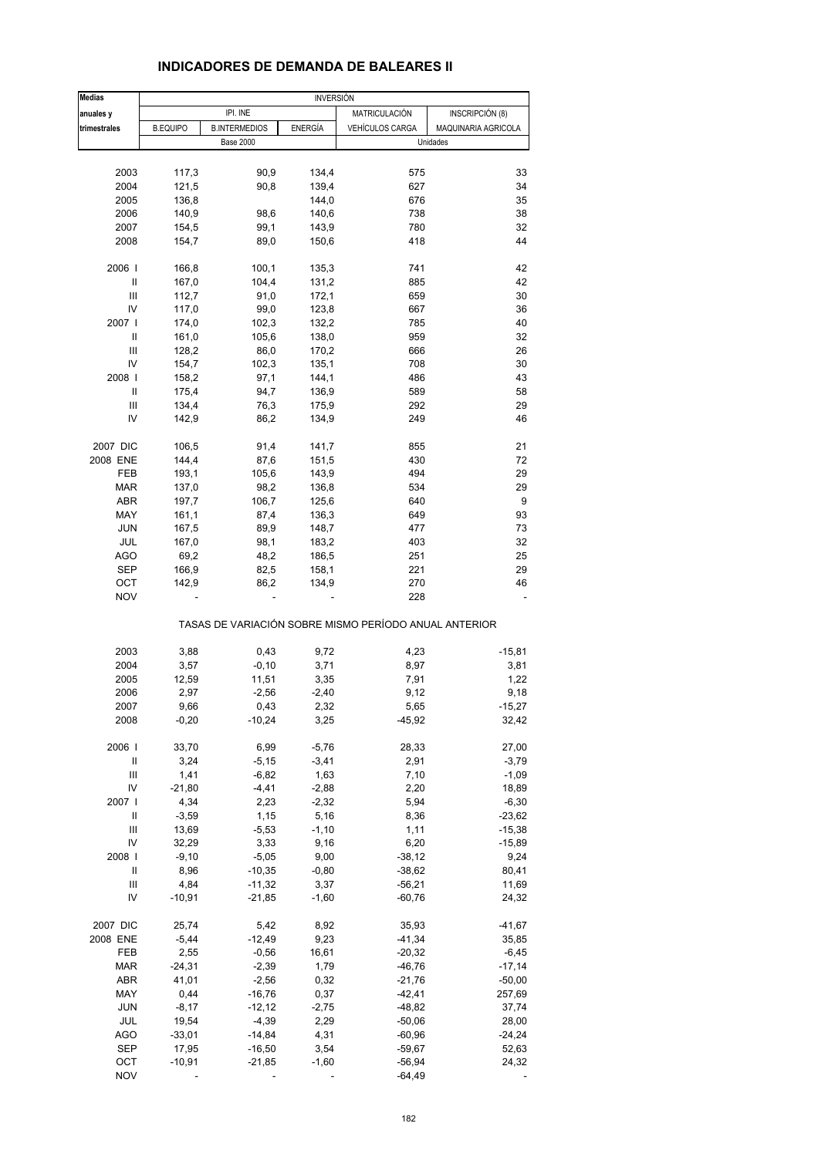| <b>Medias</b>                                                                                                                                                                                                                                                                                                                                                                                                                                                                                                                            | <b>INVERSIÓN</b> |                      |                |                                                       |                     |  |  |
|------------------------------------------------------------------------------------------------------------------------------------------------------------------------------------------------------------------------------------------------------------------------------------------------------------------------------------------------------------------------------------------------------------------------------------------------------------------------------------------------------------------------------------------|------------------|----------------------|----------------|-------------------------------------------------------|---------------------|--|--|
| anuales y                                                                                                                                                                                                                                                                                                                                                                                                                                                                                                                                |                  | IPI. INE             |                | MATRICULACIÓN                                         | INSCRIPCIÓN (8)     |  |  |
| trimestrales                                                                                                                                                                                                                                                                                                                                                                                                                                                                                                                             | <b>B.EQUIPO</b>  | <b>B.INTERMEDIOS</b> | <b>ENERGÍA</b> | VEHÍCULOS CARGA                                       | MAQUINARIA AGRICOLA |  |  |
|                                                                                                                                                                                                                                                                                                                                                                                                                                                                                                                                          |                  | <b>Base 2000</b>     |                |                                                       | Unidades            |  |  |
|                                                                                                                                                                                                                                                                                                                                                                                                                                                                                                                                          |                  |                      |                |                                                       |                     |  |  |
| 2003                                                                                                                                                                                                                                                                                                                                                                                                                                                                                                                                     | 117,3            | 90,9                 | 134,4          | 575                                                   | 33                  |  |  |
| 2004                                                                                                                                                                                                                                                                                                                                                                                                                                                                                                                                     | 121,5            | 90,8                 | 139,4          | 627                                                   | 34                  |  |  |
| 2005                                                                                                                                                                                                                                                                                                                                                                                                                                                                                                                                     | 136,8            |                      | 144,0          | 676                                                   | 35                  |  |  |
| 2006                                                                                                                                                                                                                                                                                                                                                                                                                                                                                                                                     | 140,9            | 98,6                 | 140,6          | 738                                                   | 38                  |  |  |
| 2007                                                                                                                                                                                                                                                                                                                                                                                                                                                                                                                                     | 154,5            | 99,1                 | 143,9          | 780                                                   | 32                  |  |  |
|                                                                                                                                                                                                                                                                                                                                                                                                                                                                                                                                          |                  | 89,0                 |                | 418                                                   | 44                  |  |  |
| 2008                                                                                                                                                                                                                                                                                                                                                                                                                                                                                                                                     | 154,7            |                      | 150,6          |                                                       |                     |  |  |
| 2006                                                                                                                                                                                                                                                                                                                                                                                                                                                                                                                                     | 166,8            | 100,1                | 135,3          | 741                                                   | 42                  |  |  |
| Ш                                                                                                                                                                                                                                                                                                                                                                                                                                                                                                                                        | 167,0            | 104,4                | 131,2          | 885                                                   | 42                  |  |  |
| Ш                                                                                                                                                                                                                                                                                                                                                                                                                                                                                                                                        | 112,7            | 91,0                 | 172,1          | 659                                                   | 30                  |  |  |
| IV                                                                                                                                                                                                                                                                                                                                                                                                                                                                                                                                       | 117,0            | 99,0                 | 123,8          | 667                                                   | 36                  |  |  |
| 2007                                                                                                                                                                                                                                                                                                                                                                                                                                                                                                                                     | 174,0            | 102,3                | 132,2          | 785                                                   | 40                  |  |  |
| Ш                                                                                                                                                                                                                                                                                                                                                                                                                                                                                                                                        | 161,0            | 105,6                | 138,0          | 959                                                   | 32                  |  |  |
| Ш                                                                                                                                                                                                                                                                                                                                                                                                                                                                                                                                        | 128,2            | 86,0                 | 170,2          | 666                                                   | 26                  |  |  |
| IV                                                                                                                                                                                                                                                                                                                                                                                                                                                                                                                                       | 154,7            | 102,3                | 135,1          | 708                                                   | 30                  |  |  |
| 2008                                                                                                                                                                                                                                                                                                                                                                                                                                                                                                                                     | 158,2            | 97,1                 | 144,1          | 486                                                   | 43                  |  |  |
| Ш                                                                                                                                                                                                                                                                                                                                                                                                                                                                                                                                        | 175,4            | 94,7                 |                | 589                                                   | 58                  |  |  |
|                                                                                                                                                                                                                                                                                                                                                                                                                                                                                                                                          |                  |                      | 136,9          |                                                       |                     |  |  |
| Ш                                                                                                                                                                                                                                                                                                                                                                                                                                                                                                                                        | 134,4            | 76,3                 | 175,9          | 292                                                   | 29                  |  |  |
| IV                                                                                                                                                                                                                                                                                                                                                                                                                                                                                                                                       | 142,9            | 86,2                 | 134,9          | 249                                                   | 46                  |  |  |
| 2007 DIC                                                                                                                                                                                                                                                                                                                                                                                                                                                                                                                                 | 106,5            | 91,4                 | 141,7          | 855                                                   | 21                  |  |  |
| 2008 ENE                                                                                                                                                                                                                                                                                                                                                                                                                                                                                                                                 | 144,4            | 87,6                 | 151,5          | 430                                                   | 72                  |  |  |
| FEB                                                                                                                                                                                                                                                                                                                                                                                                                                                                                                                                      | 193,1            | 105,6                | 143,9          | 494                                                   | 29                  |  |  |
| <b>MAR</b>                                                                                                                                                                                                                                                                                                                                                                                                                                                                                                                               | 137,0            | 98,2                 | 136,8          | 534                                                   | 29                  |  |  |
| ABR                                                                                                                                                                                                                                                                                                                                                                                                                                                                                                                                      | 197,7            | 106,7                | 125,6          | 640                                                   | 9                   |  |  |
| MAY                                                                                                                                                                                                                                                                                                                                                                                                                                                                                                                                      | 161,1            | 87,4                 | 136,3          | 649                                                   | 93                  |  |  |
| JUN                                                                                                                                                                                                                                                                                                                                                                                                                                                                                                                                      | 167,5            | 89,9                 | 148,7          | 477                                                   | 73                  |  |  |
|                                                                                                                                                                                                                                                                                                                                                                                                                                                                                                                                          |                  |                      |                |                                                       |                     |  |  |
| JUL                                                                                                                                                                                                                                                                                                                                                                                                                                                                                                                                      | 167,0            | 98,1                 | 183,2          | 403                                                   | 32                  |  |  |
| <b>AGO</b>                                                                                                                                                                                                                                                                                                                                                                                                                                                                                                                               | 69,2             | 48,2                 | 186,5          | 251                                                   | 25                  |  |  |
| <b>SEP</b>                                                                                                                                                                                                                                                                                                                                                                                                                                                                                                                               | 166,9            | 82,5                 | 158,1          | 221                                                   | 29                  |  |  |
| ост                                                                                                                                                                                                                                                                                                                                                                                                                                                                                                                                      | 142,9            | 86,2                 | 134,9          | 270                                                   | 46                  |  |  |
| <b>NOV</b>                                                                                                                                                                                                                                                                                                                                                                                                                                                                                                                               |                  |                      |                | 228                                                   |                     |  |  |
|                                                                                                                                                                                                                                                                                                                                                                                                                                                                                                                                          |                  |                      |                | TASAS DE VARIACIÓN SOBRE MISMO PERÍODO ANUAL ANTERIOR |                     |  |  |
| 2003                                                                                                                                                                                                                                                                                                                                                                                                                                                                                                                                     | 3,88             | 0,43                 | 9,72           | 4,23                                                  | $-15,81$            |  |  |
| 2004                                                                                                                                                                                                                                                                                                                                                                                                                                                                                                                                     | 3,57             | $-0,10$              | 3,71           | 8,97                                                  | 3,81                |  |  |
| 2005                                                                                                                                                                                                                                                                                                                                                                                                                                                                                                                                     | 12,59            | 11,51                | 3,35           | 7,91                                                  | 1,22                |  |  |
| 2006                                                                                                                                                                                                                                                                                                                                                                                                                                                                                                                                     |                  | $-2,56$              |                | 9,12                                                  |                     |  |  |
|                                                                                                                                                                                                                                                                                                                                                                                                                                                                                                                                          | 2,97             |                      | $-2,40$        |                                                       | 9,18                |  |  |
| 2007                                                                                                                                                                                                                                                                                                                                                                                                                                                                                                                                     | 9,66             | 0,43                 | 2,32           | 5,65                                                  | $-15,27$            |  |  |
| 2008                                                                                                                                                                                                                                                                                                                                                                                                                                                                                                                                     | $-0,20$          | $-10,24$             | 3,25           | $-45,92$                                              | 32,42               |  |  |
| 2006                                                                                                                                                                                                                                                                                                                                                                                                                                                                                                                                     | 33,70            | 6,99                 | $-5,76$        | 28,33                                                 | 27,00               |  |  |
| $\mathop{\mathrm{II}}% \nolimits_{\mathop{\mathrm{II}}% \nolimits} \mathop{\mathrm{II}}% \nolimits_{\mathop{\mathrm{II}}% \nolimits} \mathop{\mathrm{II}}% \nolimits_{\mathop{\mathrm{II}}% \nolimits} \mathop{\mathrm{II}}% \nolimits_{\mathop{\mathrm{II}}% \nolimits} \mathop{\mathrm{II}}% \nolimits_{\mathop{\mathrm{II}}% \nolimits} \mathop{\mathrm{II}}% \nolimits_{\mathop{\mathrm{II}}% \nolimits} \mathop{\mathrm{II}}% \nolimits_{\mathop{\mathrm{II}}% \nolimits} \mathop{\mathrm{II}}% \nolimits_{\mathop{\mathrm{II}}% \$ | 3,24             | $-5,15$              | $-3,41$        | 2,91                                                  | $-3,79$             |  |  |
| Ш                                                                                                                                                                                                                                                                                                                                                                                                                                                                                                                                        | 1,41             | $-6,82$              | 1,63           | 7,10                                                  | $-1,09$             |  |  |
| IV                                                                                                                                                                                                                                                                                                                                                                                                                                                                                                                                       | $-21,80$         | $-4,41$              | $-2,88$        | 2,20                                                  | 18,89               |  |  |
| 2007 l                                                                                                                                                                                                                                                                                                                                                                                                                                                                                                                                   | 4,34             | 2,23                 | $-2,32$        | 5,94                                                  | $-6,30$             |  |  |
| Ш                                                                                                                                                                                                                                                                                                                                                                                                                                                                                                                                        | $-3,59$          | 1,15                 | 5,16           | 8,36                                                  | $-23,62$            |  |  |
| Ш                                                                                                                                                                                                                                                                                                                                                                                                                                                                                                                                        | 13,69            | $-5,53$              | $-1,10$        | 1,11                                                  | $-15,38$            |  |  |
| IV                                                                                                                                                                                                                                                                                                                                                                                                                                                                                                                                       | 32,29            | 3,33                 | 9,16           | 6,20                                                  | $-15,89$            |  |  |
|                                                                                                                                                                                                                                                                                                                                                                                                                                                                                                                                          |                  |                      |                |                                                       |                     |  |  |
| 2008                                                                                                                                                                                                                                                                                                                                                                                                                                                                                                                                     | $-9,10$          | $-5,05$              | 9,00           | $-38,12$                                              | 9,24                |  |  |
| Ш                                                                                                                                                                                                                                                                                                                                                                                                                                                                                                                                        | 8,96             | $-10,35$             | $-0,80$        | $-38,62$                                              | 80,41               |  |  |
| Ш                                                                                                                                                                                                                                                                                                                                                                                                                                                                                                                                        | 4,84             | $-11,32$             | 3,37           | $-56,21$                                              | 11,69               |  |  |
| IV                                                                                                                                                                                                                                                                                                                                                                                                                                                                                                                                       | $-10,91$         | $-21,85$             | $-1,60$        | $-60,76$                                              | 24,32               |  |  |
| 2007 DIC                                                                                                                                                                                                                                                                                                                                                                                                                                                                                                                                 | 25,74            | 5,42                 | 8,92           | 35,93                                                 | $-41,67$            |  |  |
| 2008 ENE                                                                                                                                                                                                                                                                                                                                                                                                                                                                                                                                 | $-5,44$          | $-12,49$             | 9,23           | $-41,34$                                              | 35,85               |  |  |
| FEB                                                                                                                                                                                                                                                                                                                                                                                                                                                                                                                                      | 2,55             | $-0,56$              | 16,61          | $-20,32$                                              | $-6,45$             |  |  |
| <b>MAR</b>                                                                                                                                                                                                                                                                                                                                                                                                                                                                                                                               | $-24,31$         | $-2,39$              | 1,79           | $-46,76$                                              | $-17,14$            |  |  |
| <b>ABR</b>                                                                                                                                                                                                                                                                                                                                                                                                                                                                                                                               | 41,01            | $-2,56$              | 0,32           | $-21,76$                                              | $-50,00$            |  |  |
|                                                                                                                                                                                                                                                                                                                                                                                                                                                                                                                                          |                  |                      |                |                                                       |                     |  |  |
| MAY                                                                                                                                                                                                                                                                                                                                                                                                                                                                                                                                      | 0,44             | $-16,76$             | 0,37           | $-42,41$                                              | 257,69              |  |  |
| JUN                                                                                                                                                                                                                                                                                                                                                                                                                                                                                                                                      | $-8,17$          | $-12,12$             | $-2,75$        | $-48,82$                                              | 37,74               |  |  |
| JUL                                                                                                                                                                                                                                                                                                                                                                                                                                                                                                                                      | 19,54            | $-4,39$              | 2,29           | $-50,06$                                              | 28,00               |  |  |
| AGO                                                                                                                                                                                                                                                                                                                                                                                                                                                                                                                                      | $-33,01$         | $-14,84$             | 4,31           | $-60,96$                                              | $-24,24$            |  |  |
| <b>SEP</b>                                                                                                                                                                                                                                                                                                                                                                                                                                                                                                                               | 17,95            | $-16,50$             | 3,54           | $-59,67$                                              | 52,63               |  |  |
| OCT                                                                                                                                                                                                                                                                                                                                                                                                                                                                                                                                      | $-10,91$         | $-21,85$             | $-1,60$        | $-56,94$                                              | 24,32               |  |  |
| <b>NOV</b>                                                                                                                                                                                                                                                                                                                                                                                                                                                                                                                               |                  |                      |                | $-64,49$                                              |                     |  |  |

### **INDICADORES DE DEMANDA DE BALEARES II**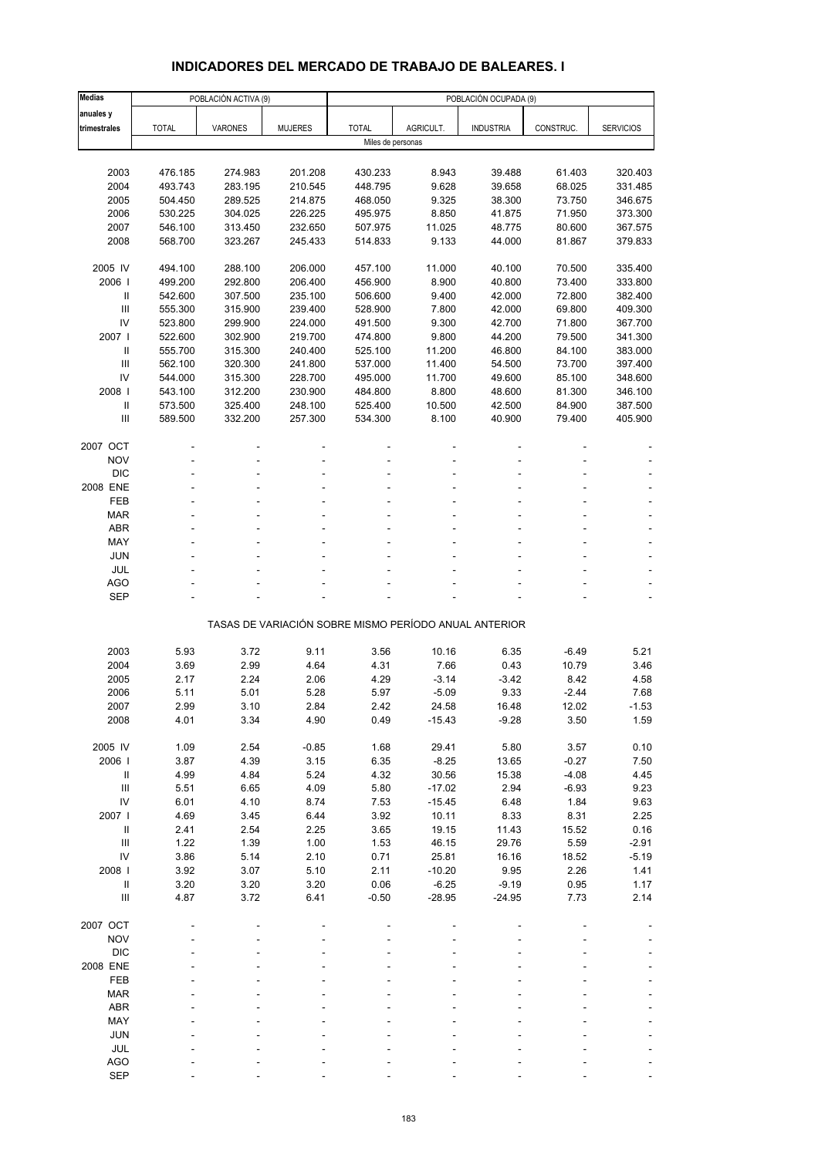# **INDICADORES DEL MERCADO DE TRABAJO DE BALEARES. I**

| <b>Medias</b>              | POBLACIÓN ACTIVA (9) |                |                | POBLACIÓN OCUPADA (9) |                |                                                       |               |                    |  |
|----------------------------|----------------------|----------------|----------------|-----------------------|----------------|-------------------------------------------------------|---------------|--------------------|--|
| anuales y                  |                      |                |                |                       |                |                                                       |               |                    |  |
| trimestrales               | <b>TOTAL</b>         | <b>VARONES</b> | <b>MUJERES</b> | <b>TOTAL</b>          | AGRICULT.      | <b>INDUSTRIA</b>                                      | CONSTRUC.     | <b>SERVICIOS</b>   |  |
|                            |                      |                |                | Miles de personas     |                |                                                       |               |                    |  |
|                            |                      |                |                |                       |                |                                                       |               |                    |  |
| 2003                       | 476.185              | 274.983        | 201.208        | 430.233               | 8.943          | 39.488                                                | 61.403        | 320.403            |  |
| 2004                       | 493.743              | 283.195        | 210.545        | 448.795               | 9.628          | 39.658                                                | 68.025        | 331.485            |  |
| 2005                       | 504.450              | 289.525        | 214.875        | 468.050               | 9.325          | 38.300                                                | 73.750        | 346.675            |  |
| 2006                       | 530.225              | 304.025        | 226.225        | 495.975               | 8.850          | 41.875                                                | 71.950        | 373.300            |  |
| 2007                       | 546.100              | 313.450        | 232.650        | 507.975               | 11.025         | 48.775                                                | 80.600        | 367.575            |  |
| 2008                       | 568.700              | 323.267        | 245.433        | 514.833               | 9.133          | 44.000                                                | 81.867        | 379.833            |  |
| 2005 IV                    | 494.100              | 288.100        | 206.000        | 457.100               | 11.000         | 40.100                                                | 70.500        | 335.400            |  |
| 2006                       | 499.200              | 292.800        | 206.400        | 456.900               | 8.900          | 40.800                                                | 73.400        | 333.800            |  |
| Ш                          | 542.600              | 307.500        | 235.100        | 506.600               | 9.400          | 42.000                                                | 72.800        | 382.400            |  |
| Ш                          | 555.300              | 315.900        | 239.400        | 528.900               | 7.800          | 42.000                                                | 69.800        | 409.300            |  |
| IV                         | 523.800              | 299.900        | 224.000        | 491.500               | 9.300          | 42.700                                                | 71.800        | 367.700            |  |
| 2007 l                     | 522.600              | 302.900        | 219.700        | 474.800               | 9.800          | 44.200                                                | 79.500        | 341.300            |  |
| $\mathbf{I}$               | 555.700              | 315.300        | 240.400        | 525.100               | 11.200         | 46.800                                                | 84.100        | 383.000            |  |
| $\mathbf{III}$             | 562.100              | 320.300        | 241.800        | 537.000               | 11.400         | 54.500                                                | 73.700        | 397.400            |  |
| IV                         | 544.000              | 315.300        | 228.700        | 495.000               | 11.700         | 49.600                                                | 85.100        | 348.600            |  |
| 2008                       | 543.100              | 312.200        | 230.900        | 484.800               | 8.800          | 48.600                                                | 81.300        | 346.100            |  |
| $\ensuremath{\mathsf{II}}$ | 573.500              | 325.400        | 248.100        | 525.400               | 10.500         | 42.500                                                | 84.900        | 387.500            |  |
| Ш                          | 589.500              | 332.200        | 257.300        | 534.300               | 8.100          | 40.900                                                | 79.400        | 405.900            |  |
|                            |                      |                |                |                       |                |                                                       |               |                    |  |
| 2007 OCT                   |                      |                |                |                       |                |                                                       |               |                    |  |
| <b>NOV</b><br><b>DIC</b>   |                      |                |                |                       |                |                                                       |               |                    |  |
| 2008 ENE                   |                      |                |                |                       |                |                                                       |               |                    |  |
| FEB                        |                      |                |                |                       |                |                                                       |               |                    |  |
| <b>MAR</b>                 |                      |                |                |                       |                |                                                       |               |                    |  |
| <b>ABR</b>                 |                      |                |                |                       |                |                                                       |               |                    |  |
| MAY                        |                      |                |                |                       |                |                                                       |               |                    |  |
| <b>JUN</b>                 |                      |                |                |                       |                |                                                       |               |                    |  |
| <b>JUL</b>                 |                      |                |                |                       |                |                                                       |               |                    |  |
| <b>AGO</b>                 |                      |                |                |                       |                |                                                       |               |                    |  |
| <b>SEP</b>                 |                      |                |                |                       |                |                                                       |               |                    |  |
|                            |                      |                |                |                       |                | TASAS DE VARIACIÓN SOBRE MISMO PERÍODO ANUAL ANTERIOR |               |                    |  |
|                            |                      |                |                |                       |                |                                                       |               |                    |  |
| 2003                       | 5.93                 | 3.72           | 9.11           | 3.56                  | 10.16          | 6.35                                                  | $-6.49$       | 5.21               |  |
| 2004                       | 3.69                 | 2.99           | 4.64           | 4.31                  | 7.66           | 0.43                                                  | 10.79         | 3.46               |  |
| 2005                       | 2.17                 | 2.24           | 2.06           | 4.29                  | $-3.14$        | $-3.42$                                               | 8.42          | 4.58               |  |
| 2006                       | 5.11                 | 5.01           | 5.28           | 5.97                  | $-5.09$        | 9.33                                                  | $-2.44$       | 7.68               |  |
| 2007                       | 2.99                 | 3.10           | 2.84           | 2.42                  | 24.58          | 16.48                                                 | 12.02         | -1.53              |  |
| 2008                       | 4.01                 | 3.34           | 4.90           | 0.49                  | $-15.43$       | $-9.28$                                               | 3.50          | 1.59               |  |
|                            |                      |                |                |                       |                |                                                       |               |                    |  |
| 2005 IV                    | 1.09                 | 2.54           | $-0.85$        | 1.68                  | 29.41          | 5.80                                                  | 3.57          | 0.10               |  |
| 2006                       | 3.87                 | 4.39           | 3.15           | 6.35                  | $-8.25$        | 13.65                                                 | $-0.27$       | 7.50               |  |
| $\, \parallel$             | 4.99                 | 4.84           | 5.24           | 4.32                  | 30.56          | 15.38                                                 | $-4.08$       | 4.45               |  |
| Ш                          | 5.51                 | 6.65           | 4.09           | 5.80                  | $-17.02$       | 2.94                                                  | $-6.93$       | 9.23               |  |
| IV                         | 6.01                 | 4.10           | 8.74           | 7.53                  | $-15.45$       | 6.48                                                  | 1.84          | 9.63               |  |
| 2007 l                     | 4.69                 | 3.45           | 6.44           | 3.92                  | 10.11          | 8.33                                                  | 8.31          | 2.25               |  |
| $\, \parallel$<br>Ш        | 2.41<br>1.22         | 2.54           | 2.25           | 3.65<br>1.53          | 19.15          | 11.43                                                 | 15.52<br>5.59 | 0.16               |  |
| IV                         | 3.86                 | 1.39<br>5.14   | 1.00<br>2.10   | 0.71                  | 46.15<br>25.81 | 29.76<br>16.16                                        | 18.52         | $-2.91$<br>$-5.19$ |  |
| 2008                       | 3.92                 | 3.07           | 5.10           | 2.11                  | $-10.20$       | 9.95                                                  | 2.26          | 1.41               |  |
| $\, \parallel$             | 3.20                 | 3.20           | 3.20           | 0.06                  | $-6.25$        | $-9.19$                                               | 0.95          | 1.17               |  |
| Ш                          | 4.87                 | 3.72           | 6.41           | $-0.50$               | $-28.95$       | $-24.95$                                              | 7.73          | 2.14               |  |
|                            |                      |                |                |                       |                |                                                       |               |                    |  |
| 2007 OCT                   |                      |                |                |                       |                |                                                       |               |                    |  |
| <b>NOV</b>                 |                      |                |                |                       |                |                                                       |               |                    |  |
| <b>DIC</b>                 |                      |                |                |                       |                |                                                       |               |                    |  |
| 2008 ENE                   |                      |                |                |                       |                |                                                       |               |                    |  |
| FEB                        |                      |                |                |                       |                |                                                       |               |                    |  |
| <b>MAR</b>                 |                      |                |                |                       |                |                                                       |               |                    |  |
| ABR                        |                      |                |                |                       |                |                                                       |               |                    |  |
| MAY                        |                      |                |                |                       |                |                                                       |               |                    |  |
| <b>JUN</b>                 |                      |                |                |                       |                |                                                       |               |                    |  |
| JUL                        |                      |                |                |                       |                |                                                       |               |                    |  |
| <b>AGO</b><br><b>SEP</b>   |                      |                |                |                       |                |                                                       |               |                    |  |
|                            |                      |                |                |                       |                |                                                       |               |                    |  |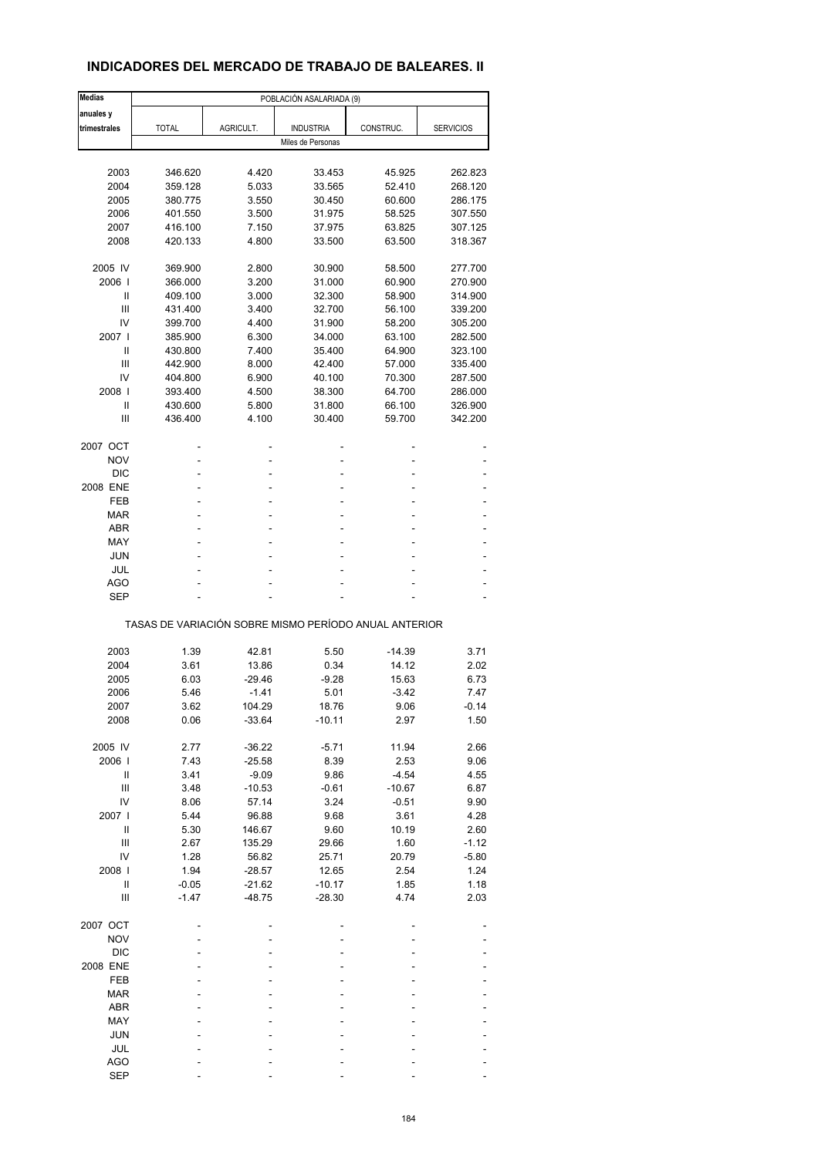# **INDICADORES DEL MERCADO DE TRABAJO DE BALEARES. II**

| <b>Medias</b>  |                                                       |           | POBLACIÓN ASALARIADA (9) |           |                  |
|----------------|-------------------------------------------------------|-----------|--------------------------|-----------|------------------|
| anuales y      |                                                       |           |                          |           |                  |
| trimestrales   | <b>TOTAL</b>                                          | AGRICULT. | <b>INDUSTRIA</b>         | CONSTRUC. | <b>SERVICIOS</b> |
|                |                                                       |           | Miles de Personas        |           |                  |
|                |                                                       |           |                          |           |                  |
|                |                                                       |           |                          |           |                  |
| 2003           | 346.620                                               | 4.420     | 33.453                   | 45.925    | 262.823          |
| 2004           | 359.128                                               | 5.033     | 33.565                   | 52.410    | 268.120          |
| 2005           | 380.775                                               | 3.550     | 30.450                   | 60.600    | 286.175          |
| 2006           | 401.550                                               | 3.500     | 31.975                   | 58.525    | 307.550          |
| 2007           | 416.100                                               | 7.150     | 37.975                   | 63.825    | 307.125          |
| 2008           | 420.133                                               | 4.800     | 33.500                   | 63.500    | 318.367          |
|                |                                                       |           |                          |           |                  |
| 2005 IV        | 369.900                                               | 2.800     | 30.900                   | 58.500    | 277.700          |
| 2006           | 366.000                                               | 3.200     | 31.000                   | 60.900    | 270.900          |
| Ш              | 409.100                                               | 3.000     | 32.300                   | 58.900    | 314.900          |
| Ш              | 431.400                                               | 3.400     | 32.700                   | 56.100    | 339.200          |
|                |                                                       |           |                          |           |                  |
| IV             | 399.700                                               | 4.400     | 31.900                   | 58.200    | 305.200          |
| 2007 l         | 385.900                                               | 6.300     | 34.000                   | 63.100    | 282.500          |
| Ш              | 430.800                                               | 7.400     | 35.400                   | 64.900    | 323.100          |
| Ш              | 442.900                                               | 8.000     | 42.400                   | 57.000    | 335.400          |
| IV             | 404.800                                               | 6.900     | 40.100                   | 70.300    | 287.500          |
| 2008           | 393.400                                               | 4.500     | 38.300                   | 64.700    | 286.000          |
| Ш              | 430.600                                               | 5.800     | 31.800                   | 66.100    | 326.900          |
|                |                                                       |           |                          |           |                  |
| Ш              | 436.400                                               | 4.100     | 30.400                   | 59.700    | 342.200          |
|                |                                                       |           |                          |           |                  |
| 2007 OCT       |                                                       |           |                          |           |                  |
| <b>NOV</b>     |                                                       |           | ۰                        |           |                  |
| <b>DIC</b>     |                                                       |           | ä,                       |           |                  |
| 2008 ENE       | ÷                                                     | ٠         | ٠                        |           |                  |
| FEB            |                                                       |           | Ĭ.                       |           |                  |
| <b>MAR</b>     |                                                       |           |                          |           |                  |
| <b>ABR</b>     | ٠                                                     | ٠         | ٠                        | ÷         |                  |
|                |                                                       |           |                          |           |                  |
| MAY            |                                                       |           | ۰                        |           |                  |
| <b>JUN</b>     |                                                       |           |                          |           |                  |
| JUL            |                                                       |           | ۰                        |           |                  |
| AGO            |                                                       |           |                          |           |                  |
| <b>SEP</b>     |                                                       |           |                          |           |                  |
|                | TASAS DE VARIACIÓN SOBRE MISMO PERÍODO ANUAL ANTERIOR |           |                          |           |                  |
|                |                                                       |           |                          |           |                  |
| 2003           | 1.39                                                  | 42.81     | 5.50                     | $-14.39$  | 3.71             |
| 2004           | 3.61                                                  | 13.86     | 0.34                     | 14.12     | 2.02             |
| 2005           | 6.03                                                  | $-29.46$  | $-9.28$                  | 15.63     | 6.73             |
| 2006           | 5.46                                                  | $-1.41$   | 5.01                     | $-3.42$   | 7.47             |
|                |                                                       |           |                          |           |                  |
| 2007           | 3.62                                                  | 104.29    | 18.76                    | 9.06      | -0.14            |
| 2008           | 0.06                                                  | $-33.64$  | $-10.11$                 | 2.97      | 1.50             |
|                |                                                       |           |                          |           |                  |
| 2005 IV        | 2.77                                                  | $-36.22$  | $-5.71$                  | 11.94     | 2.66             |
| 2006           | 7.43                                                  | $-25.58$  | 8.39                     | 2.53      | 9.06             |
| Ш              | 3.41                                                  | $-9.09$   | 9.86                     | $-4.54$   | 4.55             |
| $\mathbf{III}$ | 3.48                                                  | $-10.53$  | $-0.61$                  | $-10.67$  | 6.87             |
| IV             | 8.06                                                  | 57.14     | 3.24                     | $-0.51$   | 9.90             |
| 2007 l         | 5.44                                                  | 96.88     | 9.68                     | 3.61      | 4.28             |
|                |                                                       |           |                          |           |                  |
| Ш              | 5.30                                                  | 146.67    | 9.60                     | 10.19     | 2.60             |
| Ш              | 2.67                                                  | 135.29    | 29.66                    | 1.60      | $-1.12$          |
| IV             | 1.28                                                  | 56.82     | 25.71                    | 20.79     | $-5.80$          |
| 2008           | 1.94                                                  | $-28.57$  | 12.65                    | 2.54      | 1.24             |
| Ш              | $-0.05$                                               | $-21.62$  | $-10.17$                 | 1.85      | 1.18             |
| Ш              | $-1.47$                                               | $-48.75$  | $-28.30$                 | 4.74      | 2.03             |
|                |                                                       |           |                          |           |                  |
| 2007 OCT       |                                                       |           |                          |           |                  |
| <b>NOV</b>     |                                                       |           |                          |           |                  |
| <b>DIC</b>     |                                                       |           |                          |           |                  |
|                |                                                       |           |                          |           |                  |
| 2008 ENE       |                                                       |           |                          |           |                  |
| FEB            |                                                       |           |                          |           |                  |
| <b>MAR</b>     |                                                       |           |                          |           |                  |
| <b>ABR</b>     |                                                       |           |                          |           |                  |
| MAY            |                                                       |           |                          |           |                  |
| <b>JUN</b>     |                                                       |           |                          |           |                  |
| JUL            |                                                       |           |                          |           |                  |
|                |                                                       |           |                          |           |                  |
| <b>AGO</b>     |                                                       |           |                          |           |                  |
| <b>SEP</b>     |                                                       |           |                          |           |                  |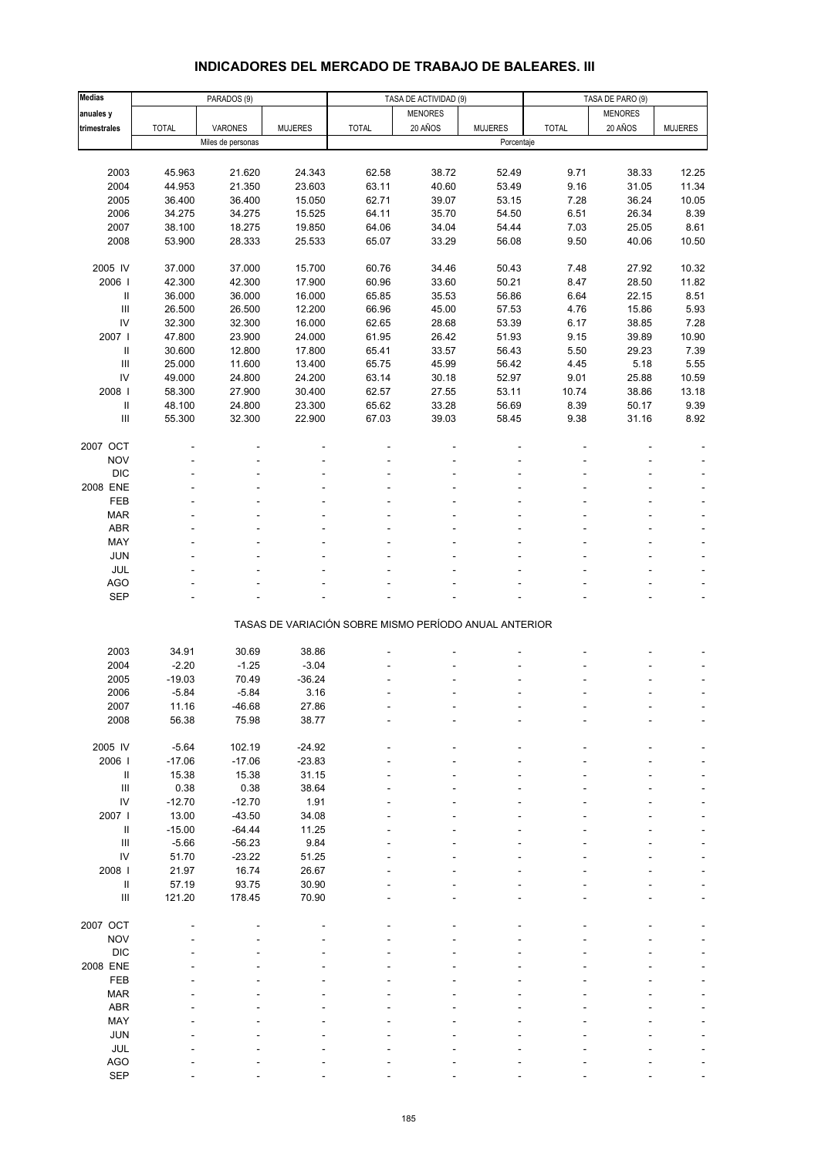# **INDICADORES DEL MERCADO DE TRABAJO DE BALEARES. III**

| <b>Medias</b>                      | PARADOS (9)      |                   |                |                                                       | TASA DE ACTIVIDAD (9) |                | TASA DE PARO (9) |                |                |  |
|------------------------------------|------------------|-------------------|----------------|-------------------------------------------------------|-----------------------|----------------|------------------|----------------|----------------|--|
| anuales y                          |                  |                   |                |                                                       | <b>MENORES</b>        |                |                  | <b>MENORES</b> |                |  |
| trimestrales                       | <b>TOTAL</b>     | VARONES           | <b>MUJERES</b> | <b>TOTAL</b>                                          | 20 AÑOS               | <b>MUJERES</b> | <b>TOTAL</b>     | 20 AÑOS        | <b>MUJERES</b> |  |
|                                    |                  | Miles de personas |                |                                                       |                       | Porcentaje     |                  |                |                |  |
|                                    |                  |                   |                |                                                       |                       |                |                  |                |                |  |
| 2003                               | 45.963           | 21.620            | 24.343         | 62.58                                                 | 38.72                 | 52.49          | 9.71             | 38.33          | 12.25          |  |
| 2004                               | 44.953           | 21.350            | 23.603         | 63.11                                                 | 40.60                 | 53.49          |                  |                | 11.34          |  |
| 2005                               | 36.400           | 36.400            | 15.050         | 62.71                                                 | 39.07                 | 53.15          | 9.16<br>7.28     | 31.05<br>36.24 | 10.05          |  |
| 2006                               | 34.275           | 34.275            |                | 64.11                                                 | 35.70                 | 54.50          | 6.51             | 26.34          | 8.39           |  |
|                                    |                  |                   | 15.525         |                                                       |                       |                |                  |                | 8.61           |  |
| 2007<br>2008                       | 38.100<br>53.900 | 18.275            | 19.850         | 64.06<br>65.07                                        | 34.04                 | 54.44<br>56.08 | 7.03<br>9.50     | 25.05<br>40.06 | 10.50          |  |
|                                    |                  | 28.333            | 25.533         |                                                       | 33.29                 |                |                  |                |                |  |
| 2005 IV                            |                  | 37.000            |                |                                                       |                       |                |                  |                |                |  |
|                                    | 37.000           |                   | 15.700         | 60.76                                                 | 34.46                 | 50.43          | 7.48             | 27.92          | 10.32          |  |
| 2006                               | 42.300           | 42.300            | 17.900         | 60.96                                                 | 33.60                 | 50.21          | 8.47             | 28.50          | 11.82          |  |
| Ш                                  | 36.000           | 36.000            | 16.000         | 65.85                                                 | 35.53                 | 56.86          | 6.64             | 22.15          | 8.51           |  |
| $\ensuremath{\mathsf{III}}\xspace$ | 26.500           | 26.500            | 12.200         | 66.96                                                 | 45.00                 | 57.53          | 4.76             | 15.86          | 5.93           |  |
| IV                                 | 32.300           | 32.300            | 16.000         | 62.65                                                 | 28.68                 | 53.39          | 6.17             | 38.85          | 7.28           |  |
| 2007                               | 47.800           | 23.900            | 24.000         | 61.95                                                 | 26.42                 | 51.93          | 9.15             | 39.89          | 10.90          |  |
| Ш                                  | 30.600           | 12.800            | 17.800         | 65.41                                                 | 33.57                 | 56.43          | 5.50             | 29.23          | 7.39           |  |
| $\ensuremath{\mathsf{III}}\xspace$ | 25.000           | 11.600            | 13.400         | 65.75                                                 | 45.99                 | 56.42          | 4.45             | 5.18           | 5.55           |  |
| IV                                 | 49.000           | 24.800            | 24.200         | 63.14                                                 | 30.18                 | 52.97          | 9.01             | 25.88          | 10.59          |  |
| 2008                               | 58.300           | 27.900            | 30.400         | 62.57                                                 | 27.55                 | 53.11          | 10.74            | 38.86          | 13.18          |  |
| Ш                                  | 48.100           | 24.800            | 23.300         | 65.62                                                 | 33.28                 | 56.69          | 8.39             | 50.17          | 9.39           |  |
| $\ensuremath{\mathsf{III}}\xspace$ | 55.300           | 32.300            | 22.900         | 67.03                                                 | 39.03                 | 58.45          | 9.38             | 31.16          | 8.92           |  |
|                                    |                  |                   |                |                                                       |                       |                |                  |                |                |  |
| 2007 OCT                           |                  |                   |                |                                                       |                       |                |                  |                |                |  |
| <b>NOV</b>                         |                  |                   |                |                                                       |                       |                |                  |                |                |  |
| <b>DIC</b>                         |                  |                   |                |                                                       |                       |                |                  |                |                |  |
| 2008 ENE                           |                  |                   |                |                                                       |                       |                |                  |                |                |  |
| FEB                                |                  |                   |                |                                                       |                       |                |                  |                |                |  |
| <b>MAR</b>                         |                  |                   |                |                                                       |                       |                |                  |                |                |  |
| ABR                                |                  |                   |                |                                                       |                       |                |                  |                |                |  |
| MAY                                |                  |                   |                |                                                       |                       |                |                  |                |                |  |
| JUN                                |                  |                   |                |                                                       |                       |                |                  |                |                |  |
| JUL                                |                  |                   |                |                                                       |                       |                |                  |                | ÷,             |  |
| AGO                                |                  |                   |                |                                                       |                       |                |                  |                |                |  |
| SEP                                |                  |                   |                |                                                       |                       |                |                  |                |                |  |
|                                    |                  |                   |                |                                                       |                       |                |                  |                |                |  |
|                                    |                  |                   |                | TASAS DE VARIACIÓN SOBRE MISMO PERÍODO ANUAL ANTERIOR |                       |                |                  |                |                |  |
|                                    |                  |                   |                |                                                       |                       |                |                  |                |                |  |
| 2003                               | 34.91            | 30.69             | 38.86          |                                                       |                       |                |                  |                |                |  |
| 2004                               | $-2.20$          | $-1.25$           | $-3.04$        |                                                       |                       |                |                  |                |                |  |
| 2005                               | $-19.03$         | 70.49             | $-36.24$       |                                                       |                       |                |                  |                |                |  |
| 2006                               | $-5.84$          | $-5.84$           | 3.16           |                                                       |                       |                |                  |                |                |  |
| 2007                               | 11.16            | -46.68            | 27.86          |                                                       |                       |                |                  |                |                |  |
| 2008                               | 56.38            | 75.98             | 38.77          |                                                       |                       |                |                  |                |                |  |
|                                    |                  |                   |                |                                                       |                       |                |                  |                |                |  |
| 2005 IV                            | $-5.64$          | 102.19            | $-24.92$       |                                                       |                       |                |                  |                |                |  |
| 2006                               | $-17.06$         | $-17.06$          | $-23.83$       |                                                       |                       |                |                  |                |                |  |
| Ш                                  | 15.38            | 15.38             | 31.15          |                                                       |                       |                |                  |                |                |  |
| $\ensuremath{\mathsf{III}}\xspace$ | 0.38             | 0.38              | 38.64          |                                                       |                       |                |                  |                |                |  |
| IV                                 | $-12.70$         | $-12.70$          | 1.91           |                                                       |                       |                |                  |                |                |  |
| 2007 l                             | 13.00            | $-43.50$          | 34.08          |                                                       |                       |                |                  |                |                |  |
| Ш                                  | $-15.00$         | $-64.44$          | 11.25          |                                                       |                       |                |                  |                |                |  |
| $\ensuremath{\mathsf{III}}\xspace$ | $-5.66$          | $-56.23$          | 9.84           |                                                       |                       |                |                  |                |                |  |
| IV                                 | 51.70            | $-23.22$          | 51.25          |                                                       |                       |                |                  |                |                |  |
| 2008 l                             | 21.97            | 16.74             | 26.67          |                                                       |                       |                |                  |                |                |  |
| Ш                                  | 57.19            | 93.75             | 30.90          |                                                       |                       |                |                  |                |                |  |
| Ш                                  | 121.20           | 178.45            | 70.90          |                                                       |                       |                |                  |                |                |  |
|                                    |                  |                   |                |                                                       |                       |                |                  |                |                |  |
| 2007 OCT                           |                  |                   |                |                                                       |                       |                |                  |                |                |  |
| <b>NOV</b>                         |                  |                   |                |                                                       |                       |                |                  |                |                |  |
| <b>DIC</b>                         |                  |                   |                |                                                       |                       |                |                  |                |                |  |
| 2008 ENE                           |                  |                   |                |                                                       |                       |                |                  |                |                |  |
| FEB                                |                  |                   |                |                                                       |                       |                |                  |                |                |  |
| <b>MAR</b>                         |                  |                   |                |                                                       |                       |                |                  |                |                |  |
| ABR                                |                  |                   |                |                                                       |                       |                |                  |                |                |  |
| MAY                                |                  |                   |                |                                                       |                       |                |                  |                |                |  |
| JUN                                |                  |                   |                |                                                       |                       |                |                  |                |                |  |
| JUL                                |                  |                   |                |                                                       |                       |                |                  |                |                |  |
| <b>AGO</b>                         |                  |                   |                |                                                       |                       |                |                  |                |                |  |
| SEP                                |                  |                   |                |                                                       |                       |                |                  |                |                |  |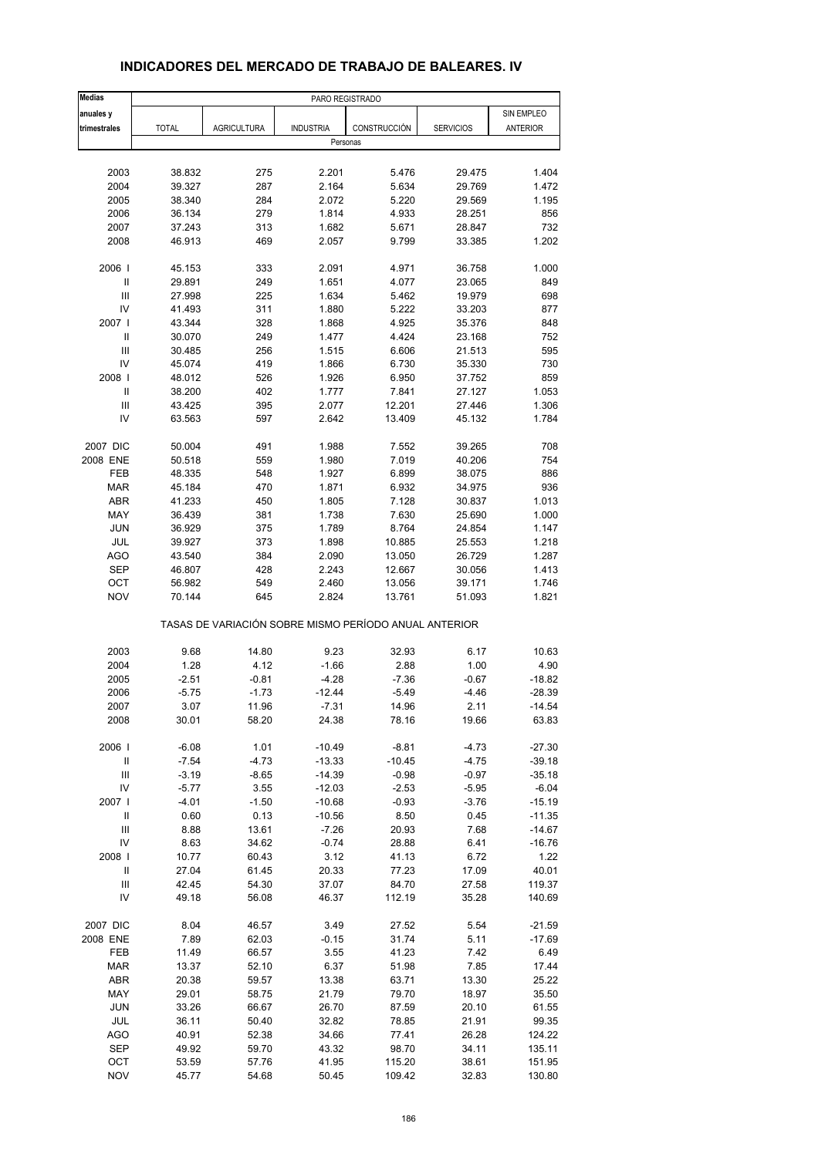| <b>Medias</b>                      | PARO REGISTRADO |                                                       |                  |                 |                  |                  |  |  |
|------------------------------------|-----------------|-------------------------------------------------------|------------------|-----------------|------------------|------------------|--|--|
| anuales y                          |                 |                                                       |                  |                 |                  | SIN EMPLEO       |  |  |
| trimestrales                       | <b>TOTAL</b>    | <b>AGRICULTURA</b>                                    | <b>INDUSTRIA</b> | CONSTRUCCIÓN    | <b>SERVICIOS</b> | <b>ANTERIOR</b>  |  |  |
|                                    |                 |                                                       | Personas         |                 |                  |                  |  |  |
|                                    |                 |                                                       |                  |                 |                  |                  |  |  |
| 2003                               | 38.832          | 275                                                   | 2.201            | 5.476           | 29.475           | 1.404            |  |  |
| 2004                               | 39.327          | 287                                                   | 2.164            | 5.634           | 29.769           | 1.472            |  |  |
| 2005                               | 38.340          | 284                                                   | 2.072            | 5.220           | 29.569           | 1.195            |  |  |
| 2006                               | 36.134          | 279                                                   | 1.814            | 4.933           | 28.251           | 856              |  |  |
| 2007                               | 37.243          | 313                                                   | 1.682            | 5.671           | 28.847           | 732              |  |  |
| 2008                               | 46.913          | 469                                                   | 2.057            | 9.799           | 33.385           | 1.202            |  |  |
| 2006                               | 45.153          | 333                                                   | 2.091            | 4.971           | 36.758           | 1.000            |  |  |
| Ш                                  | 29.891          | 249                                                   | 1.651            | 4.077           | 23.065           | 849              |  |  |
| Ш                                  | 27.998          | 225                                                   | 1.634            | 5.462           | 19.979           | 698              |  |  |
| IV                                 | 41.493          | 311                                                   | 1.880            | 5.222           | 33.203           | 877              |  |  |
| 2007 l                             | 43.344          | 328                                                   | 1.868            | 4.925           | 35.376           | 848              |  |  |
| Ш                                  | 30.070          | 249                                                   | 1.477            | 4.424           | 23.168           | 752              |  |  |
| Ш                                  | 30.485          | 256                                                   | 1.515            | 6.606           | 21.513           | 595              |  |  |
| IV                                 | 45.074          | 419                                                   | 1.866            | 6.730           | 35.330           | 730              |  |  |
| 2008                               | 48.012          | 526                                                   | 1.926            | 6.950           | 37.752           | 859              |  |  |
| Ш                                  | 38.200          | 402                                                   | 1.777            | 7.841           | 27.127           | 1.053            |  |  |
| Ш                                  | 43.425          | 395                                                   | 2.077            | 12.201          | 27.446           | 1.306            |  |  |
| IV                                 | 63.563          | 597                                                   | 2.642            | 13.409          | 45.132           | 1.784            |  |  |
| 2007 DIC                           | 50.004          | 491                                                   | 1.988            | 7.552           | 39.265           | 708              |  |  |
| 2008 ENE                           | 50.518          | 559                                                   | 1.980            | 7.019           | 40.206           | 754              |  |  |
| FEB                                | 48.335          | 548                                                   | 1.927            | 6.899           | 38.075           | 886              |  |  |
| <b>MAR</b>                         | 45.184          | 470                                                   | 1.871            | 6.932           | 34.975           | 936              |  |  |
| <b>ABR</b>                         | 41.233          | 450                                                   | 1.805            | 7.128           | 30.837           | 1.013            |  |  |
| MAY                                | 36.439          | 381                                                   | 1.738            | 7.630           | 25.690           | 1.000            |  |  |
| <b>JUN</b>                         | 36.929          | 375                                                   | 1.789            | 8.764           | 24.854           | 1.147            |  |  |
| JUL                                | 39.927          | 373                                                   | 1.898            | 10.885          | 25.553           | 1.218            |  |  |
| <b>AGO</b>                         | 43.540          | 384                                                   | 2.090            | 13.050          | 26.729           | 1.287            |  |  |
| <b>SEP</b>                         | 46.807          | 428                                                   | 2.243            | 12.667          | 30.056           | 1.413            |  |  |
| OCT                                | 56.982          | 549                                                   | 2.460            | 13.056          | 39.171           | 1.746            |  |  |
| <b>NOV</b>                         | 70.144          | 645                                                   | 2.824            | 13.761          | 51.093           | 1.821            |  |  |
|                                    |                 | TASAS DE VARIACIÓN SOBRE MISMO PERÍODO ANUAL ANTERIOR |                  |                 |                  |                  |  |  |
| 2003                               | 9.68            | 14.80                                                 | 9.23             | 32.93           | 6.17             | 10.63            |  |  |
| 2004                               | 1.28            | 4.12                                                  | $-1.66$          | 2.88            | 1.00             | 4.90             |  |  |
| 2005                               | $-2.51$         | $-0.81$                                               | -4.28            | $-7.36$         | $-0.67$          | $-18.82$         |  |  |
| 2006                               | $-5.75$         | $-1.73$                                               | $-12.44$         | $-5.49$         | -4.46            | $-28.39$         |  |  |
| 2007                               | 3.07            | 11.96                                                 | -7.31            | 14.96           | 2.11             | -14.54           |  |  |
| 2008                               | 30.01           | 58.20                                                 | 24.38            | 78.16           | 19.66            | 63.83            |  |  |
| 2006                               | $-6.08$         | 1.01                                                  | $-10.49$         | $-8.81$         | -4.73            | $-27.30$         |  |  |
| $\ensuremath{\mathsf{II}}$         | $-7.54$         | $-4.73$                                               | $-13.33$         | $-10.45$        | $-4.75$          | $-39.18$         |  |  |
| $\ensuremath{\mathsf{III}}\xspace$ | $-3.19$         | $-8.65$                                               | $-14.39$         | $-0.98$         | $-0.97$          | $-35.18$         |  |  |
| IV                                 | $-5.77$         | 3.55                                                  | $-12.03$         | $-2.53$         | $-5.95$          | $-6.04$          |  |  |
| 2007                               | $-4.01$         | $-1.50$                                               | $-10.68$         | $-0.93$         | -3.76            | $-15.19$         |  |  |
| $\ensuremath{\mathsf{II}}$         | 0.60            | 0.13                                                  | $-10.56$         | 8.50            | 0.45             | $-11.35$         |  |  |
| $\ensuremath{\mathsf{III}}\xspace$ | 8.88            | 13.61                                                 | $-7.26$          | 20.93           | 7.68             | -14.67           |  |  |
| IV                                 | 8.63            | 34.62                                                 | $-0.74$          | 28.88           | 6.41             | $-16.76$         |  |  |
| 2008                               | 10.77           | 60.43                                                 | 3.12             | 41.13           | 6.72             | 1.22             |  |  |
| Ш                                  | 27.04           | 61.45                                                 | 20.33            | 77.23           | 17.09            | 40.01            |  |  |
| Ш                                  | 42.45           | 54.30                                                 | 37.07            | 84.70           | 27.58            | 119.37           |  |  |
| IV                                 | 49.18           | 56.08                                                 | 46.37            | 112.19          | 35.28            | 140.69           |  |  |
| 2007 DIC                           | 8.04            | 46.57                                                 | 3.49             | 27.52           | 5.54             | $-21.59$         |  |  |
| 2008 ENE                           | 7.89            | 62.03                                                 | $-0.15$          | 31.74           | 5.11             | $-17.69$         |  |  |
| FEB                                | 11.49           | 66.57                                                 | 3.55             | 41.23           | 7.42             | 6.49             |  |  |
| MAR                                | 13.37           | 52.10                                                 | 6.37             | 51.98           | 7.85             | 17.44            |  |  |
| ABR                                | 20.38           | 59.57                                                 | 13.38            | 63.71           | 13.30            | 25.22            |  |  |
| MAY                                | 29.01           | 58.75                                                 | 21.79            | 79.70           | 18.97            | 35.50            |  |  |
| <b>JUN</b>                         | 33.26           | 66.67                                                 | 26.70            | 87.59           | 20.10            | 61.55            |  |  |
| JUL                                |                 | 50.40                                                 | 32.82            | 78.85           | 21.91            | 99.35            |  |  |
|                                    | 36.11           |                                                       |                  |                 |                  |                  |  |  |
| AGO<br><b>SEP</b>                  | 40.91           | 52.38                                                 | 34.66            | 77.41           | 26.28            | 124.22           |  |  |
| OCT                                | 49.92           | 59.70<br>57.76                                        | 43.32            | 98.70<br>115.20 | 34.11<br>38.61   | 135.11<br>151.95 |  |  |
| <b>NOV</b>                         | 53.59           | 54.68                                                 | 41.95<br>50.45   |                 |                  | 130.80           |  |  |
|                                    | 45.77           |                                                       |                  | 109.42          | 32.83            |                  |  |  |

# **INDICADORES DEL MERCADO DE TRABAJO DE BALEARES. IV**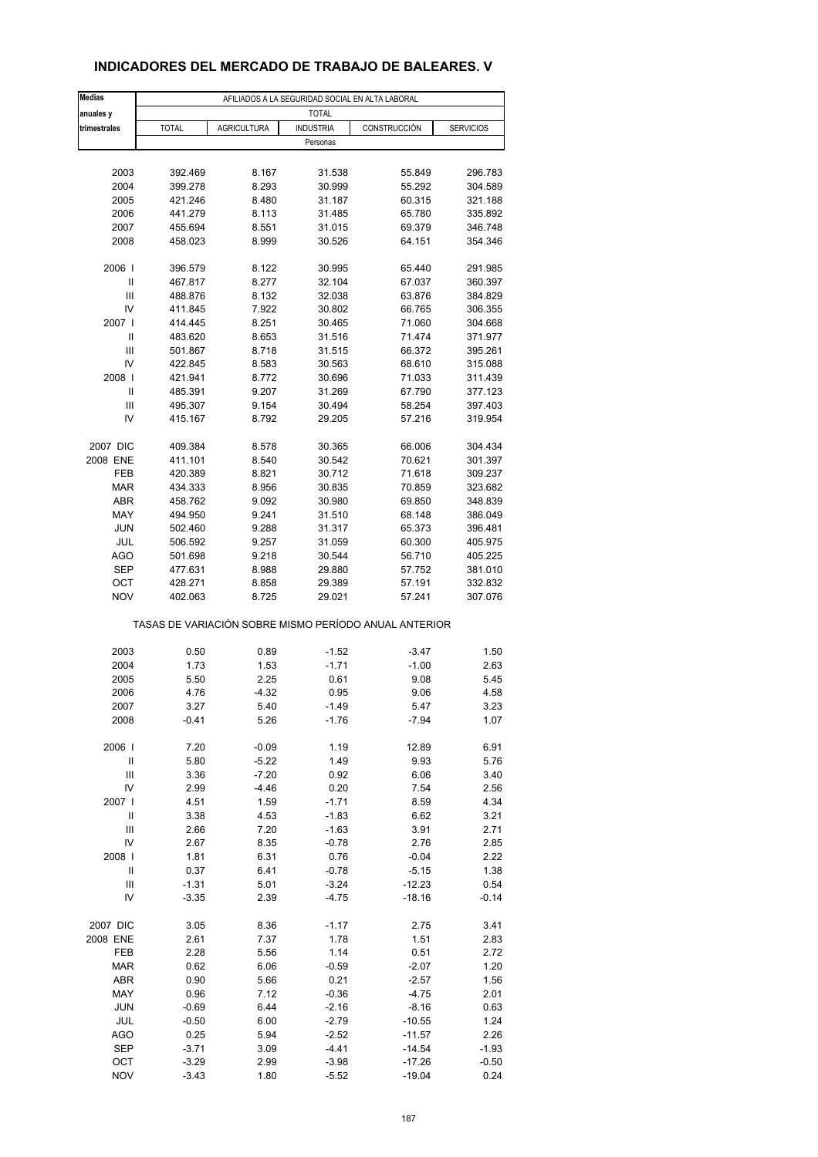# **INDICADORES DEL MERCADO DE TRABAJO DE BALEARES. V**

| <b>Medias</b>        | AFILIADOS A LA SEGURIDAD SOCIAL EN ALTA LABORAL |                    |                  |                                                       |                  |  |  |  |  |
|----------------------|-------------------------------------------------|--------------------|------------------|-------------------------------------------------------|------------------|--|--|--|--|
| anuales y            |                                                 |                    | <b>TOTAL</b>     |                                                       |                  |  |  |  |  |
| trimestrales         | <b>TOTAL</b>                                    | <b>AGRICULTURA</b> | <b>INDUSTRIA</b> | CONSTRUCCIÓN                                          | <b>SERVICIOS</b> |  |  |  |  |
|                      |                                                 |                    | Personas         |                                                       |                  |  |  |  |  |
|                      |                                                 |                    |                  |                                                       |                  |  |  |  |  |
| 2003                 | 392.469                                         | 8.167              | 31.538           | 55.849                                                | 296.783          |  |  |  |  |
| 2004                 | 399.278                                         | 8.293              | 30.999           | 55.292                                                | 304.589          |  |  |  |  |
| 2005                 | 421.246                                         | 8.480              | 31.187           | 60.315                                                | 321.188          |  |  |  |  |
| 2006                 | 441.279                                         | 8.113              | 31.485           | 65.780                                                | 335.892          |  |  |  |  |
| 2007                 | 455.694                                         | 8.551              | 31.015           | 69.379                                                | 346.748          |  |  |  |  |
|                      |                                                 |                    |                  |                                                       |                  |  |  |  |  |
| 2008                 | 458.023                                         | 8.999              | 30.526           | 64.151                                                | 354.346          |  |  |  |  |
| 2006                 | 396.579                                         | 8.122              | 30.995           | 65.440                                                | 291.985          |  |  |  |  |
| $\mathbf{I}$         | 467.817                                         | 8.277              | 32.104           | 67.037                                                | 360.397          |  |  |  |  |
| Ш                    | 488.876                                         | 8.132              | 32.038           | 63.876                                                | 384.829          |  |  |  |  |
| IV                   | 411.845                                         | 7.922              | 30.802           | 66.765                                                | 306.355          |  |  |  |  |
| 2007 l               | 414.445                                         | 8.251              | 30.465           | 71.060                                                | 304.668          |  |  |  |  |
| Ш                    | 483.620                                         | 8.653              | 31.516           | 71.474                                                | 371.977          |  |  |  |  |
| Ш                    | 501.867                                         | 8.718              | 31.515           | 66.372                                                | 395.261          |  |  |  |  |
| IV                   | 422.845                                         | 8.583              | 30.563           | 68.610                                                | 315.088          |  |  |  |  |
|                      | 421.941                                         |                    | 30.696           |                                                       |                  |  |  |  |  |
| 2008                 |                                                 | 8.772              |                  | 71.033                                                | 311.439          |  |  |  |  |
| Ш                    | 485.391                                         | 9.207              | 31.269           | 67.790                                                | 377.123          |  |  |  |  |
| Ш                    | 495.307                                         | 9.154              | 30.494           | 58.254                                                | 397.403          |  |  |  |  |
| IV                   | 415.167                                         | 8.792              | 29.205           | 57.216                                                | 319.954          |  |  |  |  |
| 2007 DIC             | 409.384                                         | 8.578              | 30.365           | 66.006                                                | 304.434          |  |  |  |  |
| 2008 ENE             | 411.101                                         | 8.540              | 30.542           | 70.621                                                | 301.397          |  |  |  |  |
| FEB                  | 420.389                                         | 8.821              | 30.712           | 71.618                                                | 309.237          |  |  |  |  |
|                      |                                                 |                    |                  |                                                       |                  |  |  |  |  |
| <b>MAR</b>           | 434.333                                         | 8.956              | 30.835           | 70.859                                                | 323.682          |  |  |  |  |
| <b>ABR</b>           | 458.762                                         | 9.092              | 30.980           | 69.850                                                | 348.839          |  |  |  |  |
| MAY                  | 494.950                                         | 9.241              | 31.510           | 68.148                                                | 386.049          |  |  |  |  |
| JUN                  | 502.460                                         | 9.288              | 31.317           | 65.373                                                | 396.481          |  |  |  |  |
| JUL                  | 506.592                                         | 9.257              | 31.059           | 60.300                                                | 405.975          |  |  |  |  |
| <b>AGO</b>           | 501.698                                         | 9.218              | 30.544           | 56.710                                                | 405.225          |  |  |  |  |
| <b>SEP</b>           | 477.631                                         | 8.988              | 29.880           | 57.752                                                | 381.010          |  |  |  |  |
| ОСТ                  | 428.271                                         | 8.858              | 29.389           | 57.191                                                | 332.832          |  |  |  |  |
| <b>NOV</b>           | 402.063                                         | 8.725              | 29.021           | 57.241                                                | 307.076          |  |  |  |  |
|                      |                                                 |                    |                  | TASAS DE VARIACIÓN SOBRE MISMO PERÍODO ANUAL ANTERIOR |                  |  |  |  |  |
| 2003                 | 0.50                                            | 0.89               |                  |                                                       | 1.50             |  |  |  |  |
|                      |                                                 |                    | $-1.52$          | $-3.47$                                               |                  |  |  |  |  |
| 2004                 | 1.73                                            | 1.53               | $-1.71$          | $-1.00$                                               | 2.63             |  |  |  |  |
| 2005                 | 5.50                                            | 2.25               | 0.61             | 9.08                                                  | 5.45             |  |  |  |  |
| 2006                 | 4.76                                            | $-4.32$            | 0.95             | 9.06                                                  | 4.58             |  |  |  |  |
| 2007                 | 3.27                                            | 5.40               | -1.49            | 5.47                                                  | 3.23             |  |  |  |  |
| 2008                 | $-0.41$                                         | 5.26               | $-1.76$          | $-7.94$                                               | 1.07             |  |  |  |  |
| 2006                 | 7.20                                            | $-0.09$            | 1.19             | 12.89                                                 | 6.91             |  |  |  |  |
| $\sf II$             | 5.80                                            | $-5.22$            | 1.49             | 9.93                                                  | 5.76             |  |  |  |  |
| Ш                    | 3.36                                            | $-7.20$            | 0.92             | 6.06                                                  | 3.40             |  |  |  |  |
| IV                   | 2.99                                            | $-4.46$            | 0.20             | 7.54                                                  | 2.56             |  |  |  |  |
| 2007                 |                                                 |                    |                  |                                                       |                  |  |  |  |  |
|                      | 4.51                                            | 1.59               | $-1.71$          | 8.59                                                  | 4.34             |  |  |  |  |
| Ш                    | 3.38                                            | 4.53               | $-1.83$          | 6.62                                                  | 3.21             |  |  |  |  |
| $\mathsf{III}\,$     | 2.66                                            | 7.20               | $-1.63$          | 3.91                                                  | 2.71             |  |  |  |  |
| IV                   | 2.67                                            | 8.35               | $-0.78$          | 2.76                                                  | 2.85             |  |  |  |  |
| 2008                 | 1.81                                            | 6.31               | 0.76             | $-0.04$                                               | 2.22             |  |  |  |  |
| Ш                    | 0.37                                            | 6.41               | $-0.78$          | $-5.15$                                               | 1.38             |  |  |  |  |
| Ш                    | $-1.31$                                         | 5.01               | $-3.24$          | $-12.23$                                              | 0.54             |  |  |  |  |
| IV                   | $-3.35$                                         | 2.39               | $-4.75$          | $-18.16$                                              | $-0.14$          |  |  |  |  |
|                      |                                                 |                    |                  |                                                       |                  |  |  |  |  |
| 2007 DIC<br>2008 ENE | 3.05                                            | 8.36               | $-1.17$          | 2.75                                                  | 3.41             |  |  |  |  |
|                      | 2.61                                            | 7.37               | 1.78             | 1.51                                                  | 2.83             |  |  |  |  |
| FEB                  | 2.28                                            | 5.56               | 1.14             | 0.51                                                  | 2.72             |  |  |  |  |
| <b>MAR</b>           | 0.62                                            | 6.06               | $-0.59$          | $-2.07$                                               | 1.20             |  |  |  |  |
| <b>ABR</b>           | 0.90                                            | 5.66               | 0.21             | $-2.57$                                               | 1.56             |  |  |  |  |
| MAY                  | 0.96                                            | 7.12               | $-0.36$          | $-4.75$                                               | 2.01             |  |  |  |  |
| <b>JUN</b>           | $-0.69$                                         | 6.44               | $-2.16$          | $-8.16$                                               | 0.63             |  |  |  |  |
| JUL                  | $-0.50$                                         | 6.00               | $-2.79$          | $-10.55$                                              | 1.24             |  |  |  |  |
| <b>AGO</b>           | 0.25                                            | 5.94               | $-2.52$          | $-11.57$                                              | 2.26             |  |  |  |  |
| <b>SEP</b>           | $-3.71$                                         | 3.09               | $-4.41$          | $-14.54$                                              | $-1.93$          |  |  |  |  |
| OCT                  | $-3.29$                                         | 2.99               | $-3.98$          | $-17.26$                                              | -0.50            |  |  |  |  |
| <b>NOV</b>           | $-3.43$                                         | 1.80               | $-5.52$          | $-19.04$                                              | 0.24             |  |  |  |  |
|                      |                                                 |                    |                  |                                                       |                  |  |  |  |  |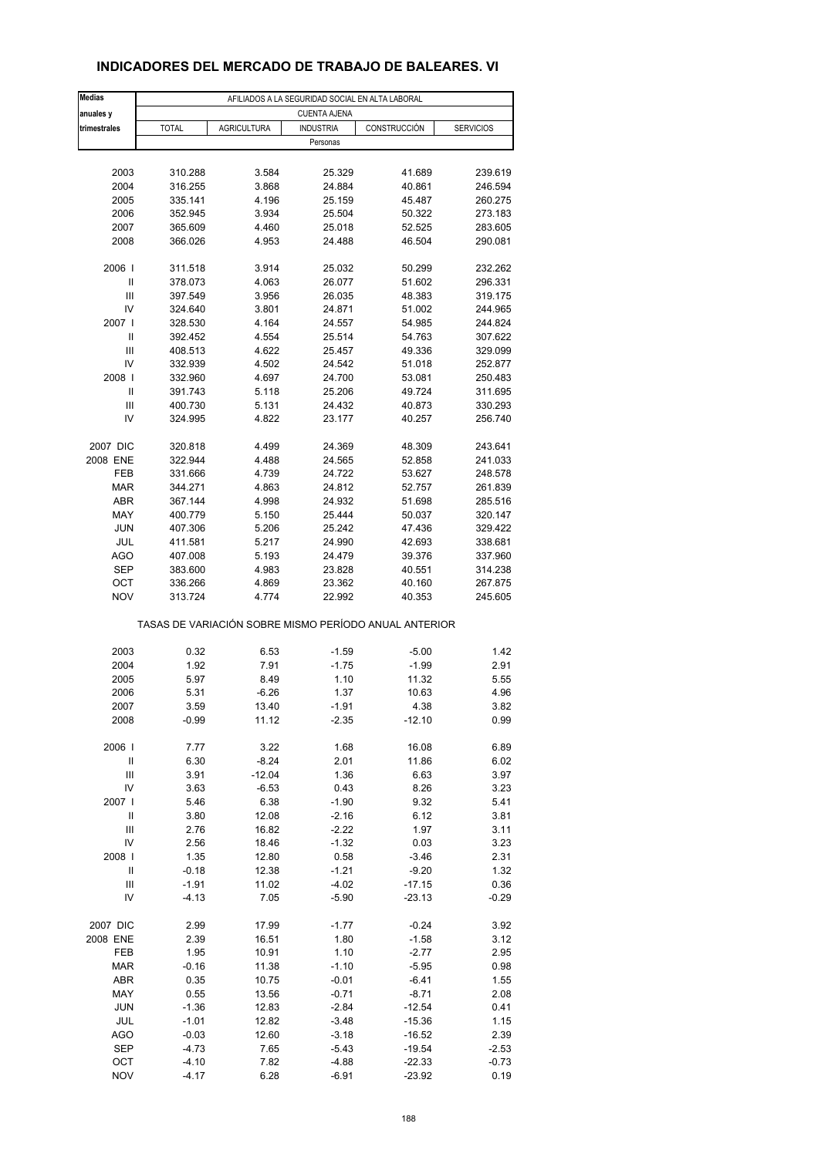| <b>Medias</b>                                         | AFILIADOS A LA SEGURIDAD SOCIAL EN ALTA LABORAL |                    |                  |              |                  |  |  |  |  |
|-------------------------------------------------------|-------------------------------------------------|--------------------|------------------|--------------|------------------|--|--|--|--|
| anuales y                                             | <b>CUENTA AJENA</b>                             |                    |                  |              |                  |  |  |  |  |
| trimestrales                                          | <b>TOTAL</b>                                    | <b>AGRICULTURA</b> | <b>INDUSTRIA</b> | CONSTRUCCIÓN | <b>SERVICIOS</b> |  |  |  |  |
|                                                       |                                                 |                    |                  |              |                  |  |  |  |  |
|                                                       |                                                 |                    | Personas         |              |                  |  |  |  |  |
|                                                       |                                                 |                    |                  |              |                  |  |  |  |  |
| 2003                                                  | 310.288                                         | 3.584              | 25.329           | 41.689       | 239.619          |  |  |  |  |
| 2004                                                  | 316.255                                         | 3.868              | 24.884           | 40.861       | 246.594          |  |  |  |  |
| 2005                                                  | 335.141                                         | 4.196              | 25.159           | 45.487       | 260.275          |  |  |  |  |
| 2006                                                  | 352.945                                         | 3.934              | 25.504           | 50.322       | 273.183          |  |  |  |  |
| 2007                                                  | 365.609                                         | 4.460              | 25.018           | 52.525       | 283.605          |  |  |  |  |
| 2008                                                  | 366.026                                         | 4.953              | 24.488           | 46.504       | 290.081          |  |  |  |  |
|                                                       |                                                 |                    |                  |              |                  |  |  |  |  |
| 2006                                                  | 311.518                                         | 3.914              | 25.032           | 50.299       | 232.262          |  |  |  |  |
| Ш                                                     |                                                 |                    |                  | 51.602       |                  |  |  |  |  |
|                                                       | 378.073                                         | 4.063              | 26.077           |              | 296.331          |  |  |  |  |
| Ш                                                     | 397.549                                         | 3.956              | 26.035           | 48.383       | 319.175          |  |  |  |  |
| IV                                                    | 324.640                                         | 3.801              | 24.871           | 51.002       | 244.965          |  |  |  |  |
| 2007 l                                                | 328.530                                         | 4.164              | 24.557           | 54.985       | 244.824          |  |  |  |  |
| Ш                                                     | 392.452                                         | 4.554              | 25.514           | 54.763       | 307.622          |  |  |  |  |
| Ш                                                     | 408.513                                         | 4.622              | 25.457           | 49.336       | 329.099          |  |  |  |  |
| IV                                                    | 332.939                                         | 4.502              | 24.542           | 51.018       | 252.877          |  |  |  |  |
| 2008                                                  | 332.960                                         | 4.697              | 24.700           | 53.081       | 250.483          |  |  |  |  |
| Ш                                                     | 391.743                                         | 5.118              | 25.206           | 49.724       | 311.695          |  |  |  |  |
| Ш                                                     | 400.730                                         | 5.131              | 24.432           | 40.873       | 330.293          |  |  |  |  |
|                                                       |                                                 |                    |                  |              |                  |  |  |  |  |
| IV                                                    | 324.995                                         | 4.822              | 23.177           | 40.257       | 256.740          |  |  |  |  |
|                                                       |                                                 |                    |                  |              |                  |  |  |  |  |
| 2007 DIC                                              | 320.818                                         | 4.499              | 24.369           | 48.309       | 243.641          |  |  |  |  |
| 2008 ENE                                              | 322.944                                         | 4.488              | 24.565           | 52.858       | 241.033          |  |  |  |  |
| FEB                                                   | 331.666                                         | 4.739              | 24.722           | 53.627       | 248.578          |  |  |  |  |
| <b>MAR</b>                                            | 344.271                                         | 4.863              | 24.812           | 52.757       | 261.839          |  |  |  |  |
| ABR                                                   | 367.144                                         | 4.998              | 24.932           | 51.698       | 285.516          |  |  |  |  |
| MAY                                                   |                                                 |                    |                  |              |                  |  |  |  |  |
|                                                       | 400.779                                         | 5.150              | 25.444           | 50.037       | 320.147          |  |  |  |  |
| JUN                                                   | 407.306                                         | 5.206              | 25.242           | 47.436       | 329.422          |  |  |  |  |
| JUL                                                   | 411.581                                         | 5.217              | 24.990           | 42.693       | 338.681          |  |  |  |  |
| <b>AGO</b>                                            | 407.008                                         | 5.193              | 24.479           | 39.376       | 337.960          |  |  |  |  |
| <b>SEP</b>                                            | 383.600                                         | 4.983              | 23.828           | 40.551       | 314.238          |  |  |  |  |
| OCT                                                   | 336.266                                         | 4.869              | 23.362           | 40.160       | 267.875          |  |  |  |  |
| <b>NOV</b>                                            | 313.724                                         | 4.774              | 22.992           | 40.353       | 245.605          |  |  |  |  |
|                                                       |                                                 |                    |                  |              |                  |  |  |  |  |
| TASAS DE VARIACIÓN SOBRE MISMO PERÍODO ANUAL ANTERIOR |                                                 |                    |                  |              |                  |  |  |  |  |
|                                                       |                                                 |                    |                  |              |                  |  |  |  |  |
|                                                       |                                                 |                    |                  |              |                  |  |  |  |  |
| 2003                                                  | 0.32                                            | 6.53               | $-1.59$          | $-5.00$      | 1.42             |  |  |  |  |
| 2004                                                  | 1.92                                            | 7.91               | $-1.75$          | $-1.99$      | 2.91             |  |  |  |  |
| 2005                                                  | 5.97                                            | 8.49               | 1.10             | 11.32        | 5.55             |  |  |  |  |
| 2006                                                  | 5.31                                            | $-6.26$            | 1.37             | 10.63        | 4.96             |  |  |  |  |
| 2007                                                  | 3.59                                            | 13.40              | $-1.91$          | 4.38         | 3.82             |  |  |  |  |
| 2008                                                  | $-0.99$                                         | 11.12              | $-2.35$          | $-12.10$     | 0.99             |  |  |  |  |
|                                                       |                                                 |                    |                  |              |                  |  |  |  |  |
| 2006                                                  | 7.77                                            | 3.22               | 1.68             | 16.08        | 6.89             |  |  |  |  |
| Ш                                                     | 6.30                                            | $-8.24$            | 2.01             | 11.86        | 6.02             |  |  |  |  |
|                                                       |                                                 |                    |                  |              |                  |  |  |  |  |
| $\ensuremath{\mathsf{III}}\xspace$                    | 3.91                                            | $-12.04$           | 1.36             | 6.63         | 3.97             |  |  |  |  |
| IV                                                    | 3.63                                            | $-6.53$            | 0.43             | 8.26         | 3.23             |  |  |  |  |
| 2007                                                  | 5.46                                            | 6.38               | $-1.90$          | 9.32         | 5.41             |  |  |  |  |
| $\sf II$                                              | 3.80                                            | 12.08              | $-2.16$          | 6.12         | 3.81             |  |  |  |  |
| Ш                                                     | 2.76                                            | 16.82              | $-2.22$          | 1.97         | 3.11             |  |  |  |  |
| IV                                                    | 2.56                                            | 18.46              | $-1.32$          | 0.03         | 3.23             |  |  |  |  |
| 2008                                                  | 1.35                                            | 12.80              | 0.58             | $-3.46$      | 2.31             |  |  |  |  |
|                                                       |                                                 |                    |                  |              |                  |  |  |  |  |
| Ш                                                     | $-0.18$                                         | 12.38              | $-1.21$          | $-9.20$      | 1.32             |  |  |  |  |
| Ш                                                     | $-1.91$                                         | 11.02              | $-4.02$          | $-17.15$     | 0.36             |  |  |  |  |
| IV                                                    | $-4.13$                                         | 7.05               | $-5.90$          | $-23.13$     | $-0.29$          |  |  |  |  |
|                                                       |                                                 |                    |                  |              |                  |  |  |  |  |
| 2007 DIC                                              | 2.99                                            | 17.99              | $-1.77$          | $-0.24$      | 3.92             |  |  |  |  |
| 2008 ENE                                              | 2.39                                            | 16.51              | 1.80             | $-1.58$      | 3.12             |  |  |  |  |
| FEB                                                   | 1.95                                            | 10.91              | 1.10             | $-2.77$      | 2.95             |  |  |  |  |
| <b>MAR</b>                                            | $-0.16$                                         | 11.38              | $-1.10$          | $-5.95$      | 0.98             |  |  |  |  |
|                                                       |                                                 |                    |                  |              |                  |  |  |  |  |
| <b>ABR</b>                                            | 0.35                                            | 10.75              | $-0.01$          | $-6.41$      | 1.55             |  |  |  |  |
| MAY                                                   | 0.55                                            | 13.56              | $-0.71$          | $-8.71$      | 2.08             |  |  |  |  |
| <b>JUN</b>                                            | $-1.36$                                         | 12.83              | $-2.84$          | $-12.54$     | 0.41             |  |  |  |  |
| JUL                                                   | $-1.01$                                         | 12.82              | $-3.48$          | $-15.36$     | 1.15             |  |  |  |  |
| <b>AGO</b>                                            | $-0.03$                                         | 12.60              | $-3.18$          | $-16.52$     | 2.39             |  |  |  |  |
| <b>SEP</b>                                            | $-4.73$                                         | 7.65               | $-5.43$          | $-19.54$     | $-2.53$          |  |  |  |  |
| OCT                                                   | $-4.10$                                         | 7.82               | $-4.88$          | $-22.33$     | $-0.73$          |  |  |  |  |
|                                                       |                                                 |                    |                  |              |                  |  |  |  |  |

## **INDICADORES DEL MERCADO DE TRABAJO DE BALEARES. VI**

NOV -4.17 6.28 -6.91 -23.92 0.19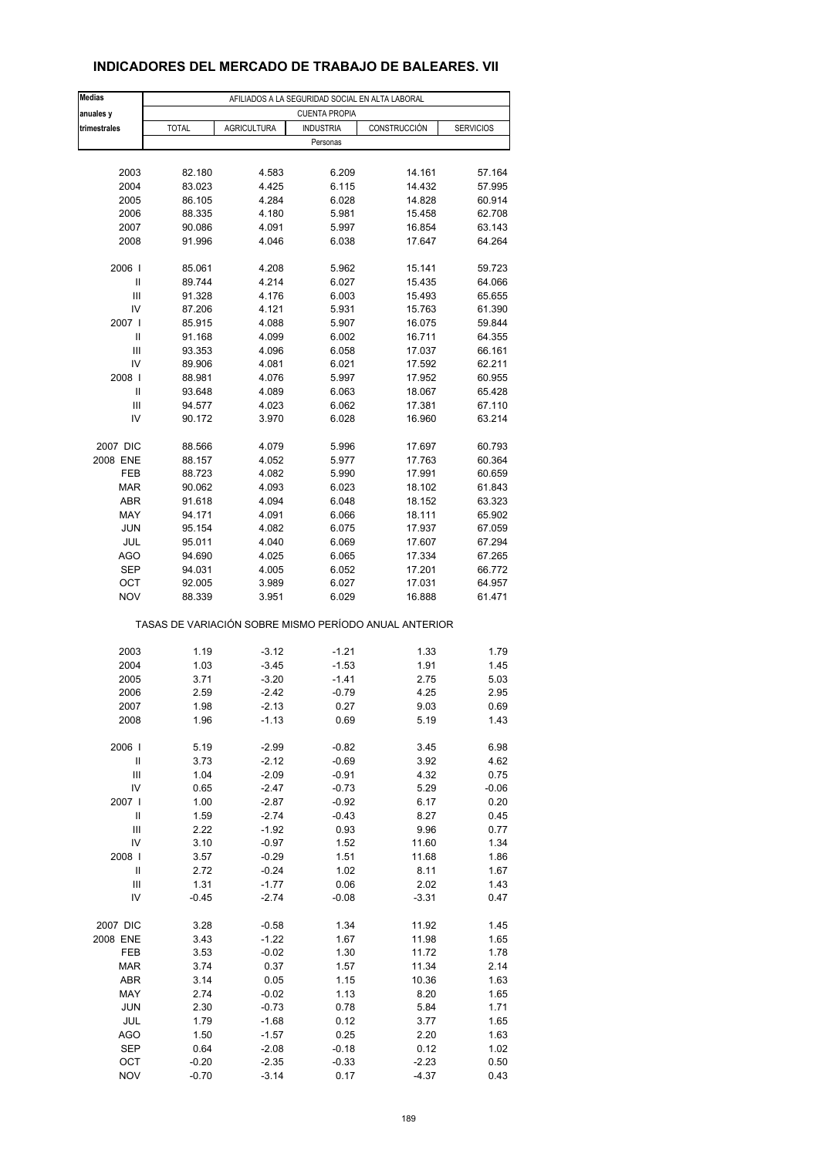| <b>Medias</b> |              |                    | AFILIADOS A LA SEGURIDAD SOCIAL EN ALTA LABORAL |                                                       |                  |
|---------------|--------------|--------------------|-------------------------------------------------|-------------------------------------------------------|------------------|
| anuales y     |              |                    | <b>CUENTA PROPIA</b>                            |                                                       |                  |
| trimestrales  | <b>TOTAL</b> | <b>AGRICULTURA</b> | <b>INDUSTRIA</b>                                | CONSTRUCCIÓN                                          | <b>SERVICIOS</b> |
|               |              |                    | Personas                                        |                                                       |                  |
|               |              |                    |                                                 |                                                       |                  |
| 2003          | 82.180       | 4.583              | 6.209                                           | 14.161                                                | 57.164           |
| 2004          | 83.023       | 4.425              | 6.115                                           | 14.432                                                | 57.995           |
|               |              |                    |                                                 |                                                       |                  |
| 2005          | 86.105       | 4.284              | 6.028                                           | 14.828                                                | 60.914           |
| 2006          | 88.335       | 4.180              | 5.981                                           | 15.458                                                | 62.708           |
| 2007          | 90.086       | 4.091              | 5.997                                           | 16.854                                                | 63.143           |
| 2008          | 91.996       | 4.046              | 6.038                                           | 17.647                                                | 64.264           |
| 2006          | 85.061       | 4.208              | 5.962                                           | 15.141                                                | 59.723           |
| Ш             | 89.744       | 4.214              | 6.027                                           | 15.435                                                | 64.066           |
| Ш             | 91.328       | 4.176              | 6.003                                           | 15.493                                                | 65.655           |
| IV            | 87.206       | 4.121              | 5.931                                           | 15.763                                                | 61.390           |
| 2007 l        |              |                    |                                                 |                                                       |                  |
|               | 85.915       | 4.088              | 5.907                                           | 16.075                                                | 59.844           |
| Ш             | 91.168       | 4.099              | 6.002                                           | 16.711                                                | 64.355           |
| Ш             | 93.353       | 4.096              | 6.058                                           | 17.037                                                | 66.161           |
| IV            | 89.906       | 4.081              | 6.021                                           | 17.592                                                | 62.211           |
| 2008          | 88.981       | 4.076              | 5.997                                           | 17.952                                                | 60.955           |
| Ш             | 93.648       | 4.089              | 6.063                                           | 18.067                                                | 65.428           |
|               |              |                    |                                                 |                                                       |                  |
| Ш             | 94.577       | 4.023              | 6.062                                           | 17.381                                                | 67.110           |
| IV            | 90.172       | 3.970              | 6.028                                           | 16.960                                                | 63.214           |
| 2007 DIC      | 88.566       | 4.079              | 5.996                                           | 17.697                                                | 60.793           |
| 2008 ENE      | 88.157       | 4.052              | 5.977                                           | 17.763                                                | 60.364           |
| FEB           | 88.723       | 4.082              | 5.990                                           | 17.991                                                | 60.659           |
| MAR           | 90.062       | 4.093              | 6.023                                           | 18.102                                                | 61.843           |
|               |              |                    |                                                 |                                                       |                  |
| ABR           | 91.618       | 4.094              | 6.048                                           | 18.152                                                | 63.323           |
| MAY           | 94.171       | 4.091              | 6.066                                           | 18.111                                                | 65.902           |
| JUN           | 95.154       | 4.082              | 6.075                                           | 17.937                                                | 67.059           |
| JUL           | 95.011       | 4.040              | 6.069                                           | 17.607                                                | 67.294           |
| <b>AGO</b>    | 94.690       | 4.025              | 6.065                                           | 17.334                                                | 67.265           |
|               |              |                    |                                                 |                                                       |                  |
| <b>SEP</b>    | 94.031       | 4.005              | 6.052                                           | 17.201                                                | 66.772           |
| OCT           | 92.005       | 3.989              | 6.027                                           | 17.031                                                | 64.957           |
| <b>NOV</b>    | 88.339       | 3.951              | 6.029                                           | 16.888                                                | 61.471           |
|               |              |                    |                                                 | TASAS DE VARIACIÓN SOBRE MISMO PERÍODO ANUAL ANTERIOR |                  |
| 2003          | 1.19         | $-3.12$            | $-1.21$                                         | 1.33                                                  | 1.79             |
| 2004          |              |                    |                                                 |                                                       |                  |
|               | 1.03         | $-3.45$            | $-1.53$                                         | 1.91                                                  | 1.45             |
| 2005          | 3.71         | $-3.20$            | $-1.41$                                         | 2.75                                                  | 5.03             |
| 2006          | 2.59         | $-2.42$            | $-0.79$                                         | 4.25                                                  | 2.95             |
| 2007          | 1.98         | $-2.13$            | 0.27                                            | 9.03                                                  | 0.69             |
| 2008          | 1.96         | $-1.13$            | 0.69                                            | 5.19                                                  | 1.43             |
| 2006          | 5.19         | $-2.99$            | $-0.82$                                         | 3.45                                                  | 6.98             |
|               |              |                    | $-0.69$                                         |                                                       |                  |
| Ш             | 3.73         | $-2.12$            |                                                 | 3.92                                                  | 4.62             |
| Ш             | 1.04         | $-2.09$            | $-0.91$                                         | 4.32                                                  | 0.75             |
| IV            | 0.65         | $-2.47$            | $-0.73$                                         | 5.29                                                  | $-0.06$          |
| 2007 l        | 1.00         | $-2.87$            | $-0.92$                                         | 6.17                                                  | 0.20             |
| $\sf II$      | 1.59         | $-2.74$            | $-0.43$                                         | 8.27                                                  | 0.45             |
| Ш             | 2.22         | $-1.92$            | 0.93                                            | 9.96                                                  | 0.77             |
| IV            | 3.10         | $-0.97$            | 1.52                                            | 11.60                                                 | 1.34             |
|               |              |                    |                                                 |                                                       |                  |
| 2008          | 3.57         | $-0.29$            | 1.51                                            | 11.68                                                 | 1.86             |
| Ш             | 2.72         | $-0.24$            | 1.02                                            | 8.11                                                  | 1.67             |
| Ш             | 1.31         | $-1.77$            | 0.06                                            | 2.02                                                  | 1.43             |
| IV            | $-0.45$      | $-2.74$            | $-0.08$                                         | $-3.31$                                               | 0.47             |
| 2007 DIC      | 3.28         | $-0.58$            | 1.34                                            | 11.92                                                 | 1.45             |
| 2008 ENE      | 3.43         | $-1.22$            | 1.67                                            | 11.98                                                 | 1.65             |
|               |              |                    |                                                 |                                                       |                  |
| FEB           | 3.53         | $-0.02$            | 1.30                                            | 11.72                                                 | 1.78             |
| <b>MAR</b>    | 3.74         | 0.37               | 1.57                                            | 11.34                                                 | 2.14             |
| ABR           | 3.14         | 0.05               | 1.15                                            | 10.36                                                 | 1.63             |
| MAY           | 2.74         | $-0.02$            | 1.13                                            | 8.20                                                  | 1.65             |
| <b>JUN</b>    | 2.30         | $-0.73$            | 0.78                                            | 5.84                                                  | 1.71             |
| JUL           | 1.79         |                    |                                                 | 3.77                                                  | 1.65             |
|               |              | $-1.68$            | 0.12                                            |                                                       |                  |
| <b>AGO</b>    | 1.50         | $-1.57$            | 0.25                                            | 2.20                                                  | 1.63             |
| <b>SEP</b>    | 0.64         | $-2.08$            | $-0.18$                                         | 0.12                                                  | 1.02             |
| OCT           | $-0.20$      | $-2.35$            | $-0.33$                                         | $-2.23$                                               | 0.50             |

# **INDICADORES DEL MERCADO DE TRABAJO DE BALEARES. VII**

NOV -0.70 -3.14 0.17 -4.37 0.43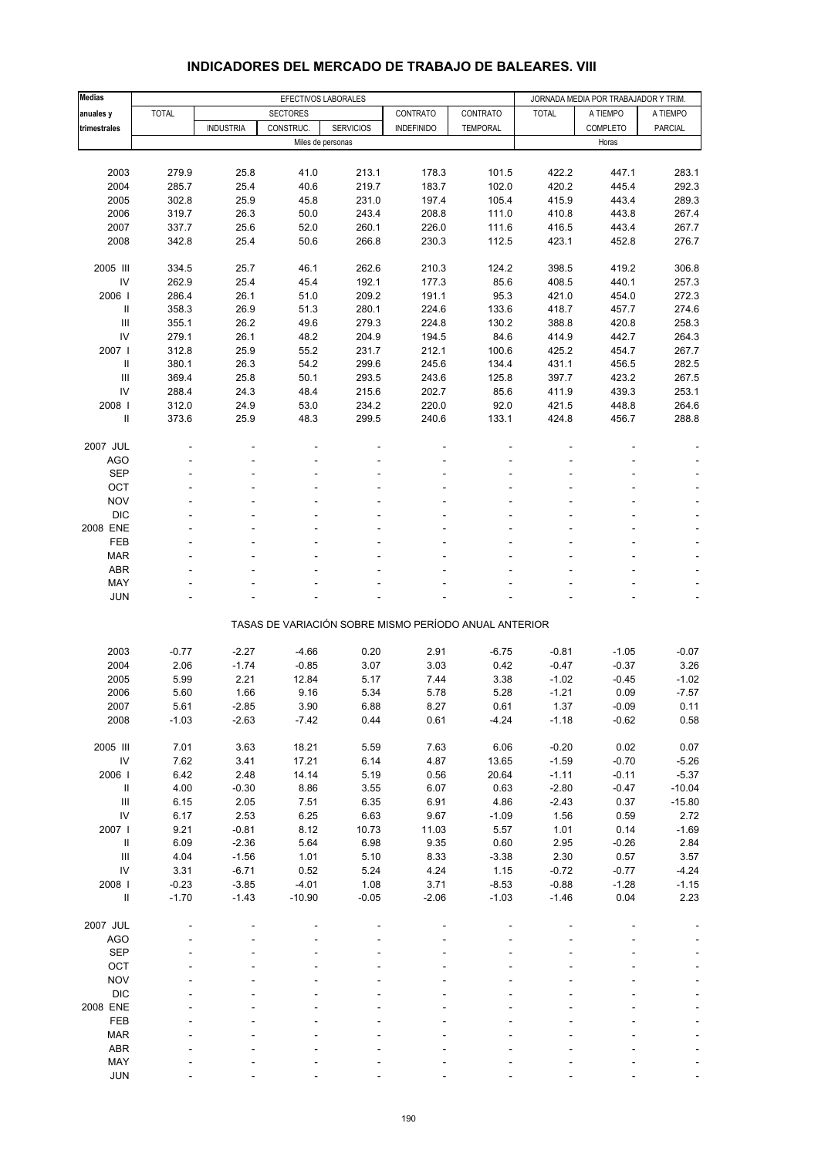#### **Medias EFECTIVOS LABORALES EFECTIVOS LABORALES** JORNADA MEDIA POR TRABAJADOR Y TRIM. **anuales y** TOTAL SECTORES CONTRATO CONTRATO TOTAL A TIEMPO A TIEMPO **trimestrales | | INDUSTRIA | CONSTRUC. | SERVICIOS | INDEFINIDO | TEMPORAL | | COMPLETO | PARCIAL** Miles de personas Horas Horas Horas Horas Horas Horas Horas Horas Horas Horas Horas Horas Horas Horas Horas Horas Horas Horas Horas Horas Horas Horas Horas Horas Horas Horas Horas Horas Horas Horas Horas Horas Horas Horas 2003 279.9 25.8 41.0 213.1 178.3 101.5 422.2 447.1 283.1 2004 285.7 25.4 40.6 219.7 183.7 102.0 420.2 445.4 292.3 2005 302.8 25.9 45.8 231.0 197.4 105.4 415.9 443.4 289.3 2006 319.7 26.3 50.0 243.4 208.8 111.0 410.8 443.8 267.4 2007 337.7 25.6 52.0 260.1 226.0 111.6 416.5 443.4 267.7 2008 342.8 25.4 50.6 266.8 230.3 112.5 423.1 452.8 276.7 2005 III 334.5 25.7 46.1 262.6 210.3 124.2 398.5 419.2 306.8 IV 262.9 25.4 45.4 192.1 177.3 85.6 408.5 440.1 257.3 2006 I 286.4 26.1 51.0 209.2 191.1 95.3 421.0 454.0 272.3 II 358.3 26.9 51.3 280.1 224.6 133.6 418.7 457.7 274.6 III 355.1 26.2 49.6 279.3 224.8 130.2 388.8 420.8 258.3 IV 279.1 26.1 48.2 204.9 194.5 84.6 414.9 442.7 264.3 2007 I 312.8 25.9 55.2 231.7 212.1 100.6 425.2 454.7 267.7 II 380.1 26.3 54.2 299.6 245.6 134.4 431.1 456.5 282.5 III 369.4 25.8 50.1 293.5 243.6 125.8 397.7 423.2 267.5 IV 288.4 24.3 48.4 215.6 202.7 85.6 411.9 439.3 253.1 2008 I 312.0 24.9 53.0 234.2 220.0 92.0 421.5 448.8 264.6 II 373.6 25.9 48.3 299.5 240.6 133.1 424.8 456.7 288.8 2007 JUL - - - - - -- - - AGO - - - - - - - - -  $\begin{array}{lllllllllll} \text{SEP} & \text{---} & \text{---} & \text{---} & \text{---} & \text{---} & \text{---} & \text{---} & \text{---} & \text{---} & \text{---} & \text{---} & \text{---} & \text{---} & \text{---} & \text{---} & \text{---} & \text{---} & \text{---} & \text{---} & \text{---} & \text{---} & \text{---} & \text{---} & \text{---} & \text{---} & \text{---} & \text{---} & \text{---} & \text{---} & \text{---} & \text{---} & \text{---} & \text{---} & \text{---$ OCT the set of the set of the set of the set of the set of the set of the set of the set of the set of the set  $\textsf{NOV}$  , and  $\textsf{SOV}$  , and  $\textsf{SOV}$  , and  $\textsf{SOV}$  , and  $\textsf{SOV}$  , and  $\textsf{SOV}$  DIC - - - - - - - - - 2008 ENE - - - - - -- - - FEB - - - - - - - - - MAR - - - - - - - - - ABR - - - - - - - - - MAY - - - - - - - - - JUN - - - - - - - - - TASAS DE VARIACIÓN SOBRE MISMO PERÍODO ANUAL ANTERIOR 2003 -0.77 -2.27 -4.66 0.20 2.91 -6.75 -0.81 -1.05 -0.07 2004 2.06 -1.74 -0.85 3.07 3.03 0.42 -0.47 -0.37 3.26 2005 5.99 2.21 12.84 5.17 7.44 3.38 -1.02 -0.45 -1.02 2006 5.60 1.66 9.16 5.34 5.78 5.28 -1.21 0.09 -7.57 2007 5.61 -2.85 3.90 6.88 8.27 0.61 1.37 -0.09 0.11 2008 -1.03 -2.63 -7.42 0.44 0.61 -4.24 -1.18 -0.62 0.58 2005 III 7.01 3.63 18.21 5.59 7.63 6.06 -0.20 0.02 0.07 IV 7.62 3.41 17.21 6.14 4.87 13.65 -1.59 -0.70 -5.26 2006 I 6.42 2.48 14.14 5.19 0.56 20.64 -1.11 -0.11 -5.37 II 4.00 -0.30 8.86 3.55 6.07 0.63 -2.80 -0.47 -10.04 III 6.15 2.05 7.51 6.35 6.91 4.86 -2.43 0.37 -15.80 IV 6.17 2.53 6.25 6.63 9.67 -1.09 1.56 0.59 2.72 2007 I 9.21 -0.81 8.12 10.73 11.03 5.57 1.01 0.14 -1.69 II 6.09 -2.36 5.64 6.98 9.35 0.60 2.95 -0.26 2.84 III 4.04 -1.56 1.01 5.10 8.33 -3.38 2.30 0.57 3.57 IV 3.31 -6.71 0.52 5.24 4.24 1.15 -0.72 -0.77 -4.24 2008 I -0.23 -3.85 -4.01 1.08 3.71 -8.53 -0.88 -1.28 -1.15 II -1.70 -1.43 -10.90 -0.05 -2.06 -1.03 -1.46 0.04 2.23 2007 JUL - - - - - -- - - AGO - - - - - - - - - SEP - - - - - - - - - OCT the set of the set of the set of the set of the set of the set of the set of the set of the set of the set  $\textsf{NOV}$  , and  $\textsf{SOV}$  , and  $\textsf{SOV}$  , and  $\textsf{SOV}$  , and  $\textsf{SOV}$  , and  $\textsf{SOV}$  DIC - - - - - - - - - 2008 ENE - - - - - -- - - FEB - - - - - - - - - MAR - - - - - - - - - ABR - - - - - - - - - MAY - - - - - - - - -

### **INDICADORES DEL MERCADO DE TRABAJO DE BALEARES. VIII**

JUN - - - - - - - - -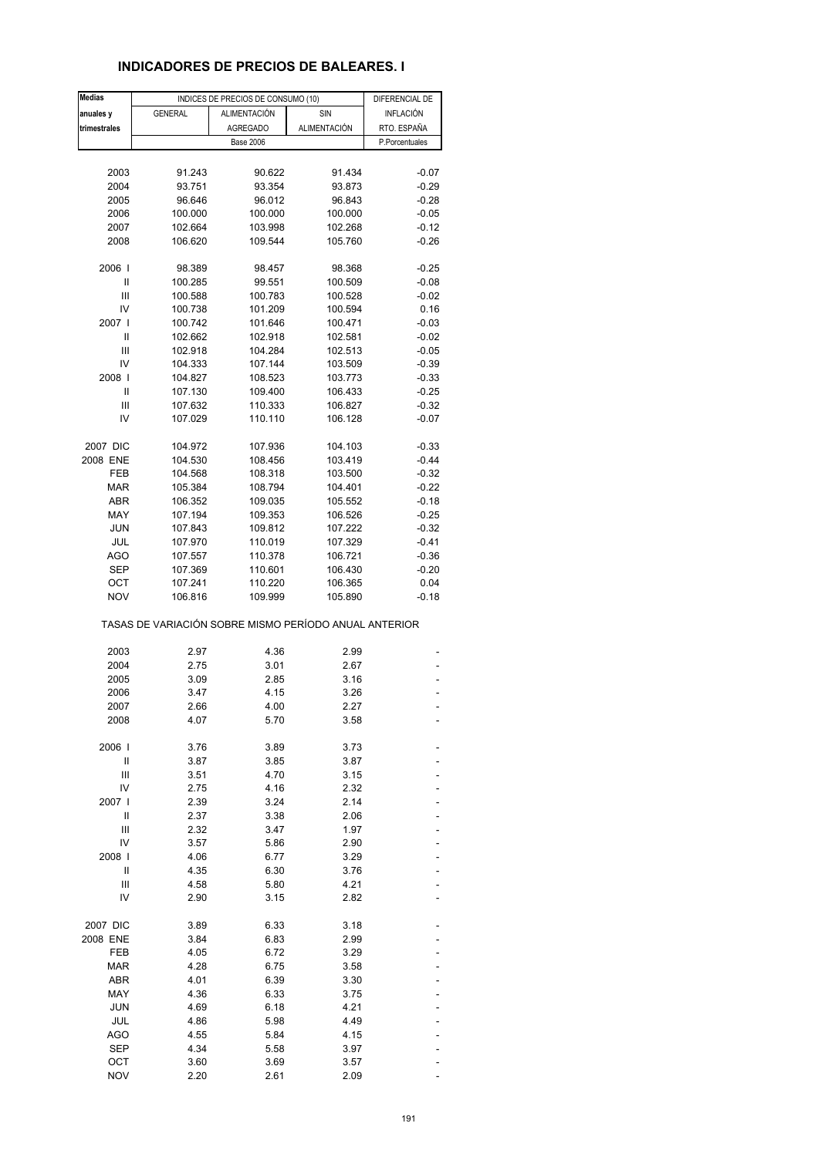### **INDICADORES DE PRECIOS DE BALEARES. I**

| <b>Medias</b> |                                                       | INDICES DE PRECIOS DE CONSUMO (10) | DIFERENCIAL DE      |                |
|---------------|-------------------------------------------------------|------------------------------------|---------------------|----------------|
| anuales y     | <b>GENERAL</b>                                        | <b>ALIMENTACIÓN</b>                | SIN                 | INFLACIÓN      |
| trimestrales  |                                                       | <b>AGREGADO</b>                    | <b>ALIMENTACIÓN</b> | RTO. ESPAÑA    |
|               |                                                       | <b>Base 2006</b>                   |                     | P.Porcentuales |
|               |                                                       |                                    |                     |                |
| 2003          | 91.243                                                | 90.622                             | 91.434              | $-0.07$        |
|               |                                                       |                                    |                     |                |
| 2004          | 93.751                                                | 93.354                             | 93.873              | $-0.29$        |
| 2005          | 96.646                                                | 96.012                             | 96.843              | $-0.28$        |
| 2006          | 100.000                                               | 100.000                            | 100.000             | $-0.05$        |
| 2007          | 102.664                                               | 103.998                            | 102.268             | $-0.12$        |
| 2008          | 106.620                                               | 109.544                            | 105.760             | $-0.26$        |
|               |                                                       |                                    |                     |                |
| 2006          | 98.389                                                | 98.457                             | 98.368              | $-0.25$        |
| Ш             | 100.285                                               | 99.551                             | 100.509             | $-0.08$        |
| Ш             | 100.588                                               | 100.783                            | 100.528             | $-0.02$        |
| IV            | 100.738                                               | 101.209                            | 100.594             | 0.16           |
| 2007 l        | 100.742                                               | 101.646                            | 100.471             | $-0.03$        |
| Ш             | 102.662                                               | 102.918                            | 102.581             | $-0.02$        |
| Ш             | 102.918                                               | 104.284                            | 102.513             | $-0.05$        |
| IV            | 104.333                                               | 107.144                            | 103.509             | $-0.39$        |
| 2008          |                                                       | 108.523                            |                     |                |
|               | 104.827                                               |                                    | 103.773             | $-0.33$        |
| Ш             | 107.130                                               | 109.400                            | 106.433             | $-0.25$        |
| Ш             | 107.632                                               | 110.333                            | 106.827             | $-0.32$        |
| IV            | 107.029                                               | 110.110                            | 106.128             | $-0.07$        |
|               |                                                       |                                    |                     |                |
| 2007 DIC      | 104.972                                               | 107.936                            | 104.103             | $-0.33$        |
| 2008 ENE      | 104.530                                               | 108.456                            | 103.419             | $-0.44$        |
| FEB           | 104.568                                               | 108.318                            | 103.500             | $-0.32$        |
| <b>MAR</b>    | 105.384                                               | 108.794                            | 104.401             | $-0.22$        |
| ABR           | 106.352                                               | 109.035                            | 105.552             | $-0.18$        |
| MAY           | 107.194                                               | 109.353                            | 106.526             | $-0.25$        |
| <b>JUN</b>    | 107.843                                               | 109.812                            | 107.222             | $-0.32$        |
| JUL           | 107.970                                               | 110.019                            | 107.329             | $-0.41$        |
| AGO           |                                                       |                                    |                     |                |
|               | 107.557                                               | 110.378                            | 106.721             | $-0.36$        |
| SEP           | 107.369                                               | 110.601                            | 106.430             | $-0.20$        |
| ост           | 107.241                                               | 110.220                            | 106.365             | 0.04           |
| <b>NOV</b>    | 106.816                                               | 109.999                            | 105.890             | $-0.18$        |
|               | TASAS DE VARIACIÓN SOBRE MISMO PERÍODO ANUAL ANTERIOR |                                    |                     |                |
| 2003          | 2.97                                                  | 4.36                               | 2.99                |                |
|               |                                                       |                                    |                     |                |
| 2004          | 2.75                                                  | 3.01                               | 2.67                |                |
| 2005          | 3.09                                                  | 2.85                               | 3.16                |                |
| 2006          | 3.47                                                  | 4.15                               | 3.26                |                |
| 2007          | 2.66                                                  | 4.00                               | 2.27                |                |
| 2008          | 4.07                                                  | 5.70                               | 3.58                |                |
|               |                                                       |                                    |                     |                |
| 2006          | 3.76                                                  | 3.89                               | 3.73                |                |
| Ш             | 3.87                                                  | 3.85                               | 3.87                |                |
| Ш             | 3.51                                                  | 4.70                               | 3.15                |                |
| IV            | 2.75                                                  | 4.16                               | 2.32                |                |
| 2007          | 2.39                                                  | 3.24                               | 2.14                |                |
| Ш             | 2.37                                                  | 3.38                               | 2.06                |                |
| Ш             | 2.32                                                  | 3.47                               | 1.97                |                |
| IV            | 3.57                                                  | 5.86                               | 2.90                |                |
| 2008          | 4.06                                                  | 6.77                               | 3.29                |                |
| Ш             |                                                       |                                    | 3.76                |                |
|               | 4.35                                                  | 6.30                               |                     |                |
| Ш             | 4.58                                                  | 5.80                               | 4.21                |                |
| IV            | 2.90                                                  | 3.15                               | 2.82                |                |
| 2007 DIC      | 3.89                                                  | 6.33                               | 3.18                |                |
| 2008 ENE      | 3.84                                                  | 6.83                               | 2.99                |                |
|               |                                                       |                                    |                     |                |
| FEB           | 4.05                                                  | 6.72                               | 3.29                |                |
| <b>MAR</b>    | 4.28                                                  | 6.75                               | 3.58                |                |
| <b>ABR</b>    | 4.01                                                  | 6.39                               | 3.30                |                |
| MAY           | 4.36                                                  | 6.33                               | 3.75                |                |
| <b>JUN</b>    | 4.69                                                  | 6.18                               | 4.21                |                |
| JUL           | 4.86                                                  | 5.98                               | 4.49                |                |
| AGO           | 4.55                                                  | 5.84                               | 4.15                |                |
| <b>SEP</b>    | 4.34                                                  | 5.58                               | 3.97                |                |
| ОСТ           | 3.60                                                  | 3.69                               | 3.57                |                |
|               |                                                       |                                    |                     |                |
| <b>NOV</b>    | 2.20                                                  | 2.61                               | 2.09                |                |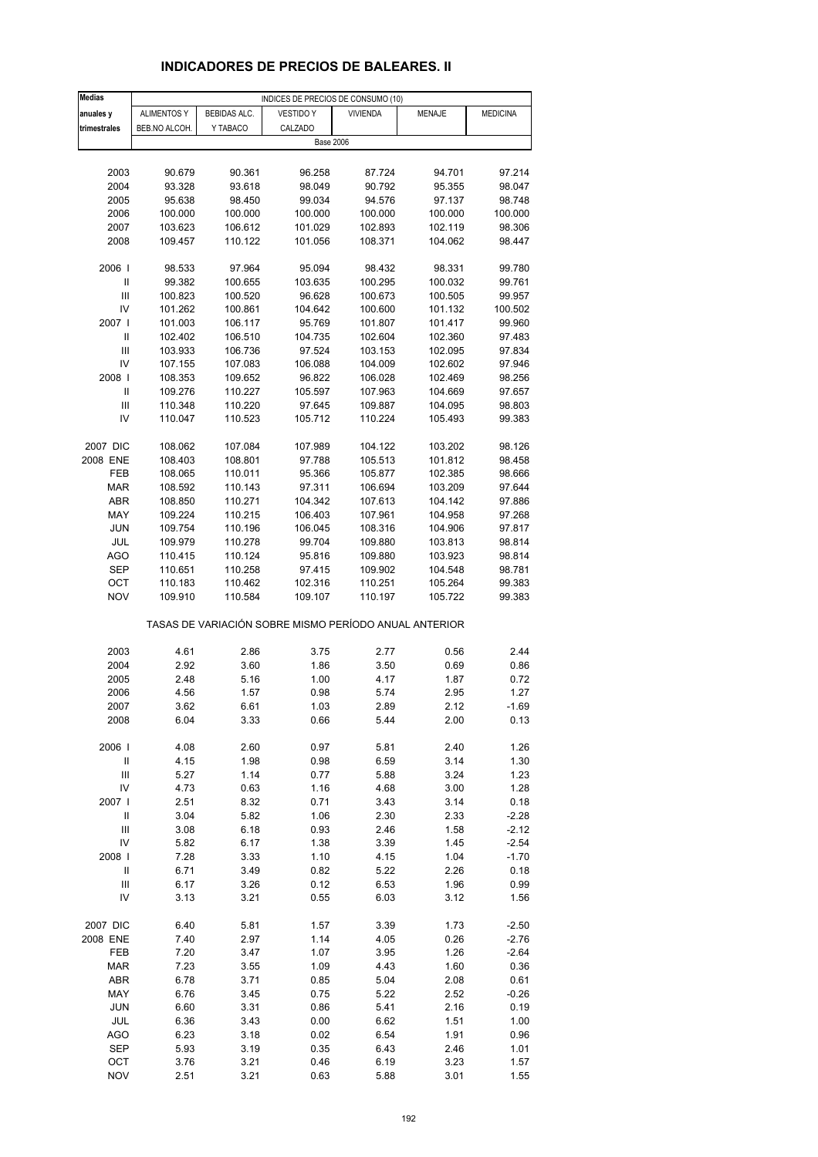# **INDICADORES DE PRECIOS DE BALEARES. II**

| <b>Medias</b>                    | INDICES DE PRECIOS DE CONSUMO (10) |              |                                                       |                 |               |                 |  |  |  |
|----------------------------------|------------------------------------|--------------|-------------------------------------------------------|-----------------|---------------|-----------------|--|--|--|
| anuales y                        | <b>ALIMENTOS Y</b>                 | BEBIDAS ALC. | <b>VESTIDO Y</b>                                      | <b>VIVIENDA</b> | <b>MENAJE</b> | <b>MEDICINA</b> |  |  |  |
| trimestrales                     | BEB.NO ALCOH.                      | Y TABACO     | CALZADO                                               |                 |               |                 |  |  |  |
|                                  |                                    |              | <b>Base 2006</b>                                      |                 |               |                 |  |  |  |
|                                  |                                    |              |                                                       |                 |               |                 |  |  |  |
| 2003                             | 90.679                             | 90.361       | 96.258                                                | 87.724          | 94.701        | 97.214          |  |  |  |
| 2004                             | 93.328                             | 93.618       | 98.049                                                | 90.792          | 95.355        | 98.047          |  |  |  |
| 2005                             | 95.638                             | 98.450       | 99.034                                                | 94.576          | 97.137        | 98.748          |  |  |  |
|                                  |                                    |              |                                                       |                 |               |                 |  |  |  |
| 2006                             | 100.000                            | 100.000      | 100.000                                               | 100.000         | 100.000       | 100.000         |  |  |  |
| 2007                             | 103.623                            | 106.612      | 101.029                                               | 102.893         | 102.119       | 98.306          |  |  |  |
| 2008                             | 109.457                            | 110.122      | 101.056                                               | 108.371         | 104.062       | 98.447          |  |  |  |
|                                  |                                    |              | 95.094                                                |                 |               | 99.780          |  |  |  |
| 2006                             | 98.533                             | 97.964       |                                                       | 98.432          | 98.331        |                 |  |  |  |
| Ш                                | 99.382                             | 100.655      | 103.635                                               | 100.295         | 100.032       | 99.761          |  |  |  |
| Ш                                | 100.823                            | 100.520      | 96.628                                                | 100.673         | 100.505       | 99.957          |  |  |  |
| IV                               | 101.262                            | 100.861      | 104.642                                               | 100.600         | 101.132       | 100.502         |  |  |  |
| 2007 I                           | 101.003                            | 106.117      | 95.769                                                | 101.807         | 101.417       | 99.960          |  |  |  |
| Ш                                | 102.402                            | 106.510      | 104.735                                               | 102.604         | 102.360       | 97.483          |  |  |  |
| Ш                                | 103.933                            | 106.736      | 97.524                                                | 103.153         | 102.095       | 97.834          |  |  |  |
| IV                               | 107.155                            | 107.083      | 106.088                                               | 104.009         | 102.602       | 97.946          |  |  |  |
| 2008                             | 108.353                            | 109.652      | 96.822                                                | 106.028         | 102.469       | 98.256          |  |  |  |
| Ш                                | 109.276                            | 110.227      | 105.597                                               | 107.963         | 104.669       | 97.657          |  |  |  |
| Ш                                | 110.348                            | 110.220      | 97.645                                                | 109.887         | 104.095       | 98.803          |  |  |  |
| IV                               | 110.047                            | 110.523      | 105.712                                               | 110.224         | 105.493       | 99.383          |  |  |  |
|                                  |                                    |              |                                                       |                 |               |                 |  |  |  |
| 2007 DIC                         | 108.062                            | 107.084      | 107.989                                               | 104.122         | 103.202       | 98.126          |  |  |  |
| 2008 ENE                         | 108.403                            | 108.801      | 97.788                                                | 105.513         | 101.812       | 98.458          |  |  |  |
| FEB                              | 108.065                            | 110.011      | 95.366                                                | 105.877         | 102.385       | 98.666          |  |  |  |
| <b>MAR</b>                       | 108.592                            | 110.143      | 97.311                                                | 106.694         | 103.209       | 97.644          |  |  |  |
| ABR                              | 108.850                            | 110.271      | 104.342                                               | 107.613         | 104.142       | 97.886          |  |  |  |
| MAY                              | 109.224                            | 110.215      | 106.403                                               | 107.961         | 104.958       | 97.268          |  |  |  |
| JUN                              | 109.754                            | 110.196      | 106.045                                               | 108.316         | 104.906       | 97.817          |  |  |  |
| JUL                              | 109.979                            | 110.278      | 99.704                                                | 109.880         | 103.813       | 98.814          |  |  |  |
| AGO                              | 110.415                            | 110.124      | 95.816                                                | 109.880         | 103.923       | 98.814          |  |  |  |
| SEP                              | 110.651                            | 110.258      | 97.415                                                | 109.902         | 104.548       | 98.781          |  |  |  |
| ОСТ                              | 110.183                            | 110.462      | 102.316                                               | 110.251         | 105.264       | 99.383          |  |  |  |
| <b>NOV</b>                       | 109.910                            | 110.584      | 109.107                                               | 110.197         | 105.722       | 99.383          |  |  |  |
|                                  |                                    |              |                                                       |                 |               |                 |  |  |  |
|                                  |                                    |              | TASAS DE VARIACIÓN SOBRE MISMO PERÍODO ANUAL ANTERIOR |                 |               |                 |  |  |  |
| 2003                             | 4.61                               | 2.86         | 3.75                                                  | 2.77            | 0.56          | 2.44            |  |  |  |
| 2004                             | 2.92                               | 3.60         | 1.86                                                  | 3.50            | 0.69          | 0.86            |  |  |  |
| 2005                             | 2.48                               | 5.16         | 1.00                                                  | 4.17            | 1.87          | 0.72            |  |  |  |
| 2006                             | 4.56                               | 1.57         | 0.98                                                  | 5.74            | 2.95          | 1.27            |  |  |  |
| 2007                             | 3.62                               | 6.61         | 1.03                                                  | 2.89            | 2.12          | $-1.69$         |  |  |  |
| 2008                             | 6.04                               | 3.33         | 0.66                                                  | 5.44            | 2.00          | 0.13            |  |  |  |
|                                  |                                    |              |                                                       |                 |               |                 |  |  |  |
| 2006                             | 4.08                               | 2.60         | 0.97                                                  | 5.81            | 2.40          | 1.26            |  |  |  |
| Ш                                | 4.15                               | 1.98         | 0.98                                                  | 6.59            | 3.14          | 1.30            |  |  |  |
| Ш                                | 5.27                               | 1.14         | 0.77                                                  | 5.88            | 3.24          | 1.23            |  |  |  |
| IV                               | 4.73                               | 0.63         | 1.16                                                  | 4.68            | 3.00          | 1.28            |  |  |  |
| 2007 l                           | 2.51                               | 8.32         | 0.71                                                  | 3.43            | 3.14          | 0.18            |  |  |  |
| $\ensuremath{\mathsf{II}}$       | 3.04                               | 5.82         | 1.06                                                  | 2.30            | 2.33          | $-2.28$         |  |  |  |
| $\mathop{\mathsf{III}}\nolimits$ | 3.08                               | 6.18         | 0.93                                                  | 2.46            | 1.58          | $-2.12$         |  |  |  |
| IV                               | 5.82                               | 6.17         | 1.38                                                  | 3.39            | 1.45          | $-2.54$         |  |  |  |
| 2008                             | 7.28                               | 3.33         | 1.10                                                  | 4.15            | 1.04          | $-1.70$         |  |  |  |
| Ш                                | 6.71                               | 3.49         | 0.82                                                  | 5.22            | 2.26          | 0.18            |  |  |  |
| Ш                                | 6.17                               | 3.26         | 0.12                                                  | 6.53            | 1.96          | 0.99            |  |  |  |
| IV                               | 3.13                               | 3.21         | 0.55                                                  | 6.03            | 3.12          | 1.56            |  |  |  |
|                                  |                                    |              |                                                       |                 |               |                 |  |  |  |
| 2007 DIC                         | 6.40                               | 5.81         | 1.57                                                  | 3.39            | 1.73          | $-2.50$         |  |  |  |
| 2008 ENE                         | 7.40                               | 2.97         | 1.14                                                  | 4.05            | 0.26          | $-2.76$         |  |  |  |
| FEB                              | 7.20                               | 3.47         | 1.07                                                  | 3.95            | 1.26          | $-2.64$         |  |  |  |
| <b>MAR</b>                       | 7.23                               | 3.55         | 1.09                                                  | 4.43            | 1.60          | 0.36            |  |  |  |
| ABR                              | 6.78                               | 3.71         | 0.85                                                  | 5.04            | 2.08          | 0.61            |  |  |  |
| MAY                              | 6.76                               | 3.45         | 0.75                                                  | 5.22            | 2.52          | $-0.26$         |  |  |  |
| <b>JUN</b>                       | 6.60                               | 3.31         | 0.86                                                  | 5.41            | 2.16          | 0.19            |  |  |  |
| JUL                              | 6.36                               | 3.43         | 0.00                                                  | 6.62            | 1.51          | 1.00            |  |  |  |
| AGO                              | 6.23                               | 3.18         | 0.02                                                  | 6.54            | 1.91          | 0.96            |  |  |  |
| <b>SEP</b>                       | 5.93                               | 3.19         | 0.35                                                  | 6.43            | 2.46          | 1.01            |  |  |  |
| OCT                              | 3.76                               | 3.21         | 0.46                                                  | 6.19            | 3.23          | 1.57            |  |  |  |
| <b>NOV</b>                       | 2.51                               | 3.21         | 0.63                                                  | 5.88            | 3.01          | 1.55            |  |  |  |
|                                  |                                    |              |                                                       |                 |               |                 |  |  |  |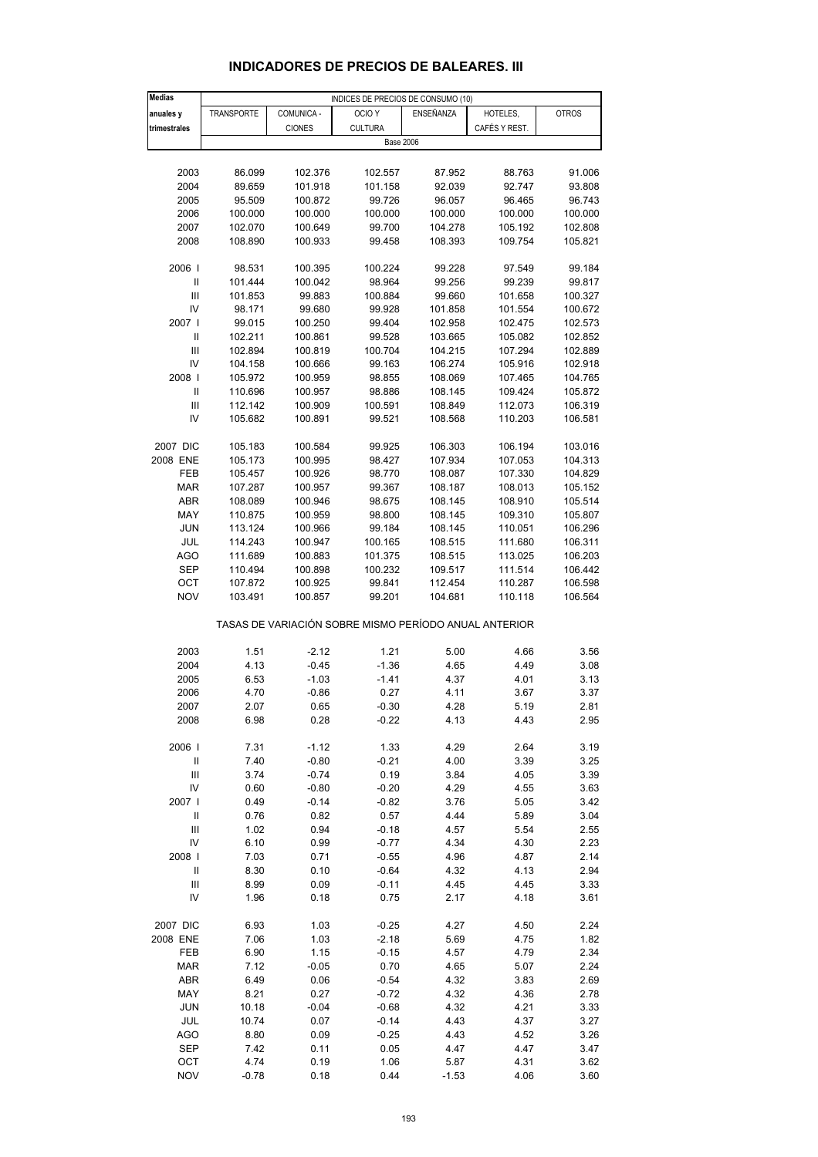| <b>Medias</b>                      | INDICES DE PRECIOS DE CONSUMO (10) |                  |                                                       |                   |                    |                    |  |  |
|------------------------------------|------------------------------------|------------------|-------------------------------------------------------|-------------------|--------------------|--------------------|--|--|
| anuales y                          | <b>TRANSPORTE</b>                  | COMUNICA -       | OCIO <sub>Y</sub>                                     | ENSEÑANZA         | HOTELES,           | <b>OTROS</b>       |  |  |
| trimestrales                       |                                    | <b>CIONES</b>    | <b>CULTURA</b>                                        |                   | CAFÉS Y REST.      |                    |  |  |
|                                    |                                    |                  | <b>Base 2006</b>                                      |                   |                    |                    |  |  |
|                                    |                                    |                  |                                                       |                   |                    |                    |  |  |
| 2003                               | 86.099                             | 102.376          | 102.557                                               | 87.952            | 88.763             | 91.006             |  |  |
| 2004                               | 89.659                             | 101.918          | 101.158                                               | 92.039            | 92.747             | 93.808             |  |  |
| 2005                               | 95.509                             | 100.872          | 99.726                                                | 96.057            | 96.465             | 96.743             |  |  |
| 2006                               | 100.000                            | 100.000          | 100.000                                               | 100.000           | 100.000            | 100.000            |  |  |
| 2007                               | 102.070                            | 100.649          | 99.700                                                | 104.278           | 105.192            | 102.808            |  |  |
| 2008                               | 108.890                            | 100.933          | 99.458                                                | 108.393           | 109.754            | 105.821            |  |  |
|                                    |                                    |                  |                                                       |                   |                    |                    |  |  |
| 2006                               | 98.531                             | 100.395          | 100.224                                               | 99.228            | 97.549             | 99.184             |  |  |
| Ш                                  | 101.444                            | 100.042          | 98.964                                                | 99.256            | 99.239             | 99.817             |  |  |
| Ш<br>IV                            | 101.853<br>98.171                  | 99.883<br>99.680 | 100.884<br>99.928                                     | 99.660<br>101.858 | 101.658<br>101.554 | 100.327<br>100.672 |  |  |
| 2007 l                             | 99.015                             | 100.250          | 99.404                                                | 102.958           | 102.475            | 102.573            |  |  |
| Ш                                  | 102.211                            | 100.861          | 99.528                                                | 103.665           | 105.082            | 102.852            |  |  |
| Ш                                  | 102.894                            | 100.819          | 100.704                                               | 104.215           | 107.294            | 102.889            |  |  |
| IV                                 | 104.158                            | 100.666          | 99.163                                                | 106.274           | 105.916            | 102.918            |  |  |
| 2008                               | 105.972                            | 100.959          | 98.855                                                | 108.069           | 107.465            | 104.765            |  |  |
| $\ensuremath{\mathsf{II}}$         | 110.696                            | 100.957          | 98.886                                                | 108.145           | 109.424            | 105.872            |  |  |
| Ш                                  | 112.142                            | 100.909          | 100.591                                               | 108.849           | 112.073            | 106.319            |  |  |
| IV                                 | 105.682                            | 100.891          | 99.521                                                | 108.568           | 110.203            | 106.581            |  |  |
|                                    |                                    |                  |                                                       |                   |                    |                    |  |  |
| 2007 DIC                           | 105.183                            | 100.584          | 99.925                                                | 106.303           | 106.194            | 103.016            |  |  |
| 2008 ENE                           | 105.173                            | 100.995          | 98.427                                                | 107.934           | 107.053            | 104.313            |  |  |
| FEB                                | 105.457                            | 100.926          | 98.770                                                | 108.087           | 107.330            | 104.829            |  |  |
| MAR                                | 107.287                            | 100.957          | 99.367                                                | 108.187           | 108.013            | 105.152            |  |  |
| ABR                                | 108.089                            | 100.946          | 98.675                                                | 108.145           | 108.910            | 105.514            |  |  |
| MAY                                | 110.875                            | 100.959          | 98.800                                                | 108.145           | 109.310            | 105.807            |  |  |
| <b>JUN</b>                         | 113.124                            | 100.966          | 99.184                                                | 108.145           | 110.051            | 106.296            |  |  |
| JUL                                | 114.243                            | 100.947          | 100.165                                               | 108.515           | 111.680            | 106.311            |  |  |
| <b>AGO</b>                         | 111.689                            | 100.883          | 101.375                                               | 108.515           | 113.025            | 106.203            |  |  |
| SEP                                | 110.494                            | 100.898          | 100.232                                               | 109.517           | 111.514            | 106.442            |  |  |
| OCT<br><b>NOV</b>                  | 107.872                            | 100.925          | 99.841                                                | 112.454           | 110.287            | 106.598            |  |  |
|                                    | 103.491                            | 100.857          | 99.201                                                | 104.681           | 110.118            | 106.564            |  |  |
|                                    |                                    |                  | TASAS DE VARIACIÓN SOBRE MISMO PERÍODO ANUAL ANTERIOR |                   |                    |                    |  |  |
|                                    |                                    |                  |                                                       |                   |                    |                    |  |  |
| 2003                               | 1.51                               | $-2.12$          | 1.21                                                  | 5.00              | 4.66               | 3.56               |  |  |
| 2004                               | 4.13                               | $-0.45$          | $-1.36$                                               | 4.65              | 4.49               | 3.08               |  |  |
| 2005                               | 6.53                               | $-1.03$          | $-1.41$                                               | 4.37              | 4.01               | 3.13               |  |  |
| 2006                               | 4.70                               | $-0.86$          | 0.27                                                  | 4.11              | 3.67               | 3.37               |  |  |
| 2007                               | 2.07                               | 0.65             | $-0.30$                                               | 4.28              | 5.19               | 2.81               |  |  |
| 2008                               | 6.98                               | 0.28             | $-0.22$                                               | 4.13              | 4.43               | 2.95               |  |  |
|                                    |                                    |                  |                                                       |                   |                    |                    |  |  |
| 2006                               | 7.31                               | $-1.12$          | 1.33                                                  | 4.29              | 2.64               | 3.19               |  |  |
| $\ensuremath{\mathsf{II}}$         | 7.40                               | $-0.80$          | $-0.21$                                               | 4.00              | 3.39               | 3.25               |  |  |
| $\ensuremath{\mathsf{III}}\xspace$ | 3.74                               | $-0.74$          | 0.19                                                  | 3.84              | 4.05               | 3.39               |  |  |
| IV                                 | 0.60                               | $-0.80$          | $-0.20$                                               | 4.29              | 4.55               | 3.63               |  |  |
| 2007                               | 0.49                               | $-0.14$          | $-0.82$                                               | 3.76              | 5.05               | 3.42               |  |  |
| $\ensuremath{\mathsf{II}}$<br>Ш    | 0.76<br>1.02                       | 0.82<br>0.94     | 0.57<br>$-0.18$                                       | 4.44<br>4.57      | 5.89<br>5.54       | 3.04<br>2.55       |  |  |
| IV                                 | 6.10                               | 0.99             | $-0.77$                                               | 4.34              | 4.30               | 2.23               |  |  |
| 2008                               | 7.03                               | 0.71             | $-0.55$                                               | 4.96              | 4.87               | 2.14               |  |  |
| Ш                                  | 8.30                               | 0.10             | $-0.64$                                               | 4.32              | 4.13               | 2.94               |  |  |
| Ш                                  | 8.99                               | 0.09             | $-0.11$                                               | 4.45              | 4.45               | 3.33               |  |  |
| IV                                 | 1.96                               | 0.18             | 0.75                                                  | 2.17              | 4.18               | 3.61               |  |  |
|                                    |                                    |                  |                                                       |                   |                    |                    |  |  |
| 2007 DIC                           | 6.93                               | 1.03             | $-0.25$                                               | 4.27              | 4.50               | 2.24               |  |  |
| 2008 ENE                           | 7.06                               | 1.03             | $-2.18$                                               | 5.69              | 4.75               | 1.82               |  |  |
| FEB                                | 6.90                               | 1.15             | $-0.15$                                               | 4.57              | 4.79               | 2.34               |  |  |
| <b>MAR</b>                         | 7.12                               | $-0.05$          | 0.70                                                  | 4.65              | 5.07               | 2.24               |  |  |
| ABR                                | 6.49                               | 0.06             | $-0.54$                                               | 4.32              | 3.83               | 2.69               |  |  |
| MAY                                | 8.21                               | 0.27             | $-0.72$                                               | 4.32              | 4.36               | 2.78               |  |  |
| <b>JUN</b>                         | 10.18                              | $-0.04$          | $-0.68$                                               | 4.32              | 4.21               | 3.33               |  |  |
| JUL                                | 10.74                              | 0.07             | $-0.14$                                               | 4.43              | 4.37               | 3.27               |  |  |
| AGO                                | 8.80                               | 0.09             | $-0.25$                                               | 4.43              | 4.52               | 3.26               |  |  |
| <b>SEP</b>                         | 7.42                               | 0.11             | 0.05                                                  | 4.47              | 4.47               | 3.47               |  |  |
| OCT                                | 4.74                               | 0.19             | 1.06                                                  | 5.87              | 4.31               | 3.62               |  |  |

### **INDICADORES DE PRECIOS DE BALEARES. III**

NOV -0.78 0.18 0.44 -1.53 4.06 3.60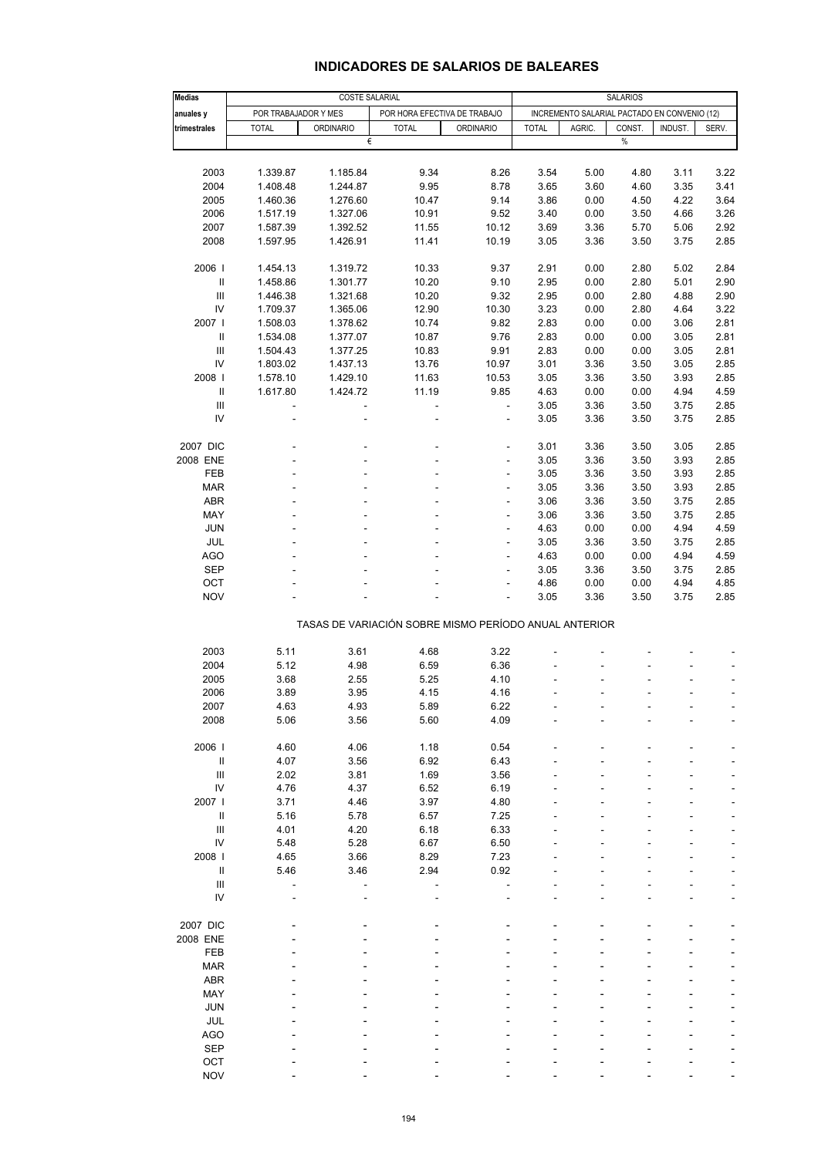| <b>Medias</b>                        | COSTE SALARIAL       |                  |                                                       |                                |              | <b>SALARIOS</b>                              |              |              |              |  |
|--------------------------------------|----------------------|------------------|-------------------------------------------------------|--------------------------------|--------------|----------------------------------------------|--------------|--------------|--------------|--|
| anuales y                            | POR TRABAJADOR Y MES |                  | POR HORA EFECTIVA DE TRABAJO                          |                                |              | INCREMENTO SALARIAL PACTADO EN CONVENIO (12) |              |              |              |  |
| trimestrales                         | <b>TOTAL</b>         | <b>ORDINARIO</b> | <b>TOTAL</b>                                          | <b>ORDINARIO</b>               | <b>TOTAL</b> | AGRIC.                                       | CONST.       | INDUST.      | SERV.        |  |
|                                      |                      | €                |                                                       |                                |              |                                              | $\%$         |              |              |  |
|                                      |                      |                  |                                                       |                                |              |                                              |              |              |              |  |
| 2003                                 | 1.339.87             | 1.185.84         | 9.34                                                  | 8.26                           | 3.54         | 5.00                                         | 4.80         | 3.11         | 3.22         |  |
| 2004                                 | 1.408.48             | 1.244.87         | 9.95                                                  | 8.78                           | 3.65         | 3.60                                         | 4.60         | 3.35         | 3.41         |  |
| 2005                                 | 1.460.36             | 1.276.60         | 10.47                                                 | 9.14                           | 3.86         | 0.00                                         | 4.50         | 4.22         | 3.64         |  |
| 2006                                 | 1.517.19             | 1.327.06         | 10.91                                                 | 9.52                           | 3.40         | 0.00                                         | 3.50         | 4.66         | 3.26         |  |
| 2007                                 | 1.587.39             | 1.392.52         | 11.55                                                 | 10.12                          | 3.69         | 3.36                                         | 5.70         | 5.06         | 2.92         |  |
| 2008                                 | 1.597.95             | 1.426.91         | 11.41                                                 | 10.19                          | 3.05         | 3.36                                         | 3.50         | 3.75         | 2.85         |  |
|                                      |                      |                  |                                                       |                                |              |                                              |              |              |              |  |
| 2006                                 | 1.454.13             | 1.319.72         | 10.33                                                 | 9.37                           | 2.91         | 0.00                                         | 2.80         | 5.02         | 2.84         |  |
| $\ensuremath{\mathsf{II}}$           | 1.458.86             | 1.301.77         | 10.20                                                 | 9.10                           | 2.95         | 0.00                                         | 2.80         | 5.01         | 2.90         |  |
| Ш                                    | 1.446.38             | 1.321.68         | 10.20                                                 | 9.32                           | 2.95         | 0.00                                         | 2.80         | 4.88         | 2.90         |  |
| ${\sf IV}$                           | 1.709.37             | 1.365.06         | 12.90                                                 | 10.30                          | 3.23         | 0.00                                         | 2.80         | 4.64         | 3.22         |  |
| 2007                                 | 1.508.03             | 1.378.62         | 10.74                                                 | 9.82                           | 2.83         | 0.00                                         | 0.00         | 3.06         | 2.81         |  |
| Ш                                    | 1.534.08             | 1.377.07         | 10.87                                                 | 9.76                           | 2.83         | 0.00                                         | 0.00         | 3.05         | 2.81         |  |
| $\ensuremath{\mathsf{III}}\xspace$   | 1.504.43             | 1.377.25         | 10.83                                                 | 9.91                           | 2.83         | 0.00                                         | 0.00         | 3.05         | 2.81         |  |
| IV                                   | 1.803.02             | 1.437.13         | 13.76                                                 | 10.97                          | 3.01         | 3.36                                         | 3.50         | 3.05         | 2.85         |  |
| 2008                                 | 1.578.10             | 1.429.10         | 11.63                                                 | 10.53                          | 3.05         | 3.36                                         | 3.50         | 3.93         | 2.85         |  |
| $\ensuremath{\mathsf{II}}$           | 1.617.80             | 1.424.72         | 11.19                                                 | 9.85                           | 4.63         | 0.00                                         | 0.00         | 4.94         | 4.59         |  |
| $\ensuremath{\mathsf{III}}\xspace$   |                      |                  | $\overline{a}$                                        | $\overline{\phantom{a}}$       | 3.05         | 3.36                                         | 3.50         | 3.75         | 2.85         |  |
| IV                                   |                      |                  | ä,                                                    | $\overline{\phantom{a}}$       | 3.05         | 3.36                                         | 3.50         | 3.75         | 2.85         |  |
|                                      |                      |                  |                                                       |                                |              |                                              |              |              |              |  |
| 2007 DIC                             |                      |                  | ä,                                                    | ÷,                             | 3.01         | 3.36                                         | 3.50         | 3.05<br>3.93 | 2.85         |  |
| 2008 ENE<br>FEB                      |                      |                  |                                                       | $\overline{\phantom{a}}$<br>٠  | 3.05<br>3.05 | 3.36<br>3.36                                 | 3.50<br>3.50 | 3.93         | 2.85<br>2.85 |  |
| <b>MAR</b>                           |                      |                  |                                                       |                                | 3.05         | 3.36                                         |              | 3.93         | 2.85         |  |
| ABR                                  |                      |                  |                                                       | $\overline{\phantom{a}}$       |              |                                              | 3.50         |              |              |  |
| MAY                                  |                      |                  |                                                       | $\overline{\phantom{a}}$<br>ä, | 3.06<br>3.06 | 3.36<br>3.36                                 | 3.50<br>3.50 | 3.75<br>3.75 | 2.85<br>2.85 |  |
| <b>JUN</b>                           |                      |                  |                                                       | $\overline{\phantom{a}}$       | 4.63         | 0.00                                         | 0.00         | 4.94         | 4.59         |  |
| JUL                                  |                      |                  | ä,                                                    | $\overline{\phantom{a}}$       | 3.05         | 3.36                                         | 3.50         | 3.75         | 2.85         |  |
| <b>AGO</b>                           |                      |                  |                                                       |                                | 4.63         | 0.00                                         | 0.00         | 4.94         | 4.59         |  |
| <b>SEP</b>                           |                      |                  |                                                       | $\overline{\phantom{a}}$       | 3.05         | 3.36                                         | 3.50         | 3.75         | 2.85         |  |
| OCT                                  |                      |                  |                                                       | $\overline{\phantom{a}}$       | 4.86         | 0.00                                         | 0.00         | 4.94         | 4.85         |  |
| <b>NOV</b>                           |                      |                  |                                                       |                                | 3.05         | 3.36                                         | 3.50         | 3.75         | 2.85         |  |
|                                      |                      |                  |                                                       |                                |              |                                              |              |              |              |  |
|                                      |                      |                  | TASAS DE VARIACIÓN SOBRE MISMO PERÍODO ANUAL ANTERIOR |                                |              |                                              |              |              |              |  |
|                                      |                      |                  |                                                       |                                |              |                                              |              |              |              |  |
| 2003                                 | 5.11                 | 3.61             | 4.68                                                  | 3.22                           |              |                                              |              |              |              |  |
| 2004                                 | 5.12                 | 4.98             | 6.59                                                  | 6.36                           |              |                                              |              |              |              |  |
| 2005                                 | 3.68                 | 2.55             | 5.25                                                  | 4.10                           |              |                                              |              |              |              |  |
| 2006                                 | 3.89                 | 3.95             | 4.15                                                  | 4.16                           |              |                                              |              |              | ä,           |  |
| 2007                                 | 4.63                 | 4.93             | 5.89                                                  | 6.22                           |              |                                              |              |              |              |  |
| 2008                                 | 5.06                 | 3.56             | 5.60                                                  | 4.09                           |              |                                              |              |              |              |  |
|                                      |                      |                  |                                                       |                                |              |                                              |              |              |              |  |
| 2006                                 | 4.60                 | 4.06             | 1.18                                                  | 0.54                           |              |                                              |              |              |              |  |
| $\ensuremath{\mathsf{II}}$           | 4.07                 | 3.56             | 6.92                                                  | 6.43                           |              |                                              |              |              |              |  |
| $\ensuremath{\mathsf{III}}\xspace$   | 2.02                 | 3.81             | 1.69                                                  | 3.56                           |              |                                              |              |              |              |  |
| ${\sf IV}$                           | 4.76                 | 4.37             | 6.52                                                  | 6.19                           |              |                                              |              |              |              |  |
| 2007  <br>$\ensuremath{\mathsf{II}}$ | 3.71<br>5.16         | 4.46             | 3.97                                                  | 4.80<br>7.25                   |              |                                              |              |              |              |  |
| $\ensuremath{\mathsf{III}}\xspace$   | 4.01                 | 5.78<br>4.20     | 6.57<br>6.18                                          | 6.33                           |              |                                              |              |              |              |  |
| ${\sf IV}$                           | 5.48                 | 5.28             | 6.67                                                  | 6.50                           |              |                                              |              |              |              |  |
| 2008                                 | 4.65                 | 3.66             | 8.29                                                  | 7.23                           |              |                                              |              |              |              |  |
| Ш                                    | 5.46                 | 3.46             | 2.94                                                  | 0.92                           |              |                                              |              |              |              |  |
| $\ensuremath{\mathsf{III}}\xspace$   |                      |                  |                                                       |                                |              |                                              |              |              |              |  |
| IV                                   |                      |                  |                                                       |                                |              |                                              |              |              |              |  |
|                                      |                      |                  |                                                       |                                |              |                                              |              |              |              |  |
| 2007 DIC                             |                      |                  |                                                       |                                |              |                                              |              |              |              |  |
| 2008 ENE                             |                      |                  |                                                       |                                |              |                                              |              |              |              |  |
| FEB                                  |                      |                  |                                                       |                                |              |                                              |              |              |              |  |
| <b>MAR</b>                           |                      |                  |                                                       |                                |              |                                              |              |              |              |  |
| ABR                                  |                      |                  |                                                       |                                |              |                                              |              |              |              |  |
| MAY                                  |                      |                  |                                                       |                                |              |                                              |              |              |              |  |
| JUN                                  |                      |                  |                                                       |                                |              |                                              |              |              |              |  |
| JUL                                  |                      |                  |                                                       |                                |              |                                              |              |              |              |  |
| <b>AGO</b>                           |                      |                  |                                                       |                                |              |                                              |              |              |              |  |
| <b>SEP</b>                           |                      |                  |                                                       |                                |              |                                              |              |              |              |  |
| OCT                                  |                      |                  |                                                       |                                |              |                                              |              |              |              |  |
| <b>NOV</b>                           |                      |                  |                                                       |                                |              |                                              |              |              |              |  |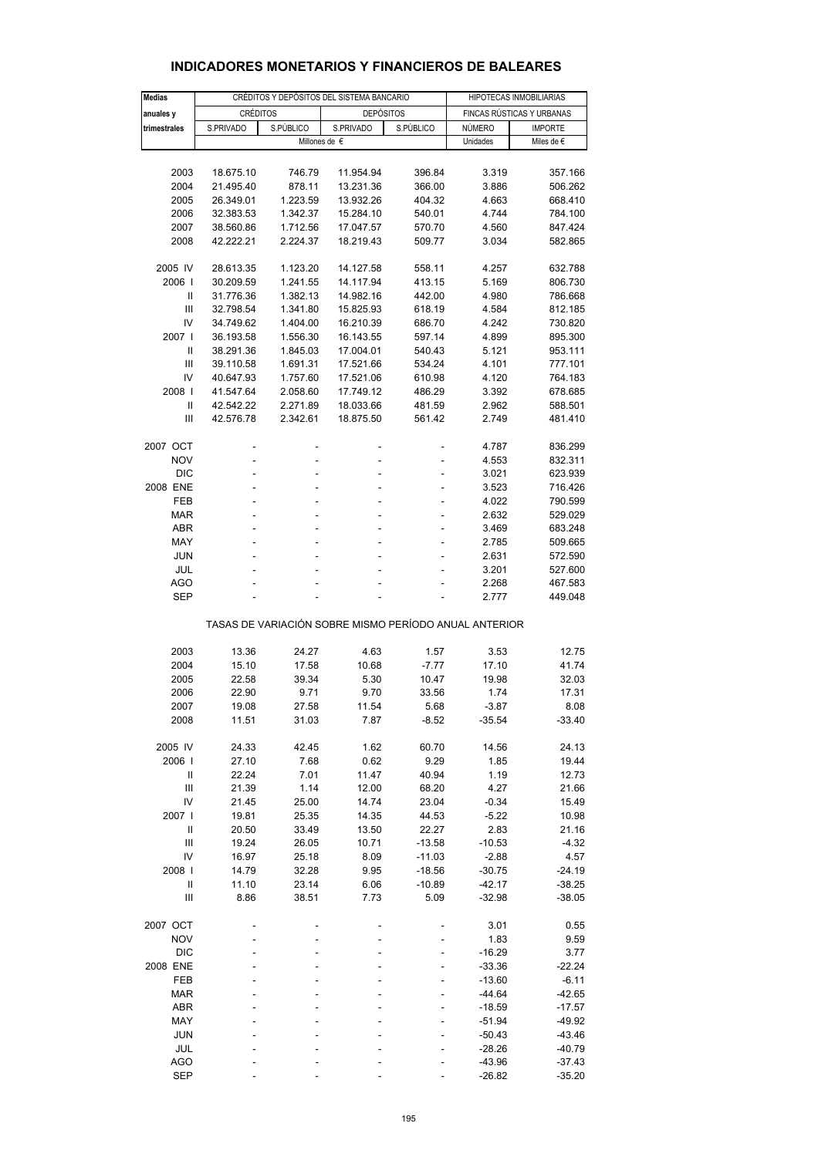| <b>Medias</b>          | CRÉDITOS Y DEPÓSITOS DEL SISTEMA BANCARIO |                      |                                                       |                   | HIPOTECAS INMOBILIARIAS   |                      |  |  |
|------------------------|-------------------------------------------|----------------------|-------------------------------------------------------|-------------------|---------------------------|----------------------|--|--|
| anuales y              | CRÉDITOS                                  |                      | <b>DEPÓSITOS</b>                                      |                   | FINCAS RÚSTICAS Y URBANAS |                      |  |  |
| trimestrales           | S.PRIVADO<br>S.PÚBLICO                    |                      | S.PRIVADO<br>S.PÚBLICO                                |                   | NÚMERO                    | <b>IMPORTE</b>       |  |  |
|                        |                                           |                      | Millones de $\epsilon$                                |                   | Unidades                  | Miles de $\epsilon$  |  |  |
|                        |                                           |                      |                                                       |                   |                           |                      |  |  |
| 2003                   | 18.675.10                                 | 746.79               | 11.954.94                                             | 396.84            | 3.319                     | 357.166              |  |  |
| 2004                   | 21.495.40                                 | 878.11               | 13.231.36                                             | 366.00            | 3.886                     | 506.262              |  |  |
| 2005                   | 26.349.01                                 | 1.223.59             | 13.932.26                                             | 404.32            | 4.663                     | 668.410              |  |  |
| 2006                   | 32.383.53                                 | 1.342.37             | 15.284.10                                             | 540.01            | 4.744                     | 784.100              |  |  |
| 2007                   | 38.560.86                                 | 1.712.56             | 17.047.57                                             | 570.70            | 4.560                     | 847.424              |  |  |
| 2008                   | 42.222.21                                 | 2.224.37             | 18.219.43                                             | 509.77            | 3.034                     | 582.865              |  |  |
|                        |                                           |                      |                                                       |                   |                           |                      |  |  |
| 2005 IV<br>2006        | 28.613.35                                 | 1.123.20<br>1.241.55 | 14.127.58                                             | 558.11            | 4.257                     | 632.788              |  |  |
| $\mathbf{I}$           | 30.209.59<br>31.776.36                    | 1.382.13             | 14.117.94<br>14.982.16                                | 413.15<br>442.00  | 5.169<br>4.980            | 806.730<br>786.668   |  |  |
| Ш                      | 32.798.54                                 | 1.341.80             | 15.825.93                                             | 618.19            | 4.584                     | 812.185              |  |  |
| IV                     | 34.749.62                                 | 1.404.00             | 16.210.39                                             | 686.70            | 4.242                     | 730.820              |  |  |
| 2007 l                 | 36.193.58                                 | 1.556.30             | 16.143.55                                             | 597.14            | 4.899                     | 895.300              |  |  |
| Ш                      | 38.291.36                                 | 1.845.03             | 17.004.01                                             | 540.43            | 5.121                     | 953.111              |  |  |
| Ш                      | 39.110.58                                 | 1.691.31             | 17.521.66                                             | 534.24            | 4.101                     | 777.101              |  |  |
| IV                     | 40.647.93                                 | 1.757.60             | 17.521.06                                             | 610.98            | 4.120                     | 764.183              |  |  |
| 2008                   | 41.547.64                                 | 2.058.60             | 17.749.12                                             | 486.29            | 3.392                     | 678.685              |  |  |
| $\mathbf{I}$           | 42.542.22                                 | 2.271.89             | 18.033.66                                             | 481.59            | 2.962                     | 588.501              |  |  |
| Ш                      | 42.576.78                                 | 2.342.61             | 18.875.50                                             | 561.42            | 2.749                     | 481.410              |  |  |
|                        |                                           |                      |                                                       |                   |                           |                      |  |  |
| 2007 OCT               |                                           |                      |                                                       | ä,                | 4.787                     | 836.299              |  |  |
| <b>NOV</b>             | -                                         | ÷                    | ÷                                                     | ÷                 | 4.553                     | 832.311              |  |  |
| <b>DIC</b><br>2008 ENE | ä,<br>L,                                  |                      | ä,                                                    | ä,                | 3.021<br>3.523            | 623.939<br>716.426   |  |  |
| <b>FEB</b>             | ÷                                         |                      |                                                       | ÷                 | 4.022                     | 790.599              |  |  |
| <b>MAR</b>             | L,                                        |                      | L,                                                    | ä,                | 2.632                     | 529.029              |  |  |
| <b>ABR</b>             | L,                                        |                      |                                                       |                   | 3.469                     | 683.248              |  |  |
| MAY                    | ÷                                         |                      |                                                       | ÷                 | 2.785                     | 509.665              |  |  |
| JUN                    | L,                                        |                      |                                                       | ä,                | 2.631                     | 572.590              |  |  |
| JUL                    |                                           |                      |                                                       |                   | 3.201                     | 527.600              |  |  |
| AGO                    | ä,                                        | ä,                   |                                                       |                   | 2.268                     | 467.583              |  |  |
| <b>SEP</b>             |                                           |                      |                                                       |                   | 2.777                     | 449.048              |  |  |
|                        |                                           |                      | TASAS DE VARIACIÓN SOBRE MISMO PERÍODO ANUAL ANTERIOR |                   |                           |                      |  |  |
|                        |                                           |                      |                                                       |                   |                           |                      |  |  |
| 2003<br>2004           | 13.36<br>15.10                            | 24.27<br>17.58       | 4.63<br>10.68                                         | 1.57<br>$-7.77$   | 3.53<br>17.10             | 12.75<br>41.74       |  |  |
| 2005                   | 22.58                                     | 39.34                | 5.30                                                  | 10.47             | 19.98                     | 32.03                |  |  |
| 2006                   | 22.90                                     | 9.71                 | 9.70                                                  | 33.56             | 1.74                      | 17.31                |  |  |
| 2007                   | 19.08                                     | 27.58                | 11.54                                                 | 5.68              | $-3.87$                   | 8.08                 |  |  |
| 2008                   | 11.51                                     | 31.03                | 7.87                                                  | $-8.52$           | $-35.54$                  | $-33.40$             |  |  |
|                        |                                           |                      |                                                       |                   |                           |                      |  |  |
| 2005 IV                | 24.33                                     | 42.45                | 1.62                                                  | 60.70             | 14.56                     | 24.13                |  |  |
| 2006                   | 27.10                                     | 7.68                 | 0.62                                                  | 9.29              | 1.85                      | 19.44                |  |  |
| Ш                      | 22.24                                     | 7.01                 | 11.47                                                 | 40.94             | 1.19                      | 12.73                |  |  |
| Ш                      | 21.39                                     | 1.14                 | 12.00                                                 | 68.20             | 4.27                      | 21.66                |  |  |
| IV                     | 21.45                                     | 25.00                | 14.74                                                 | 23.04             | $-0.34$                   | 15.49                |  |  |
| 2007  <br>$\mathbf{I}$ | 19.81<br>20.50                            | 25.35                | 14.35                                                 | 44.53             | $-5.22$                   | 10.98<br>21.16       |  |  |
| Ш                      | 19.24                                     | 33.49<br>26.05       | 13.50<br>10.71                                        | 22.27<br>$-13.58$ | 2.83<br>$-10.53$          | $-4.32$              |  |  |
| IV                     | 16.97                                     | 25.18                | 8.09                                                  | $-11.03$          | $-2.88$                   | 4.57                 |  |  |
| 2008                   | 14.79                                     | 32.28                | 9.95                                                  | $-18.56$          | $-30.75$                  | $-24.19$             |  |  |
| Ш                      | 11.10                                     | 23.14                | 6.06                                                  | $-10.89$          | $-42.17$                  | $-38.25$             |  |  |
| Ш                      | 8.86                                      | 38.51                | 7.73                                                  | 5.09              | $-32.98$                  | $-38.05$             |  |  |
|                        |                                           |                      |                                                       |                   |                           |                      |  |  |
| 2007 OCT               |                                           |                      |                                                       |                   | 3.01                      | 0.55                 |  |  |
| <b>NOV</b>             |                                           |                      |                                                       |                   | 1.83                      | 9.59                 |  |  |
| DIC                    |                                           |                      |                                                       |                   | $-16.29$                  | 3.77                 |  |  |
| 2008 ENE               | L                                         |                      |                                                       |                   | $-33.36$                  | $-22.24$             |  |  |
| FEB                    |                                           |                      |                                                       |                   | $-13.60$                  | $-6.11$              |  |  |
| <b>MAR</b>             |                                           |                      |                                                       |                   | $-44.64$                  | $-42.65$             |  |  |
| ABR<br>MAY             |                                           |                      |                                                       |                   | $-18.59$<br>$-51.94$      | $-17.57$<br>$-49.92$ |  |  |
| <b>JUN</b>             |                                           |                      |                                                       |                   | $-50.43$                  | $-43.46$             |  |  |
| JUL                    |                                           |                      |                                                       |                   | $-28.26$                  | $-40.79$             |  |  |
| <b>AGO</b>             |                                           |                      |                                                       |                   | $-43.96$                  | $-37.43$             |  |  |
| <b>SEP</b>             |                                           |                      |                                                       |                   | $-26.82$                  | $-35.20$             |  |  |

### **INDICADORES MONETARIOS Y FINANCIEROS DE BALEARES**